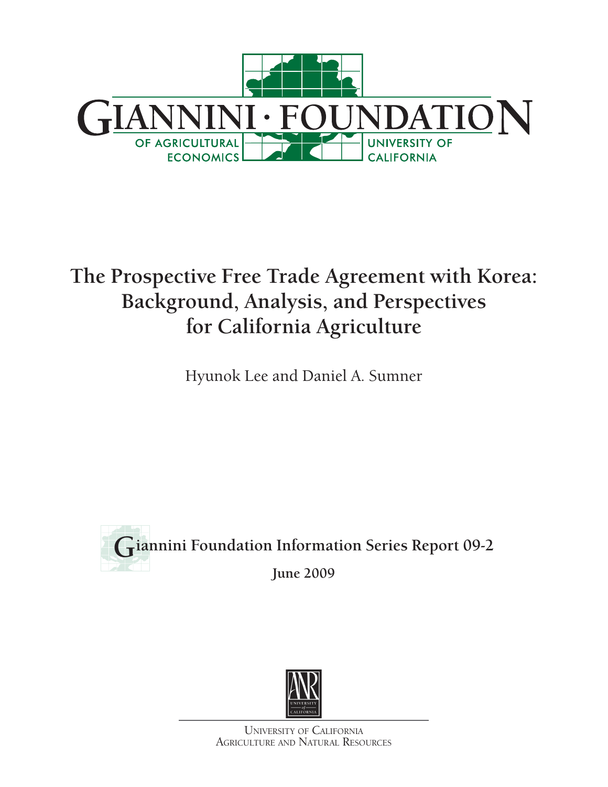

# **The Prospective Free Trade Agreement with Korea: Background, Analysis, and Perspectives for California Agriculture**

Hyunok Lee and Daniel A. Sumner





UNIVERSITY OF CALIFORNIA AGRICULTURE AND NATURAL RESOURCES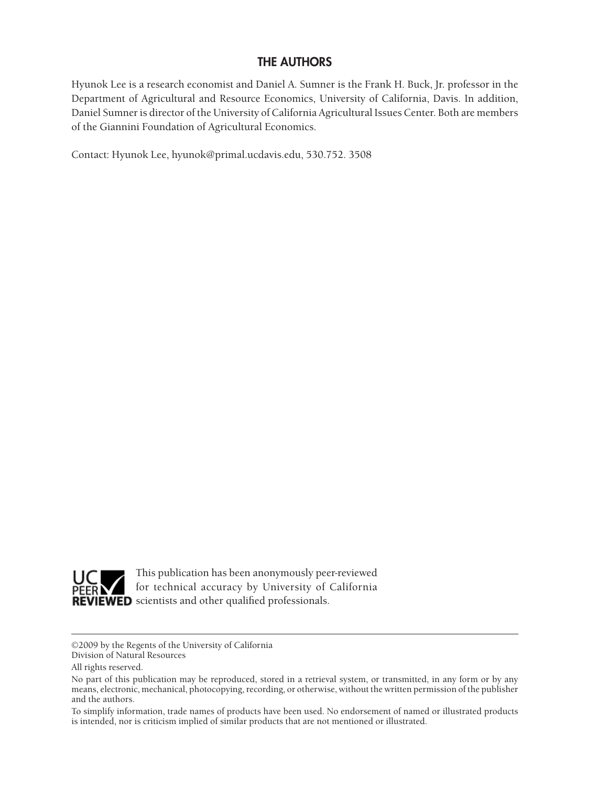## **THE AUTHORS**

Hyunok Lee is a research economist and Daniel A. Sumner is the Frank H. Buck, Jr. professor in the Department of Agricultural and Resource Economics, University of California, Davis. In addition, Daniel Sumner is director of the University of California Agricultural Issues Center. Both are members of the Giannini Foundation of Agricultural Economics.

Contact: Hyunok Lee, hyunok@primal.ucdavis.edu, 530.752. 3508



This publication has been anonymously peer-reviewed for technical accuracy by University of California REVIEWED scientists and other qualified professionals.

©2009 by the Regents of the University of California Division of Natural Resources

All rights reserved.

To simplify information, trade names of products have been used. No endorsement of named or illustrated products is intended, nor is criticism implied of similar products that are not mentioned or illustrated.

No part of this publication may be reproduced, stored in a retrieval system, or transmitted, in any form or by any means, electronic, mechanical, photocopying, recording, or otherwise, without the written permission of the publisher and the authors.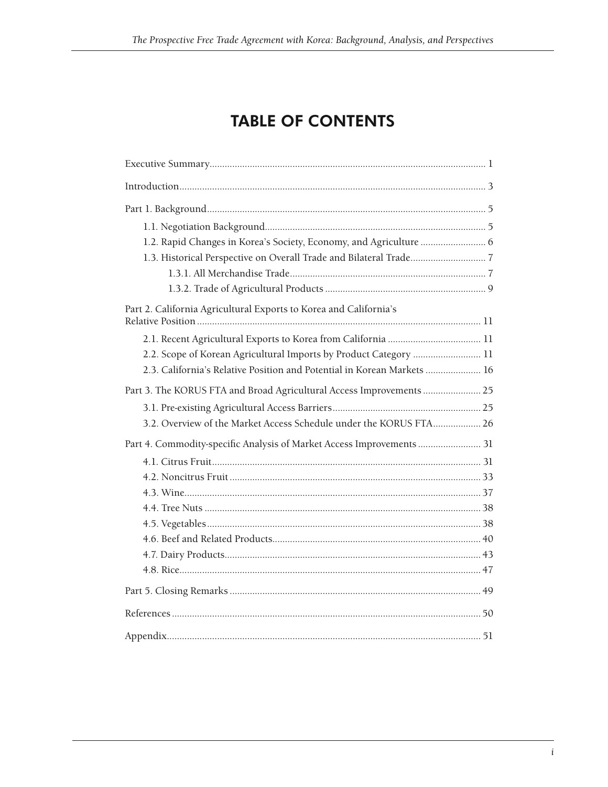## **TABLE OF CONTENTS**

| Part 2. California Agricultural Exports to Korea and California's       |  |
|-------------------------------------------------------------------------|--|
|                                                                         |  |
| 2.2. Scope of Korean Agricultural Imports by Product Category  11       |  |
| 2.3. California's Relative Position and Potential in Korean Markets  16 |  |
| Part 3. The KORUS FTA and Broad Agricultural Access Improvements  25    |  |
|                                                                         |  |
| 3.2. Overview of the Market Access Schedule under the KORUS FTA 26      |  |
| Part 4. Commodity-specific Analysis of Market Access Improvements  31   |  |
|                                                                         |  |
|                                                                         |  |
|                                                                         |  |
|                                                                         |  |
|                                                                         |  |
|                                                                         |  |
|                                                                         |  |
|                                                                         |  |
|                                                                         |  |
|                                                                         |  |
|                                                                         |  |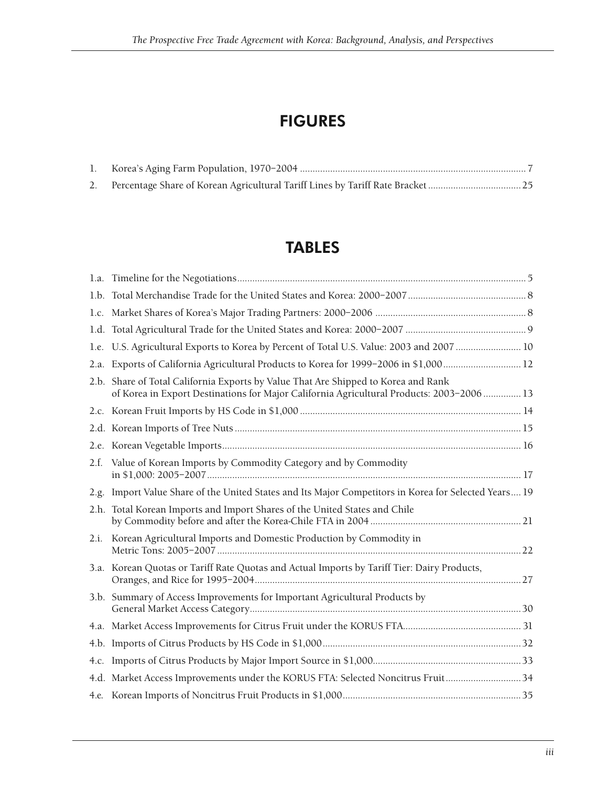## FIGURES

## TABLES

|      | 1.e. U.S. Agricultural Exports to Korea by Percent of Total U.S. Value: 2003 and 2007  10                                                                                      |  |
|------|--------------------------------------------------------------------------------------------------------------------------------------------------------------------------------|--|
|      | 2.a. Exports of California Agricultural Products to Korea for 1999-2006 in \$1,00012                                                                                           |  |
|      | 2.b. Share of Total California Exports by Value That Are Shipped to Korea and Rank<br>of Korea in Export Destinations for Major California Agricultural Products: 2003-2006 13 |  |
|      |                                                                                                                                                                                |  |
|      |                                                                                                                                                                                |  |
|      |                                                                                                                                                                                |  |
| 2.f. | Value of Korean Imports by Commodity Category and by Commodity                                                                                                                 |  |
|      | 2.g. Import Value Share of the United States and Its Major Competitors in Korea for Selected Years 19                                                                          |  |
|      | 2.h. Total Korean Imports and Import Shares of the United States and Chile                                                                                                     |  |
| 2.i. | Korean Agricultural Imports and Domestic Production by Commodity in                                                                                                            |  |
|      | 3.a. Korean Quotas or Tariff Rate Quotas and Actual Imports by Tariff Tier: Dairy Products,                                                                                    |  |
|      | 3.b. Summary of Access Improvements for Important Agricultural Products by                                                                                                     |  |
|      |                                                                                                                                                                                |  |
|      |                                                                                                                                                                                |  |
|      |                                                                                                                                                                                |  |
|      | 4.d. Market Access Improvements under the KORUS FTA: Selected Noncitrus Fruit34                                                                                                |  |
|      |                                                                                                                                                                                |  |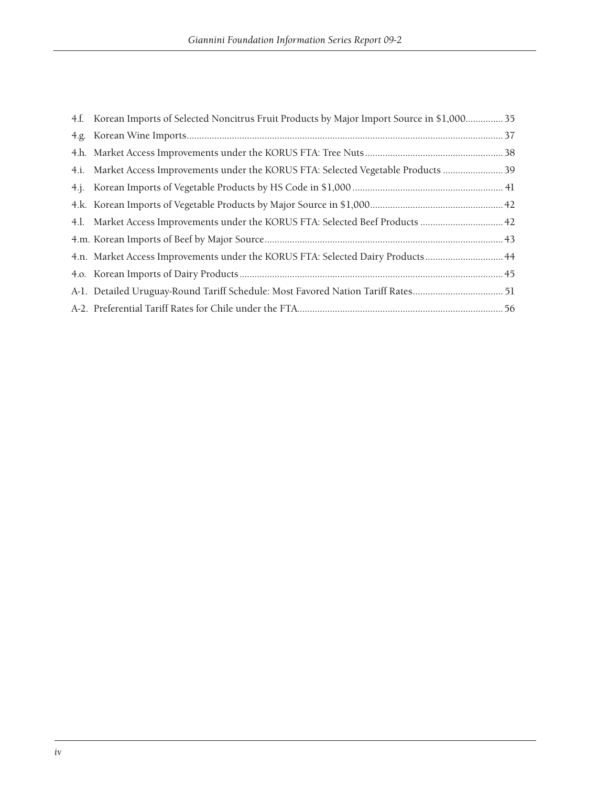| 4.f. Korean Imports of Selected Noncitrus Fruit Products by Major Import Source in \$1,00035 |  |
|----------------------------------------------------------------------------------------------|--|
|                                                                                              |  |
|                                                                                              |  |
| 4.i. Market Access Improvements under the KORUS FTA: Selected Vegetable Products  39         |  |
|                                                                                              |  |
|                                                                                              |  |
| 42. Market Access Improvements under the KORUS FTA: Selected Beef Products                   |  |
|                                                                                              |  |
| 44. An. Market Access Improvements under the KORUS FTA: Selected Dairy Products 44           |  |
|                                                                                              |  |
| A-1. Detailed Uruguay-Round Tariff Schedule: Most Favored Nation Tariff Rates 51             |  |
|                                                                                              |  |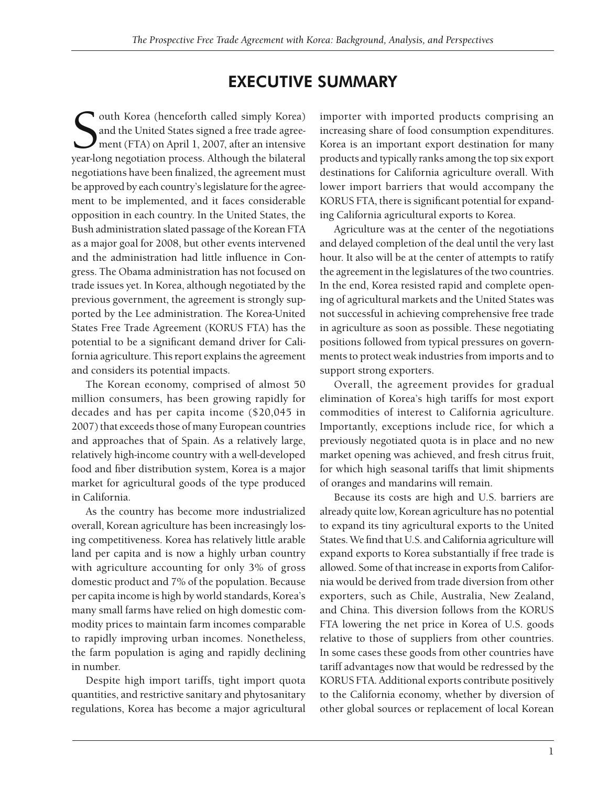## EXECUTIVE SUMMARY

S<sub>vear-lo</sub> outh Korea (henceforth called simply Korea) and the United States signed a free trade agreement (FTA) on April 1, 2007, after an intensive year-long negotiation process. Although the bilateral negotiations have been finalized, the agreement must be approved by each country's legislature for the agreement to be implemented, and it faces considerable opposition in each country. In the United States, the Bush administration slated passage of the Korean FTA as a major goal for 2008, but other events intervened and the administration had little influence in Congress. The Obama administration has not focused on trade issues yet. In Korea, although negotiated by the previous government, the agreement is strongly supported by the Lee administration. The Korea-United States Free Trade Agreement (KORUS FTA) has the potential to be a significant demand driver for California agriculture. This report explains the agreement and considers its potential impacts.

The Korean economy, comprised of almost 50 million consumers, has been growing rapidly for decades and has per capita income (\$20,045 in 2007) that exceeds those of many European countries and approaches that of Spain. As a relatively large, relatively high-income country with a well-developed food and fiber distribution system, Korea is a major market for agricultural goods of the type produced in California.

As the country has become more industrialized overall, Korean agriculture has been increasingly losing competitiveness. Korea has relatively little arable land per capita and is now a highly urban country with agriculture accounting for only 3% of gross domestic product and 7% of the population. Because per capita income is high by world standards, Korea's many small farms have relied on high domestic commodity prices to maintain farm incomes comparable to rapidly improving urban incomes. Nonetheless, the farm population is aging and rapidly declining in number.

Despite high import tariffs, tight import quota quantities, and restrictive sanitary and phytosanitary regulations, Korea has become a major agricultural

importer with imported products comprising an increasing share of food consumption expenditures. Korea is an important export destination for many products and typically ranks among the top six export destinations for California agriculture overall. With lower import barriers that would accompany the KORUS FTA, there is significant potential for expanding California agricultural exports to Korea.

Agriculture was at the center of the negotiations and delayed completion of the deal until the very last hour. It also will be at the center of attempts to ratify the agreement in the legislatures of the two countries. In the end, Korea resisted rapid and complete opening of agricultural markets and the United States was not successful in achieving comprehensive free trade in agriculture as soon as possible. These negotiating positions followed from typical pressures on governments to protect weak industries from imports and to support strong exporters.

Overall, the agreement provides for gradual elimination of Korea's high tariffs for most export commodities of interest to California agriculture. Importantly, exceptions include rice, for which a previously negotiated quota is in place and no new market opening was achieved, and fresh citrus fruit, for which high seasonal tariffs that limit shipments of oranges and mandarins will remain.

Because its costs are high and U.S. barriers are already quite low, Korean agriculture has no potential to expand its tiny agricultural exports to the United States. We find that U.S. and California agriculture will expand exports to Korea substantially if free trade is allowed. Some of that increase in exports from California would be derived from trade diversion from other exporters, such as Chile, Australia, New Zealand, and China. This diversion follows from the KORUS FTA lowering the net price in Korea of U.S. goods relative to those of suppliers from other countries. In some cases these goods from other countries have tariff advantages now that would be redressed by the KORUS FTA. Additional exports contribute positively to the California economy, whether by diversion of other global sources or replacement of local Korean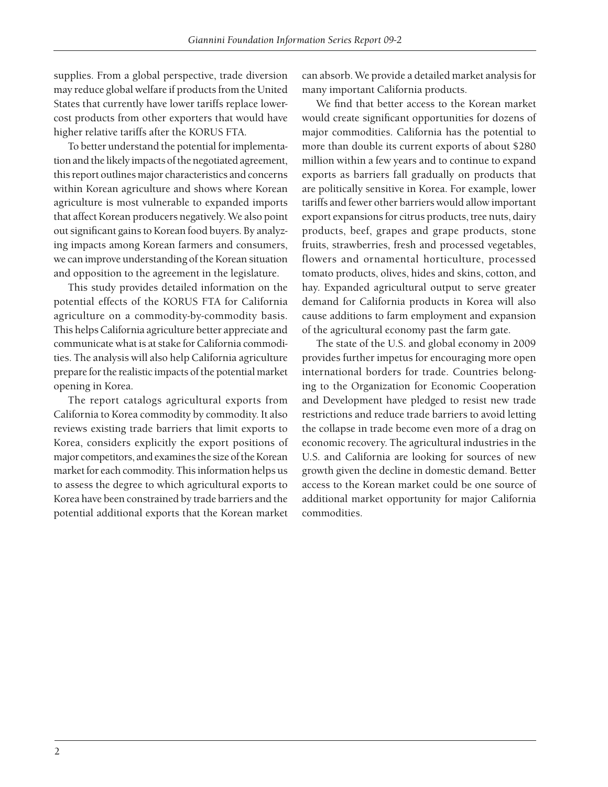supplies. From a global perspective, trade diversion may reduce global welfare if products from the United States that currently have lower tariffs replace lowercost products from other exporters that would have higher relative tariffs after the KORUS FTA.

To better understand the potential for implementation and the likely impacts of the negotiated agreement, this report outlines major characteristics and concerns within Korean agriculture and shows where Korean agriculture is most vulnerable to expanded imports that affect Korean producers negatively. We also point out significant gains to Korean food buyers. By analyzing impacts among Korean farmers and consumers, we can improve understanding of the Korean situation and opposition to the agreement in the legislature.

This study provides detailed information on the potential effects of the KORUS FTA for California agriculture on a commodity-by-commodity basis. This helps California agriculture better appreciate and communicate what is at stake for California commodities. The analysis will also help California agriculture prepare for the realistic impacts of the potential market opening in Korea.

The report catalogs agricultural exports from California to Korea commodity by commodity. It also reviews existing trade barriers that limit exports to Korea, considers explicitly the export positions of major competitors, and examines the size of the Korean market for each commodity. This information helps us to assess the degree to which agricultural exports to Korea have been constrained by trade barriers and the potential additional exports that the Korean market

can absorb. We provide a detailed market analysis for many important California products.

We find that better access to the Korean market would create significant opportunities for dozens of major commodities. California has the potential to more than double its current exports of about \$280 million within a few years and to continue to expand exports as barriers fall gradually on products that are politically sensitive in Korea. For example, lower tariffs and fewer other barriers would allow important export expansions for citrus products, tree nuts, dairy products, beef, grapes and grape products, stone fruits, strawberries, fresh and processed vegetables, flowers and ornamental horticulture, processed tomato products, olives, hides and skins, cotton, and hay. Expanded agricultural output to serve greater demand for California products in Korea will also cause additions to farm employment and expansion of the agricultural economy past the farm gate.

The state of the U.S. and global economy in 2009 provides further impetus for encouraging more open international borders for trade. Countries belonging to the Organization for Economic Cooperation and Development have pledged to resist new trade restrictions and reduce trade barriers to avoid letting the collapse in trade become even more of a drag on economic recovery. The agricultural industries in the U.S. and California are looking for sources of new growth given the decline in domestic demand. Better access to the Korean market could be one source of additional market opportunity for major California commodities.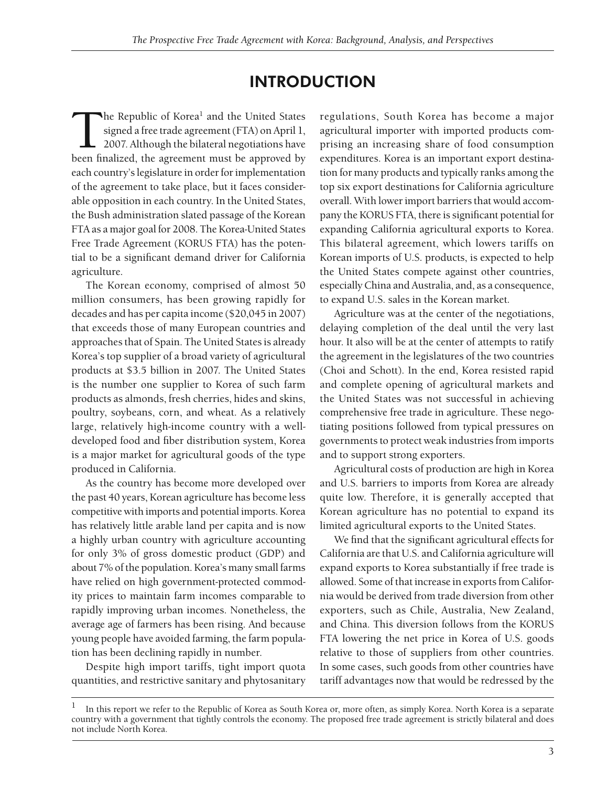## INTRODUCTION

The Republic of Korea<sup>1</sup> and the United States<br>signed a free trade agreement (FTA) on April 1,<br>2007. Although the bilateral negotiations have<br>been finalized, the agreement must be approved by signed a free trade agreement (FTA) on April 1, 2007. Although the bilateral negotiations have been finalized, the agreement must be approved by each country's legislature in order for implementation of the agreement to take place, but it faces considerable opposition in each country. In the United States, the Bush administration slated passage of the Korean FTA as a major goal for 2008. The Korea-United States Free Trade Agreement (KORUS FTA) has the potential to be a significant demand driver for California agriculture.

The Korean economy, comprised of almost 50 million consumers, has been growing rapidly for decades and has per capita income (\$20,045 in 2007) that exceeds those of many European countries and approaches that of Spain. The United States is already Korea's top supplier of a broad variety of agricultural products at \$3.5 billion in 2007. The United States is the number one supplier to Korea of such farm products as almonds, fresh cherries, hides and skins, poultry, soybeans, corn, and wheat. As a relatively large, relatively high-income country with a welldeveloped food and fiber distribution system, Korea is a major market for agricultural goods of the type produced in California.

As the country has become more developed over the past 40 years, Korean agriculture has become less competitive with imports and potential imports. Korea has relatively little arable land per capita and is now a highly urban country with agriculture accounting for only 3% of gross domestic product (GDP) and about 7% of the population. Korea's many small farms have relied on high government-protected commodity prices to maintain farm incomes comparable to rapidly improving urban incomes. Nonetheless, the average age of farmers has been rising. And because young people have avoided farming, the farm population has been declining rapidly in number.

Despite high import tariffs, tight import quota quantities, and restrictive sanitary and phytosanitary regulations, South Korea has become a major agricultural importer with imported products comprising an increasing share of food consumption expenditures. Korea is an important export destination for many products and typically ranks among the top six export destinations for California agriculture overall. With lower import barriers that would accompany the KORUS FTA, there is significant potential for expanding California agricultural exports to Korea. This bilateral agreement, which lowers tariffs on Korean imports of U.S. products, is expected to help the United States compete against other countries, especially China and Australia, and, as a consequence, to expand U.S. sales in the Korean market.

Agriculture was at the center of the negotiations, delaying completion of the deal until the very last hour. It also will be at the center of attempts to ratify the agreement in the legislatures of the two countries (Choi and Schott). In the end, Korea resisted rapid and complete opening of agricultural markets and the United States was not successful in achieving comprehensive free trade in agriculture. These negotiating positions followed from typical pressures on governments to protect weak industries from imports and to support strong exporters.

Agricultural costs of production are high in Korea and U.S. barriers to imports from Korea are already quite low. Therefore, it is generally accepted that Korean agriculture has no potential to expand its limited agricultural exports to the United States.

We find that the significant agricultural effects for California are that U.S. and California agriculture will expand exports to Korea substantially if free trade is allowed. Some of that increase in exports from California would be derived from trade diversion from other exporters, such as Chile, Australia, New Zealand, and China. This diversion follows from the KORUS FTA lowering the net price in Korea of U.S. goods relative to those of suppliers from other countries. In some cases, such goods from other countries have tariff advantages now that would be redressed by the

<sup>1</sup> In this report we refer to the Republic of Korea as South Korea or, more often, as simply Korea. North Korea is a separate country with a government that tightly controls the economy. The proposed free trade agreement is strictly bilateral and does not include North Korea.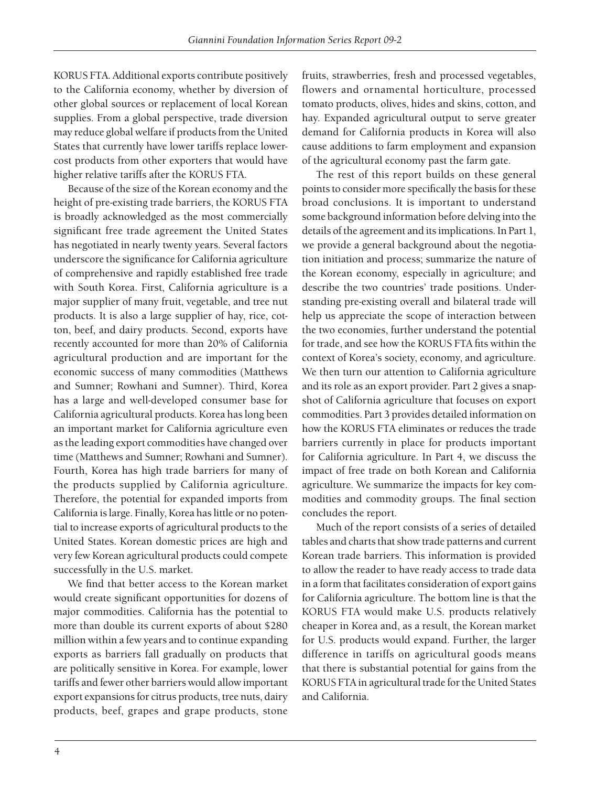KORUS FTA. Additional exports contribute positively to the California economy, whether by diversion of other global sources or replacement of local Korean supplies. From a global perspective, trade diversion may reduce global welfare if products from the United States that currently have lower tariffs replace lowercost products from other exporters that would have higher relative tariffs after the KORUS FTA.

Because of the size of the Korean economy and the height of pre-existing trade barriers, the KORUS FTA is broadly acknowledged as the most commercially significant free trade agreement the United States has negotiated in nearly twenty years. Several factors underscore the significance for California agriculture of comprehensive and rapidly established free trade with South Korea. First, California agriculture is a major supplier of many fruit, vegetable, and tree nut products. It is also a large supplier of hay, rice, cotton, beef, and dairy products. Second, exports have recently accounted for more than 20% of California agricultural production and are important for the economic success of many commodities (Matthews and Sumner; Rowhani and Sumner). Third, Korea has a large and well-developed consumer base for California agricultural products. Korea has long been an important market for California agriculture even as the leading export commodities have changed over time (Matthews and Sumner; Rowhani and Sumner). Fourth, Korea has high trade barriers for many of the products supplied by California agriculture. Therefore, the potential for expanded imports from California is large. Finally, Korea has little or no potential to increase exports of agricultural products to the United States. Korean domestic prices are high and very few Korean agricultural products could compete successfully in the U.S. market.

We find that better access to the Korean market would create significant opportunities for dozens of major commodities. California has the potential to more than double its current exports of about \$280 million within a few years and to continue expanding exports as barriers fall gradually on products that are politically sensitive in Korea. For example, lower tariffs and fewer other barriers would allow important export expansions for citrus products, tree nuts, dairy products, beef, grapes and grape products, stone

fruits, strawberries, fresh and processed vegetables, flowers and ornamental horticulture, processed tomato products, olives, hides and skins, cotton, and hay. Expanded agricultural output to serve greater demand for California products in Korea will also cause additions to farm employment and expansion of the agricultural economy past the farm gate.

The rest of this report builds on these general points to consider more specifically the basis for these broad conclusions. It is important to understand some background information before delving into the details of the agreement and its implications. In Part 1, we provide a general background about the negotiation initiation and process; summarize the nature of the Korean economy, especially in agriculture; and describe the two countries' trade positions. Understanding pre-existing overall and bilateral trade will help us appreciate the scope of interaction between the two economies, further understand the potential for trade, and see how the KORUS FTA fits within the context of Korea's society, economy, and agriculture. We then turn our attention to California agriculture and its role as an export provider. Part 2 gives a snapshot of California agriculture that focuses on export commodities. Part 3 provides detailed information on how the KORUS FTA eliminates or reduces the trade barriers currently in place for products important for California agriculture. In Part 4, we discuss the impact of free trade on both Korean and California agriculture. We summarize the impacts for key commodities and commodity groups. The final section concludes the report.

Much of the report consists of a series of detailed tables and charts that show trade patterns and current Korean trade barriers. This information is provided to allow the reader to have ready access to trade data in a form that facilitates consideration of export gains for California agriculture. The bottom line is that the KORUS FTA would make U.S. products relatively cheaper in Korea and, as a result, the Korean market for U.S. products would expand. Further, the larger difference in tariffs on agricultural goods means that there is substantial potential for gains from the KORUS FTA in agricultural trade for the United States and California.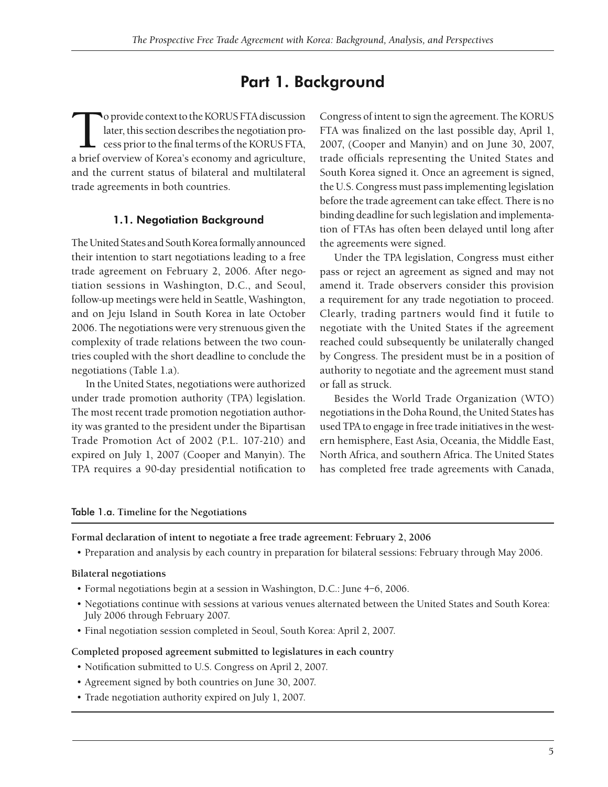## Part 1. Background

To provide context to the KORUS FTA discussion<br>later, this section describes the negotiation process prior to the final terms of the KORUS FTA,<br>a brief overview of Korea's economy and agriculture later, this section describes the negotiation process prior to the final terms of the KORUS FTA, a brief overview of Korea's economy and agriculture, and the current status of bilateral and multilateral trade agreements in both countries.

#### 1.1. Negotiation Background

The United States and South Korea formally announced their intention to start negotiations leading to a free trade agreement on February 2, 2006. After negotiation sessions in Washington, D.C., and Seoul, follow-up meetings were held in Seattle, Washington, and on Jeju Island in South Korea in late October 2006. The negotiations were very strenuous given the complexity of trade relations between the two countries coupled with the short deadline to conclude the negotiations (Table 1.a).

In the United States, negotiations were authorized under trade promotion authority (TPA) legislation. The most recent trade promotion negotiation authority was granted to the president under the Bipartisan Trade Promotion Act of 2002 (P.L. 107-210) and expired on July 1, 2007 (Cooper and Manyin). The TPA requires a 90-day presidential notification to

Congress of intent to sign the agreement. The KORUS FTA was finalized on the last possible day, April 1, 2007, (Cooper and Manyin) and on June 30, 2007, trade officials representing the United States and South Korea signed it. Once an agreement is signed, the U.S. Congress must pass implementing legislation before the trade agreement can take effect. There is no binding deadline for such legislation and implementation of FTAs has often been delayed until long after the agreements were signed.

Under the TPA legislation, Congress must either pass or reject an agreement as signed and may not amend it. Trade observers consider this provision a requirement for any trade negotiation to proceed. Clearly, trading partners would find it futile to negotiate with the United States if the agreement reached could subsequently be unilaterally changed by Congress. The president must be in a position of authority to negotiate and the agreement must stand or fall as struck.

Besides the World Trade Organization (WTO) negotiations in the Doha Round, the United States has used TPA to engage in free trade initiatives in the western hemisphere, East Asia, Oceania, the Middle East, North Africa, and southern Africa. The United States has completed free trade agreements with Canada,

#### Table 1.a. **Timeline for the Negotiations**

**Formal declaration of intent to negotiate a free trade agreement: February 2, 2006**

• Preparation and analysis by each country in preparation for bilateral sessions: February through May 2006.

#### **Bilateral negotiations**

- Formal negotiations begin at a session in Washington, D.C.: June 4–6, 2006.
- Negotiations continue with sessions at various venues alternated between the United States and South Korea: July 2006 through February 2007.
- Final negotiation session completed in Seoul, South Korea: April 2, 2007.

#### **Completed proposed agreement submitted to legislatures in each country**

- Notification submitted to U.S. Congress on April 2, 2007.
- Agreement signed by both countries on June 30, 2007.
- Trade negotiation authority expired on July 1, 2007.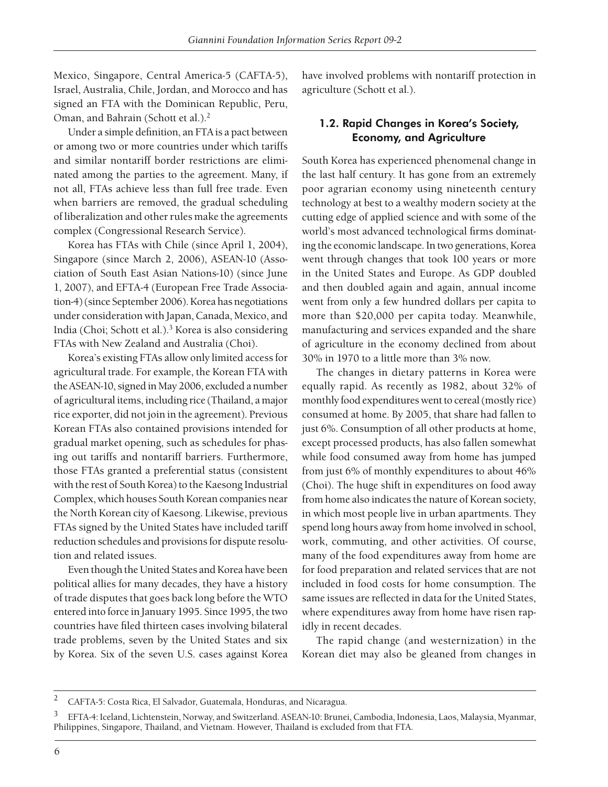Mexico, Singapore, Central America-5 (CAFTA-5), Israel, Australia, Chile, Jordan, and Morocco and has signed an FTA with the Dominican Republic, Peru, Oman, and Bahrain (Schott et al.).2

Under a simple definition, an FTA is a pact between or among two or more countries under which tariffs and similar nontariff border restrictions are eliminated among the parties to the agreement. Many, if not all, FTAs achieve less than full free trade. Even when barriers are removed, the gradual scheduling of liberalization and other rules make the agreements complex (Congressional Research Service).

Korea has FTAs with Chile (since April 1, 2004), Singapore (since March 2, 2006), ASEAN-10 (Association of South East Asian Nations-10) (since June 1, 2007), and EFTA-4 (European Free Trade Association-4) (since September 2006). Korea has negotiations under consideration with Japan, Canada, Mexico, and India (Choi; Schott et al.).3 Korea is also considering FTAs with New Zealand and Australia (Choi).

Korea's existing FTAs allow only limited access for agricultural trade. For example, the Korean FTA with the ASEAN-10, signed in May 2006, excluded a number of agricultural items, including rice (Thailand, a major rice exporter, did not join in the agreement). Previous Korean FTAs also contained provisions intended for gradual market opening, such as schedules for phasing out tariffs and nontariff barriers. Furthermore, those FTAs granted a preferential status (consistent with the rest of South Korea) to the Kaesong Industrial Complex, which houses South Korean companies near the North Korean city of Kaesong. Likewise, previous FTAs signed by the United States have included tariff reduction schedules and provisions for dispute resolution and related issues.

Even though the United States and Korea have been political allies for many decades, they have a history of trade disputes that goes back long before the WTO entered into force in January 1995. Since 1995, the two countries have filed thirteen cases involving bilateral trade problems, seven by the United States and six by Korea. Six of the seven U.S. cases against Korea have involved problems with nontariff protection in agriculture (Schott et al.).

### 1.2. Rapid Changes in Korea's Society, Economy, and Agriculture

South Korea has experienced phenomenal change in the last half century. It has gone from an extremely poor agrarian economy using nineteenth century technology at best to a wealthy modern society at the cutting edge of applied science and with some of the world's most advanced technological firms dominating the economic landscape. In two generations, Korea went through changes that took 100 years or more in the United States and Europe. As GDP doubled and then doubled again and again, annual income went from only a few hundred dollars per capita to more than \$20,000 per capita today. Meanwhile, manufacturing and services expanded and the share of agriculture in the economy declined from about 30% in 1970 to a little more than 3% now.

The changes in dietary patterns in Korea were equally rapid. As recently as 1982, about 32% of monthly food expenditures went to cereal (mostly rice) consumed at home. By 2005, that share had fallen to just 6%. Consumption of all other products at home, except processed products, has also fallen somewhat while food consumed away from home has jumped from just 6% of monthly expenditures to about 46% (Choi). The huge shift in expenditures on food away from home also indicates the nature of Korean society, in which most people live in urban apartments. They spend long hours away from home involved in school, work, commuting, and other activities. Of course, many of the food expenditures away from home are for food preparation and related services that are not included in food costs for home consumption. The same issues are reflected in data for the United States, where expenditures away from home have risen rapidly in recent decades.

The rapid change (and westernization) in the Korean diet may also be gleaned from changes in

<sup>2</sup> CAFTA-5: Costa Rica, El Salvador, Guatemala, Honduras, and Nicaragua.

<sup>3</sup> EFTA-4: Iceland, Lichtenstein, Norway, and Switzerland. ASEAN-10: Brunei, Cambodia, Indonesia, Laos, Malaysia, Myanmar, Philippines, Singapore, Thailand, and Vietnam. However, Thailand is excluded from that FTA.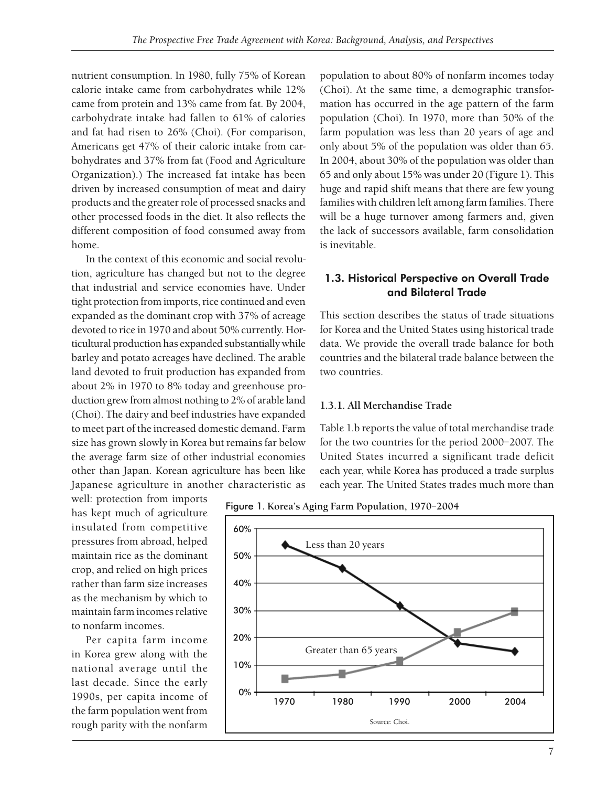nutrient consumption. In 1980, fully 75% of Korean calorie intake came from carbohydrates while 12% came from protein and 13% came from fat. By 2004, carbohydrate intake had fallen to 61% of calories and fat had risen to 26% (Choi). (For comparison, Americans get 47% of their caloric intake from carbohydrates and 37% from fat (Food and Agriculture Organization).) The increased fat intake has been driven by increased consumption of meat and dairy products and the greater role of processed snacks and other processed foods in the diet. It also reflects the different composition of food consumed away from home.

In the context of this economic and social revolution, agriculture has changed but not to the degree that industrial and service economies have. Under tight protection from imports, rice continued and even expanded as the dominant crop with 37% of acreage devoted to rice in 1970 and about 50% currently. Horticultural production has expanded substantially while barley and potato acreages have declined. The arable land devoted to fruit production has expanded from about 2% in 1970 to 8% today and greenhouse production grew from almost nothing to 2% of arable land (Choi). The dairy and beef industries have expanded to meet part of the increased domestic demand. Farm size has grown slowly in Korea but remains far below the average farm size of other industrial economies other than Japan. Korean agriculture has been like Japanese agriculture in another characteristic as

well: protection from imports has kept much of agriculture insulated from competitive pressures from abroad, helped maintain rice as the dominant crop, and relied on high prices rather than farm size increases as the mechanism by which to maintain farm incomes relative to nonfarm incomes.

Per capita farm income in Korea grew along with the national average until the last decade. Since the early 1990s, per capita income of the farm population went from rough parity with the nonfarm population to about 80% of nonfarm incomes today (Choi). At the same time, a demographic transformation has occurred in the age pattern of the farm population (Choi). In 1970, more than 50% of the farm population was less than 20 years of age and only about 5% of the population was older than 65. In 2004, about 30% of the population was older than 65 and only about 15% was under 20 (Figure 1). This huge and rapid shift means that there are few young families with children left among farm families. There will be a huge turnover among farmers and, given the lack of successors available, farm consolidation is inevitable.

### 1.3. Historical Perspective on Overall Trade and Bilateral Trade

This section describes the status of trade situations for Korea and the United States using historical trade data. We provide the overall trade balance for both countries and the bilateral trade balance between the two countries.

#### **1.3.1. All Merchandise Trade**

Table 1.b reports the value of total merchandise trade for the two countries for the period 2000–2007. The United States incurred a significant trade deficit each year, while Korea has produced a trade surplus each year. The United States trades much more than

Figure 1**. Korea's Aging Farm Population, 1970–2004**

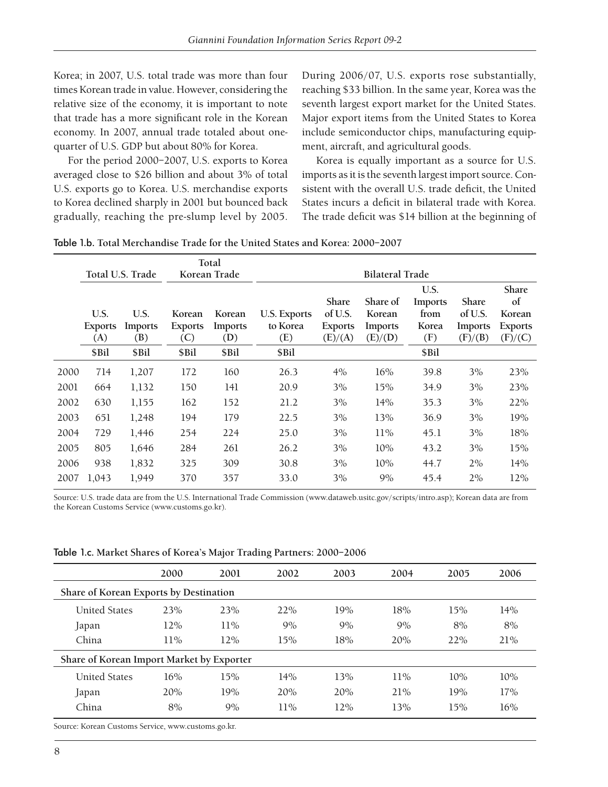Korea; in 2007, U.S. total trade was more than four times Korean trade in value. However, considering the relative size of the economy, it is important to note that trade has a more significant role in the Korean economy. In 2007, annual trade totaled about onequarter of U.S. GDP but about 80% for Korea.

For the period 2000–2007, U.S. exports to Korea averaged close to \$26 billion and about 3% of total U.S. exports go to Korea. U.S. merchandise exports to Korea declined sharply in 2001 but bounced back gradually, reaching the pre-slump level by 2005.

During 2006/07, U.S. exports rose substantially, reaching \$33 billion. In the same year, Korea was the seventh largest export market for the United States. Major export items from the United States to Korea include semiconductor chips, manufacturing equipment, aircraft, and agricultural goods.

Korea is equally important as a source for U.S. imports as it is the seventh largest import source. Consistent with the overall U.S. trade deficit, the United States incurs a deficit in bilateral trade with Korea. The trade deficit was \$14 billion at the beginning of

| Table 1.b. Total Merchandise Trade for the United States and Korea: 2000-2007 |  |
|-------------------------------------------------------------------------------|--|
|-------------------------------------------------------------------------------|--|

|      | Total U.S. Trade              |                               | Total<br>Korean Trade           |                          | <b>Bilateral Trade</b>                 |                                               |                                          |                                         |                                                      |                                                           |
|------|-------------------------------|-------------------------------|---------------------------------|--------------------------|----------------------------------------|-----------------------------------------------|------------------------------------------|-----------------------------------------|------------------------------------------------------|-----------------------------------------------------------|
|      | U.S.<br><b>Exports</b><br>(A) | U.S.<br><b>Imports</b><br>(B) | Korean<br><b>Exports</b><br>(C) | Korean<br>Imports<br>(D) | <b>U.S. Exports</b><br>to Korea<br>(E) | Share<br>of U.S.<br><b>Exports</b><br>(E)/(A) | Share of<br>Korean<br>Imports<br>(E)/(D) | U.S.<br>Imports<br>from<br>Korea<br>(F) | <b>Share</b><br>of U.S.<br><b>Imports</b><br>(F)/(B) | <b>Share</b><br>of<br>Korean<br><b>Exports</b><br>(F)/(C) |
|      | \$Bil                         | \$Bil                         | \$Bil                           | \$Bil                    | \$Bil                                  |                                               |                                          | \$Bil                                   |                                                      |                                                           |
| 2000 | 714                           | 1,207                         | 172                             | 160                      | 26.3                                   | 4%                                            | 16%                                      | 39.8                                    | 3%                                                   | 23%                                                       |
| 2001 | 664                           | 1,132                         | 150                             | 141                      | 20.9                                   | 3%                                            | 15%                                      | 34.9                                    | 3%                                                   | 23%                                                       |
| 2002 | 630                           | 1,155                         | 162                             | 152                      | 21.2                                   | 3%                                            | 14%                                      | 35.3                                    | 3%                                                   | 22%                                                       |
| 2003 | 651                           | 1,248                         | 194                             | 179                      | 22.5                                   | 3%                                            | 13%                                      | 36.9                                    | 3%                                                   | 19%                                                       |
| 2004 | 729                           | 1,446                         | 254                             | 224                      | 25.0                                   | 3%                                            | 11%                                      | 45.1                                    | 3%                                                   | 18%                                                       |
| 2005 | 805                           | 1,646                         | 284                             | 261                      | 26.2                                   | 3%                                            | 10%                                      | 43.2                                    | 3%                                                   | 15%                                                       |
| 2006 | 938                           | 1,832                         | 325                             | 309                      | 30.8                                   | 3%                                            | 10%                                      | 44.7                                    | 2%                                                   | 14%                                                       |
| 2007 | 1.043                         | 1,949                         | 370                             | 357                      | 33.0                                   | 3%                                            | 9%                                       | 45.4                                    | 2%                                                   | 12%                                                       |

Source: U.S. trade data are from the U.S. International Trade Commission (www.dataweb.usitc.gov/scripts/intro.asp); Korean data are from the Korean Customs Service (www.customs.go.kr).

Table 1.c. **Market Shares of Korea's Major Trading Partners: 2000–2006**

|                                           | 2000 | 2001   | 2002   | 2003 | 2004   | 2005 | 2006 |  |  |  |
|-------------------------------------------|------|--------|--------|------|--------|------|------|--|--|--|
| Share of Korean Exports by Destination    |      |        |        |      |        |      |      |  |  |  |
| <b>United States</b>                      | 23%  | 23%    | 22%    | 19%  | 18%    | 15%  | 14%  |  |  |  |
| Japan                                     | 12%  | $11\%$ | 9%     | 9%   | 9%     | 8%   | 8%   |  |  |  |
| China                                     | 11%  | 12%    | 15%    | 18%  | 20%    | 22%  | 21%  |  |  |  |
| Share of Korean Import Market by Exporter |      |        |        |      |        |      |      |  |  |  |
| <b>United States</b>                      | 16%  | 15%    | 14%    | 13%  | $11\%$ | 10%  | 10%  |  |  |  |
| Japan                                     | 20%  | 19%    | 20%    | 20%  | 21%    | 19%  | 17%  |  |  |  |
| China                                     | 8%   | 9%     | $11\%$ | 12%  | 13%    | 15%  | 16%  |  |  |  |
|                                           |      |        |        |      |        |      |      |  |  |  |

Source: Korean Customs Service, www.customs.go.kr.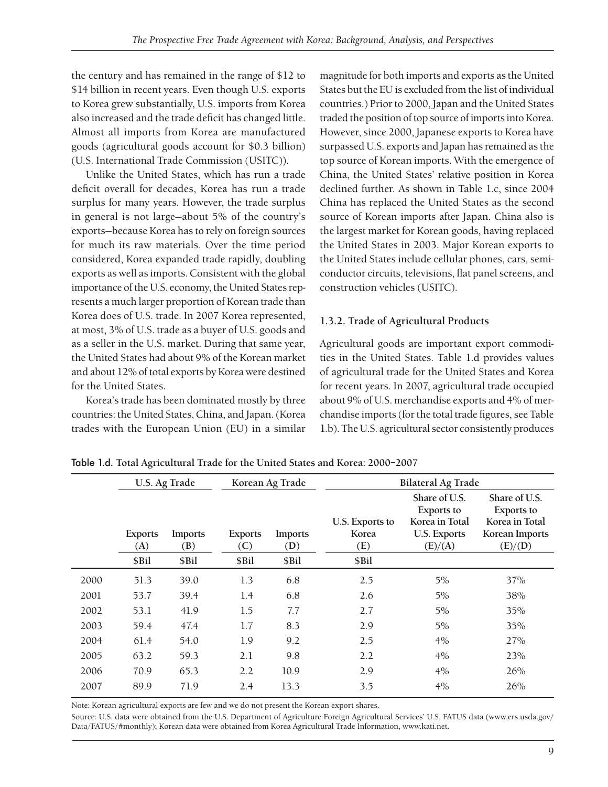the century and has remained in the range of \$12 to \$14 billion in recent years. Even though U.S. exports to Korea grew substantially, U.S. imports from Korea also increased and the trade deficit has changed little. Almost all imports from Korea are manufactured goods (agricultural goods account for \$0.3 billion) (U.S. International Trade Commission (USITC)).

Unlike the United States, which has run a trade deficit overall for decades, Korea has run a trade surplus for many years. However, the trade surplus in general is not large—about 5% of the country's exports—because Korea has to rely on foreign sources for much its raw materials. Over the time period considered, Korea expanded trade rapidly, doubling exports as well as imports. Consistent with the global importance of the U.S. economy, the United States represents a much larger proportion of Korean trade than Korea does of U.S. trade. In 2007 Korea represented, at most, 3% of U.S. trade as a buyer of U.S. goods and as a seller in the U.S. market. During that same year, the United States had about 9% of the Korean market and about 12% of total exports by Korea were destined for the United States.

Korea's trade has been dominated mostly by three countries: the United States, China, and Japan. (Korea trades with the European Union (EU) in a similar magnitude for both imports and exports as the United States but the EU is excluded from the list of individual countries.) Prior to 2000, Japan and the United States traded the position of top source of imports into Korea. However, since 2000, Japanese exports to Korea have surpassed U.S. exports and Japan has remained as the top source of Korean imports. With the emergence of China, the United States' relative position in Korea declined further. As shown in Table 1.c, since 2004 China has replaced the United States as the second source of Korean imports after Japan. China also is the largest market for Korean goods, having replaced the United States in 2003. Major Korean exports to the United States include cellular phones, cars, semiconductor circuits, televisions, flat panel screens, and construction vehicles (USITC).

### **1.3.2. Trade of Agricultural Products**

Agricultural goods are important export commodities in the United States. Table 1.d provides values of agricultural trade for the United States and Korea for recent years. In 2007, agricultural trade occupied about 9% of U.S. merchandise exports and 4% of merchandise imports (for the total trade figures, see Table 1.b). The U.S. agricultural sector consistently produces

|      | U.S. Ag Trade         |                |                       | Korean Ag Trade |                                 | <b>Bilateral Ag Trade</b>                                                              |                                                                                   |  |  |  |
|------|-----------------------|----------------|-----------------------|-----------------|---------------------------------|----------------------------------------------------------------------------------------|-----------------------------------------------------------------------------------|--|--|--|
|      | <b>Exports</b><br>(A) | Imports<br>(B) | <b>Exports</b><br>(C) | Imports<br>(D)  | U.S. Exports to<br>Korea<br>(E) | Share of U.S.<br><b>Exports to</b><br>Korea in Total<br><b>U.S. Exports</b><br>(E)/(A) | Share of U.S.<br><b>Exports</b> to<br>Korea in Total<br>Korean Imports<br>(E)/(D) |  |  |  |
|      | \$Bil                 | \$Bil          | \$Bil                 | \$Bil           | \$Bil                           |                                                                                        |                                                                                   |  |  |  |
| 2000 | 51.3                  | 39.0           | 1.3                   | 6.8             | 2.5                             | $5\%$                                                                                  | 37%                                                                               |  |  |  |
| 2001 | 53.7                  | 39.4           | 1.4                   | 6.8             | 2.6                             | 5%                                                                                     | 38%                                                                               |  |  |  |
| 2002 | 53.1                  | 41.9           | 1.5                   | 7.7             | 2.7                             | $5\%$                                                                                  | 35%                                                                               |  |  |  |
| 2003 | 59.4                  | 47.4           | 1.7                   | 8.3             | 2.9                             | 5%                                                                                     | 35%                                                                               |  |  |  |
| 2004 | 61.4                  | 54.0           | 1.9                   | 9.2             | 2.5                             | 4%                                                                                     | 27%                                                                               |  |  |  |
| 2005 | 63.2                  | 59.3           | 2.1                   | 9.8             | 2.2                             | 4%                                                                                     | 23%                                                                               |  |  |  |
| 2006 | 70.9                  | 65.3           | 2.2                   | 10.9            | 2.9                             | 4%                                                                                     | 26%                                                                               |  |  |  |
| 2007 | 89.9                  | 71.9           | 2.4                   | 13.3            | 3.5                             | 4%                                                                                     | 26%                                                                               |  |  |  |

Table 1.d. **Total Agricultural Trade for the United States and Korea: 2000–2007**

Note: Korean agricultural exports are few and we do not present the Korean export shares.

Source: U.S. data were obtained from the U.S. Department of Agriculture Foreign Agricultural Services' U.S. FATUS data (www.ers.usda.gov/ Data/FATUS/#monthly); Korean data were obtained from Korea Agricultural Trade Information, www.kati.net.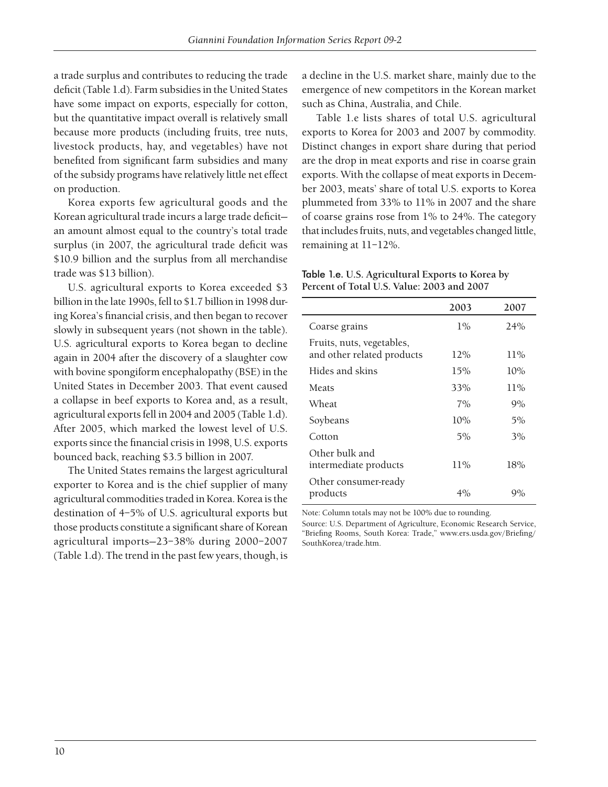a trade surplus and contributes to reducing the trade deficit (Table 1.d). Farm subsidies in the United States have some impact on exports, especially for cotton, but the quantitative impact overall is relatively small because more products (including fruits, tree nuts, livestock products, hay, and vegetables) have not benefited from significant farm subsidies and many of the subsidy programs have relatively little net effect on production.

Korea exports few agricultural goods and the Korean agricultural trade incurs a large trade deficitan amount almost equal to the country's total trade surplus (in 2007, the agricultural trade deficit was \$10.9 billion and the surplus from all merchandise trade was \$13 billion).

U.S. agricultural exports to Korea exceeded \$3 billion in the late 1990s, fell to \$1.7 billion in 1998 during Korea's financial crisis, and then began to recover slowly in subsequent years (not shown in the table). U.S. agricultural exports to Korea began to decline again in 2004 after the discovery of a slaughter cow with bovine spongiform encephalopathy (BSE) in the United States in December 2003. That event caused a collapse in beef exports to Korea and, as a result, agricultural exports fell in 2004 and 2005 (Table 1.d). After 2005, which marked the lowest level of U.S. exports since the financial crisis in 1998, U.S. exports bounced back, reaching \$3.5 billion in 2007.

The United States remains the largest agricultural exporter to Korea and is the chief supplier of many agricultural commodities traded in Korea. Korea is the destination of 4–5% of U.S. agricultural exports but those products constitute a significant share of Korean agricultural imports—23–38% during 2000–2007 (Table 1.d). The trend in the past few years, though, is

a decline in the U.S. market share, mainly due to the emergence of new competitors in the Korean market such as China, Australia, and Chile.

Table 1.e lists shares of total U.S. agricultural exports to Korea for 2003 and 2007 by commodity. Distinct changes in export share during that period are the drop in meat exports and rise in coarse grain exports. With the collapse of meat exports in December 2003, meats' share of total U.S. exports to Korea plummeted from 33% to 11% in 2007 and the share of coarse grains rose from 1% to 24%. The category that includes fruits, nuts, and vegetables changed little, remaining at 11–12%.

Table 1.e. **U.S. Agricultural Exports to Korea by Percent of Total U.S. Value: 2003 and 2007**

|                                                         | 2003  | 2007   |
|---------------------------------------------------------|-------|--------|
| Coarse grains                                           | $1\%$ | 24%    |
| Fruits, nuts, vegetables,<br>and other related products | 12%   | $11\%$ |
| Hides and skins                                         | 15%   | 10%    |
| Meats                                                   | 33%   | $11\%$ |
| Wheat                                                   | 7%    | 9%     |
| Soybeans                                                | 10%   | 5%     |
| Cotton                                                  | 5%    | 3%     |
| Other bulk and<br>intermediate products                 | 11%   | 18%    |
| Other consumer-ready<br>products                        | $4\%$ | 9%     |

Note: Column totals may not be 100% due to rounding.

Source: U.S. Department of Agriculture, Economic Research Service, "Briefing Rooms, South Korea: Trade," www.ers.usda.gov/Briefing/ SouthKorea/trade.htm.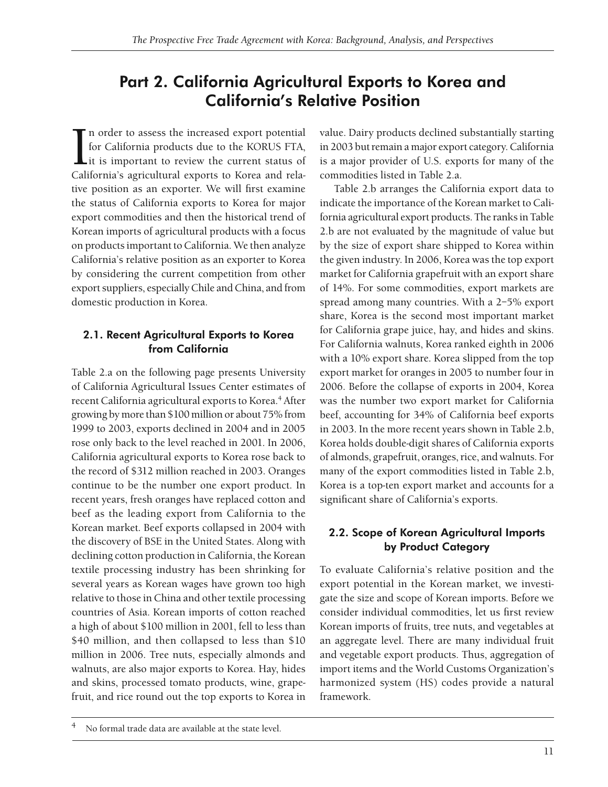## Part 2. California Agricultural Exports to Korea and California's Relative Position

 $\prod_{\text{Cali}}$  $\Gamma$ n order to assess the increased export potential for California products due to the KORUS FTA, it is important to review the current status of California's agricultural exports to Korea and relative position as an exporter. We will first examine the status of California exports to Korea for major export commodities and then the historical trend of Korean imports of agricultural products with a focus on products important to California. We then analyze California's relative position as an exporter to Korea by considering the current competition from other export suppliers, especially Chile and China, and from domestic production in Korea.

## 2.1. Recent Agricultural Exports to Korea from California

Table 2.a on the following page presents University of California Agricultural Issues Center estimates of recent California agricultural exports to Korea.<sup>4</sup> After growing by more than \$100 million or about 75% from 1999 to 2003, exports declined in 2004 and in 2005 rose only back to the level reached in 2001. In 2006, California agricultural exports to Korea rose back to the record of \$312 million reached in 2003. Oranges continue to be the number one export product. In recent years, fresh oranges have replaced cotton and beef as the leading export from California to the Korean market. Beef exports collapsed in 2004 with the discovery of BSE in the United States. Along with declining cotton production in California, the Korean textile processing industry has been shrinking for several years as Korean wages have grown too high relative to those in China and other textile processing countries of Asia. Korean imports of cotton reached a high of about \$100 million in 2001, fell to less than \$40 million, and then collapsed to less than \$10 million in 2006. Tree nuts, especially almonds and walnuts, are also major exports to Korea. Hay, hides and skins, processed tomato products, wine, grapefruit, and rice round out the top exports to Korea in

value. Dairy products declined substantially starting in 2003 but remain a major export category. California is a major provider of U.S. exports for many of the commodities listed in Table 2.a.

Table 2.b arranges the California export data to indicate the importance of the Korean market to California agricultural export products. The ranks in Table 2.b are not evaluated by the magnitude of value but by the size of export share shipped to Korea within the given industry. In 2006, Korea was the top export market for California grapefruit with an export share of 14%. For some commodities, export markets are spread among many countries. With a 2–5% export share, Korea is the second most important market for California grape juice, hay, and hides and skins. For California walnuts, Korea ranked eighth in 2006 with a 10% export share. Korea slipped from the top export market for oranges in 2005 to number four in 2006. Before the collapse of exports in 2004, Korea was the number two export market for California beef, accounting for 34% of California beef exports in 2003. In the more recent years shown in Table 2.b, Korea holds double-digit shares of California exports of almonds, grapefruit, oranges, rice, and walnuts. For many of the export commodities listed in Table 2.b, Korea is a top-ten export market and accounts for a significant share of California's exports.

## 2.2. Scope of Korean Agricultural Imports by Product Category

To evaluate California's relative position and the export potential in the Korean market, we investigate the size and scope of Korean imports. Before we consider individual commodities, let us first review Korean imports of fruits, tree nuts, and vegetables at an aggregate level. There are many individual fruit and vegetable export products. Thus, aggregation of import items and the World Customs Organization's harmonized system (HS) codes provide a natural framework.

No formal trade data are available at the state level.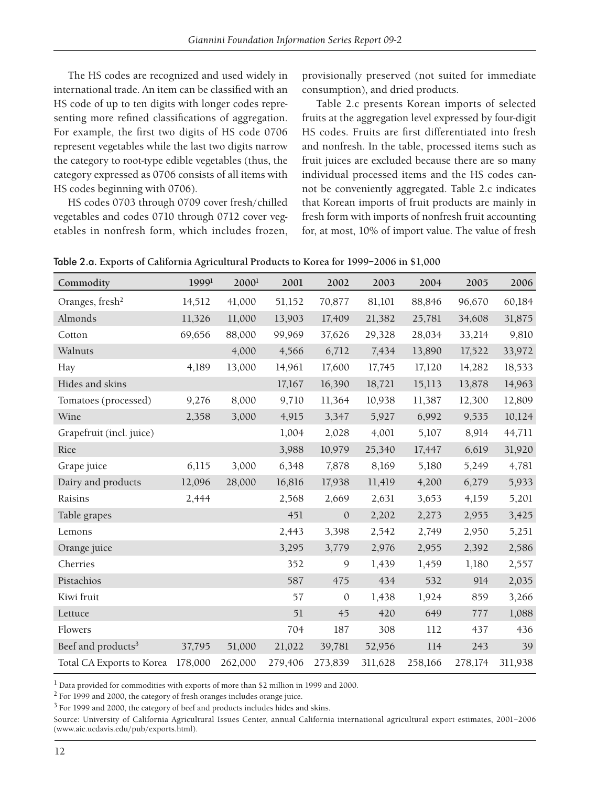The HS codes are recognized and used widely in international trade. An item can be classified with an HS code of up to ten digits with longer codes representing more refined classifications of aggregation. For example, the first two digits of HS code 0706 represent vegetables while the last two digits narrow the category to root-type edible vegetables (thus, the category expressed as 0706 consists of all items with HS codes beginning with 0706).

HS codes 0703 through 0709 cover fresh/chilled vegetables and codes 0710 through 0712 cover vegetables in nonfresh form, which includes frozen,

provisionally preserved (not suited for immediate consumption), and dried products.

Table 2.c presents Korean imports of selected fruits at the aggregation level expressed by four-digit HS codes. Fruits are first differentiated into fresh and nonfresh. In the table, processed items such as fruit juices are excluded because there are so many individual processed items and the HS codes cannot be conveniently aggregated. Table 2.c indicates that Korean imports of fruit products are mainly in fresh form with imports of nonfresh fruit accounting for, at most, 10% of import value. The value of fresh

| Commodity                      | 1999 <sup>1</sup> | 2000 <sup>1</sup> | 2001    | 2002         | 2003    | 2004    | 2005    | 2006    |
|--------------------------------|-------------------|-------------------|---------|--------------|---------|---------|---------|---------|
| Oranges, fresh <sup>2</sup>    | 14,512            | 41,000            | 51,152  | 70,877       | 81,101  | 88,846  | 96,670  | 60,184  |
| Almonds                        | 11,326            | 11,000            | 13,903  | 17,409       | 21,382  | 25,781  | 34,608  | 31,875  |
| Cotton                         | 69,656            | 88,000            | 99,969  | 37,626       | 29,328  | 28,034  | 33,214  | 9,810   |
| Walnuts                        |                   | 4,000             | 4,566   | 6,712        | 7,434   | 13,890  | 17,522  | 33,972  |
| Hay                            | 4,189             | 13,000            | 14,961  | 17,600       | 17,745  | 17,120  | 14,282  | 18,533  |
| Hides and skins                |                   |                   | 17,167  | 16,390       | 18,721  | 15,113  | 13,878  | 14,963  |
| Tomatoes (processed)           | 9,276             | 8,000             | 9,710   | 11,364       | 10,938  | 11,387  | 12,300  | 12,809  |
| Wine                           | 2,358             | 3,000             | 4,915   | 3,347        | 5,927   | 6,992   | 9,535   | 10,124  |
| Grapefruit (incl. juice)       |                   |                   | 1,004   | 2,028        | 4,001   | 5,107   | 8,914   | 44,711  |
| Rice                           |                   |                   | 3,988   | 10,979       | 25,340  | 17,447  | 6,619   | 31,920  |
| Grape juice                    | 6,115             | 3,000             | 6,348   | 7,878        | 8,169   | 5,180   | 5,249   | 4,781   |
| Dairy and products             | 12,096            | 28,000            | 16,816  | 17,938       | 11,419  | 4,200   | 6,279   | 5,933   |
| Raisins                        | 2,444             |                   | 2,568   | 2,669        | 2,631   | 3,653   | 4,159   | 5,201   |
| Table grapes                   |                   |                   | 451     | $\mathbf{0}$ | 2,202   | 2,273   | 2,955   | 3,425   |
| Lemons                         |                   |                   | 2,443   | 3,398        | 2,542   | 2,749   | 2,950   | 5,251   |
| Orange juice                   |                   |                   | 3,295   | 3,779        | 2,976   | 2,955   | 2,392   | 2,586   |
| Cherries                       |                   |                   | 352     | 9            | 1,439   | 1,459   | 1,180   | 2,557   |
| Pistachios                     |                   |                   | 587     | 475          | 434     | 532     | 914     | 2,035   |
| Kiwi fruit                     |                   |                   | 57      | $\theta$     | 1,438   | 1,924   | 859     | 3,266   |
| Lettuce                        |                   |                   | 51      | 45           | 420     | 649     | 777     | 1,088   |
| Flowers                        |                   |                   | 704     | 187          | 308     | 112     | 437     | 436     |
| Beef and products <sup>3</sup> | 37,795            | 51,000            | 21,022  | 39,781       | 52,956  | 114     | 243     | 39      |
| Total CA Exports to Korea      | 178,000           | 262,000           | 279,406 | 273,839      | 311,628 | 258,166 | 278,174 | 311,938 |

Table 2.a. **Exports of California Agricultural Products to Korea for 1999–2006 in \$1,000**

<sup>1</sup> Data provided for commodities with exports of more than \$2 million in 1999 and 2000.

<sup>2</sup> For 1999 and 2000, the category of fresh oranges includes orange juice.

<sup>3</sup> For 1999 and 2000, the category of beef and products includes hides and skins.

Source: University of California Agricultural Issues Center, annual California international agricultural export estimates, 2001–2006 (www.aic.ucdavis.edu/pub/exports.html).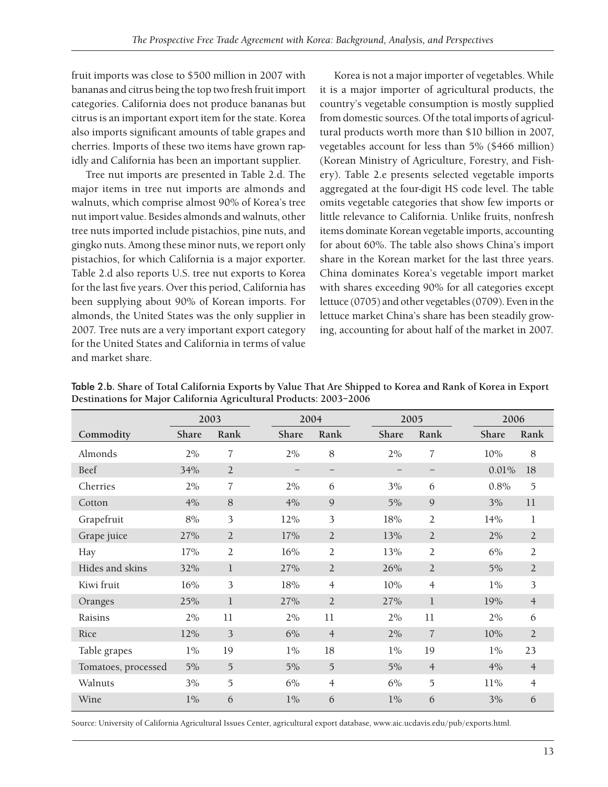fruit imports was close to \$500 million in 2007 with bananas and citrus being the top two fresh fruit import categories. California does not produce bananas but citrus is an important export item for the state. Korea also imports significant amounts of table grapes and cherries. Imports of these two items have grown rapidly and California has been an important supplier.

Tree nut imports are presented in Table 2.d. The major items in tree nut imports are almonds and walnuts, which comprise almost 90% of Korea's tree nut import value. Besides almonds and walnuts, other tree nuts imported include pistachios, pine nuts, and gingko nuts. Among these minor nuts, we report only pistachios, for which California is a major exporter. Table 2.d also reports U.S. tree nut exports to Korea for the last five years. Over this period, California has been supplying about 90% of Korean imports. For almonds, the United States was the only supplier in 2007. Tree nuts are a very important export category for the United States and California in terms of value and market share.

Korea is not a major importer of vegetables. While it is a major importer of agricultural products, the country's vegetable consumption is mostly supplied from domestic sources. Of the total imports of agricultural products worth more than \$10 billion in 2007, vegetables account for less than 5% (\$466 million) (Korean Ministry of Agriculture, Forestry, and Fishery). Table 2.e presents selected vegetable imports aggregated at the four-digit HS code level. The table omits vegetable categories that show few imports or little relevance to California. Unlike fruits, nonfresh items dominate Korean vegetable imports, accounting for about 60%. The table also shows China's import share in the Korean market for the last three years. China dominates Korea's vegetable import market with shares exceeding 90% for all categories except lettuce (0705) and other vegetables (0709). Even in the lettuce market China's share has been steadily growing, accounting for about half of the market in 2007.

|                     | 2003  |                |                   | 2004              |       | 2005           |        | 2006           |  |
|---------------------|-------|----------------|-------------------|-------------------|-------|----------------|--------|----------------|--|
| Commodity           | Share | Rank           | Share             | Rank              | Share | Rank           | Share  | Rank           |  |
| Almonds             | 2%    | 7              | 2%                | 8                 | 2%    | 7              | 10%    | 8              |  |
| Beef                | 34%   | $\overline{2}$ | $\qquad \qquad -$ | $\qquad \qquad -$ |       |                | 0.01%  | 18             |  |
| Cherries            | 2%    | 7              | 2%                | 6                 | 3%    | 6              | 0.8%   | 5              |  |
| Cotton              | 4%    | 8              | 4%                | 9                 | 5%    | 9              | 3%     | 11             |  |
| Grapefruit          | 8%    | 3              | 12%               | 3                 | 18%   | $\overline{2}$ | 14%    | 1              |  |
| Grape juice         | 27%   | $\overline{2}$ | 17%               | $\overline{2}$    | 13%   | $\overline{2}$ | 2%     | $\overline{2}$ |  |
| Hay                 | 17%   | $\overline{2}$ | 16%               | $\overline{2}$    | 13%   | $\overline{2}$ | 6%     | 2              |  |
| Hides and skins     | 32%   | $\mathbf{1}$   | 27%               | $\overline{2}$    | 26%   | $\overline{2}$ | 5%     | $\overline{2}$ |  |
| Kiwi fruit          | 16%   | 3              | 18%               | $\overline{4}$    | 10%   | $\overline{4}$ | $1\%$  | 3              |  |
| Oranges             | 25%   | 1              | 27%               | $\overline{2}$    | 27%   | $\mathbf{1}$   | 19%    | $\overline{4}$ |  |
| Raisins             | 2%    | 11             | 2%                | 11                | 2%    | 11             | 2%     | 6              |  |
| Rice                | 12%   | 3              | 6%                | $\overline{4}$    | 2%    | $\overline{7}$ | 10%    | $\overline{2}$ |  |
| Table grapes        | $1\%$ | 19             | $1\%$             | 18                | $1\%$ | 19             | $1\%$  | 23             |  |
| Tomatoes, processed | 5%    | $\overline{5}$ | 5%                | 5                 | 5%    | $\overline{4}$ | 4%     | $\overline{4}$ |  |
| Walnuts             | 3%    | 5              | 6%                | $\overline{4}$    | 6%    | 5              | $11\%$ | $\overline{4}$ |  |
| Wine                | $1\%$ | 6              | $1\%$             | 6                 | $1\%$ | 6              | 3%     | 6              |  |

Table 2.b. **Share of Total California Exports by Value That Are Shipped to Korea and Rank of Korea in Export Destinations for Major California Agricultural Products: 2003–2006**

Source: University of California Agricultural Issues Center, agricultural export database, www.aic.ucdavis.edu/pub/exports.html.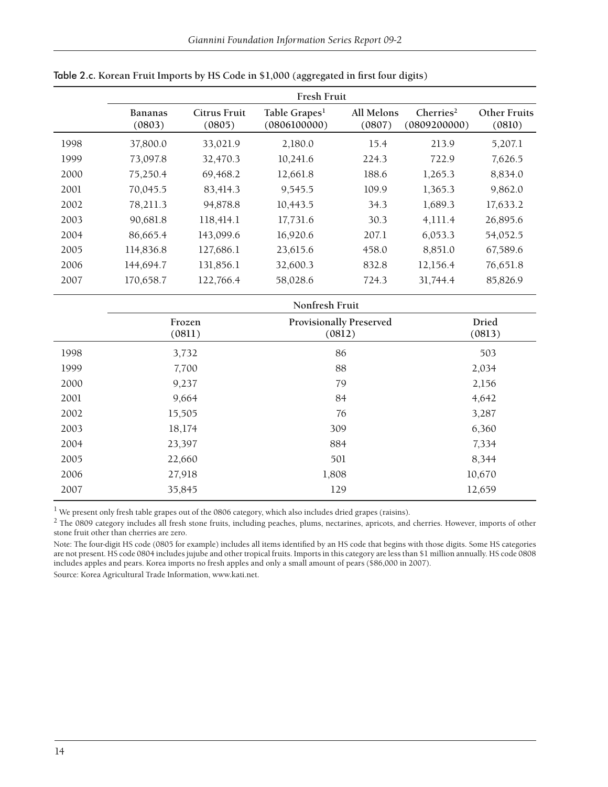|      | Fresh Fruit       |                        |                                           |                      |                                       |                               |  |  |  |  |
|------|-------------------|------------------------|-------------------------------------------|----------------------|---------------------------------------|-------------------------------|--|--|--|--|
|      | Bananas<br>(0803) | Citrus Fruit<br>(0805) | Table Grapes <sup>1</sup><br>(0806100000) | All Melons<br>(0807) | Cherries <sup>2</sup><br>(0809200000) | <b>Other Fruits</b><br>(0810) |  |  |  |  |
| 1998 | 37,800.0          | 33,021.9               | 2,180.0                                   | 15.4                 | 213.9                                 | 5,207.1                       |  |  |  |  |
| 1999 | 73,097.8          | 32,470.3               | 10,241.6                                  | 224.3                | 722.9                                 | 7,626.5                       |  |  |  |  |
| 2000 | 75,250.4          | 69,468.2               | 12,661.8                                  | 188.6                | 1,265.3                               | 8,834.0                       |  |  |  |  |
| 2001 | 70,045.5          | 83,414.3               | 9,545.5                                   | 109.9                | 1,365.3                               | 9,862.0                       |  |  |  |  |
| 2002 | 78,211.3          | 94,878.8               | 10,443.5                                  | 34.3                 | 1,689.3                               | 17,633.2                      |  |  |  |  |
| 2003 | 90,681.8          | 118,414.1              | 17,731.6                                  | 30.3                 | 4,111.4                               | 26,895.6                      |  |  |  |  |
| 2004 | 86,665.4          | 143,099.6              | 16,920.6                                  | 207.1                | 6,053.3                               | 54,052.5                      |  |  |  |  |
| 2005 | 114,836.8         | 127,686.1              | 23,615.6                                  | 458.0                | 8,851.0                               | 67,589.6                      |  |  |  |  |
| 2006 | 144,694.7         | 131,856.1              | 32,600.3                                  | 832.8                | 12,156.4                              | 76,651.8                      |  |  |  |  |
| 2007 | 170,658.7         | 122,766.4              | 58,028.6                                  | 724.3                | 31,744.4                              | 85,826.9                      |  |  |  |  |

#### Table 2.c. Korean Fruit Imports by HS Code in \$1,000 (aggregated in first four digits)

|      |                  | Nonfresh Fruit                           |                        |
|------|------------------|------------------------------------------|------------------------|
|      | Frozen<br>(0811) | <b>Provisionally Preserved</b><br>(0812) | <b>Dried</b><br>(0813) |
| 1998 | 3,732            | 86                                       | 503                    |
| 1999 | 7,700            | 88                                       | 2,034                  |
| 2000 | 9,237            | 79                                       | 2,156                  |
| 2001 | 9,664            | 84                                       | 4,642                  |
| 2002 | 15,505           | 76                                       | 3,287                  |
| 2003 | 18,174           | 309                                      | 6,360                  |
| 2004 | 23,397           | 884                                      | 7,334                  |
| 2005 | 22,660           | 501                                      | 8,344                  |
| 2006 | 27,918           | 1,808                                    | 10,670                 |
| 2007 | 35,845           | 129                                      | 12,659                 |

<sup>1</sup> We present only fresh table grapes out of the 0806 category, which also includes dried grapes (raisins).

<sup>2</sup> The 0809 category includes all fresh stone fruits, including peaches, plums, nectarines, apricots, and cherries. However, imports of other stone fruit other than cherries are zero.

Note: The four-digit HS code (0805 for example) includes all items identified by an HS code that begins with those digits. Some HS categories are not present. HS code 0804 includes jujube and other tropical fruits. Imports in this category are less than \$1 million annually. HS code 0808 includes apples and pears. Korea imports no fresh apples and only a small amount of pears (\$86,000 in 2007).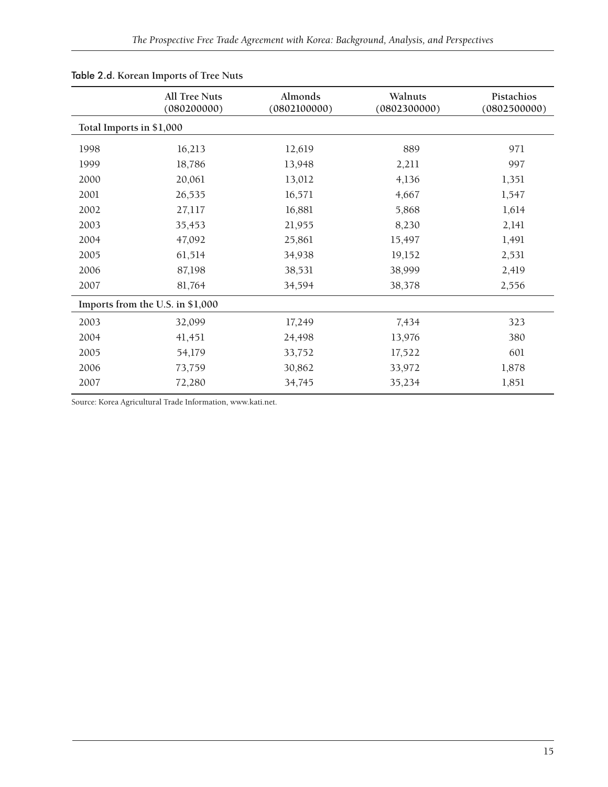|                          | <b>All Tree Nuts</b><br>(080200000) | Almonds<br>(0802100000) | Walnuts<br>(0802300000) | Pistachios<br>(0802500000) |
|--------------------------|-------------------------------------|-------------------------|-------------------------|----------------------------|
| Total Imports in \$1,000 |                                     |                         |                         |                            |
| 1998                     | 16,213                              | 12,619                  | 889                     | 971                        |
| 1999                     | 18,786                              | 13,948                  | 2,211                   | 997                        |
| 2000                     | 20,061                              | 13,012                  | 4,136                   | 1,351                      |
| 2001                     | 26,535                              | 16,571                  | 4,667                   | 1,547                      |
| 2002                     | 27,117                              | 16,881                  | 5,868                   | 1,614                      |
| 2003                     | 35,453                              | 21,955                  | 8,230                   | 2,141                      |
| 2004                     | 47,092                              | 25,861                  | 15,497                  | 1,491                      |
| 2005                     | 61,514                              | 34,938                  | 19,152                  | 2,531                      |
| 2006                     | 87,198                              | 38,531                  | 38,999                  | 2,419                      |
| 2007                     | 81,764                              | 34,594                  | 38,378                  | 2,556                      |
|                          | Imports from the U.S. in \$1,000    |                         |                         |                            |
| 2003                     | 32,099                              | 17,249                  | 7,434                   | 323                        |
| 2004                     | 41,451                              | 24,498                  | 13,976                  | 380                        |
| 2005                     | 54,179                              | 33,752                  | 17,522                  | 601                        |
| 2006                     | 73,759                              | 30,862                  | 33,972                  | 1,878                      |
| 2007                     | 72,280                              | 34,745                  | 35,234                  | 1,851                      |

### Table 2.d. **Korean Imports of Tree Nuts**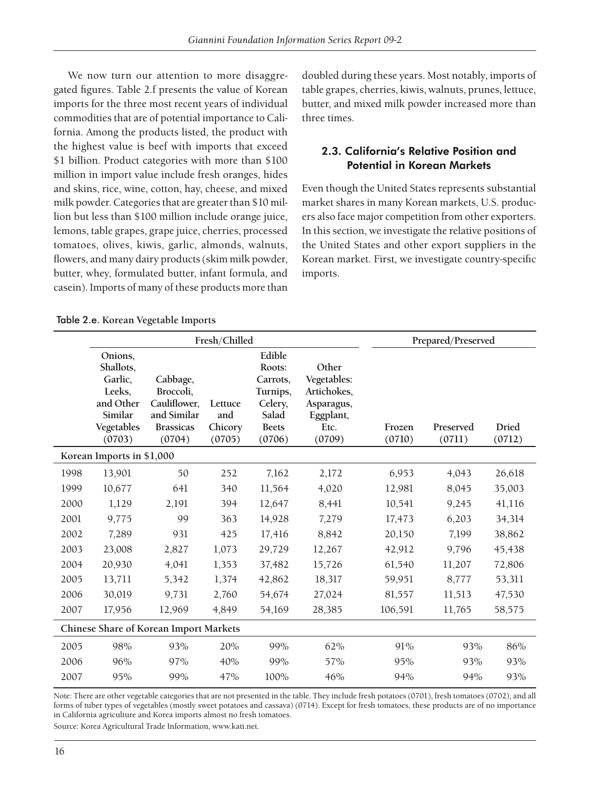We now turn our attention to more disaggregated figures. Table 2.f presents the value of Korean imports for the three most recent years of individual commodities that are of potential importance to California. Among the products listed, the product with the highest value is beef with imports that exceed \$1 billion. Product categories with more than \$100 million in import value include fresh oranges, hides and skins, rice, wine, cotton, hay, cheese, and mixed milk powder. Categories that are greater than \$10 million but less than \$100 million include orange juice, lemons, table grapes, grape juice, cherries, processed tomatoes, olives, kiwis, garlic, almonds, walnuts, flowers, and many dairy products (skim milk powder, butter, whey, formulated butter, infant formula, and casein). Imports of many of these products more than

doubled during these years. Most notably, imports of table grapes, cherries, kiwis, walnuts, prunes, lettuce, butter, and mixed milk powder increased more than three times.

## 2.3. California's Relative Position and Potential in Korean Markets

Even though the United States represents substantial market shares in many Korean markets, U.S. producers also face major competition from other exporters. In this section, we investigate the relative positions of the United States and other export suppliers in the Korean market. First, we investigate country-specific imports.

| Table 2.e. Korean Vegetable Imports |  |  |
|-------------------------------------|--|--|
|                                     |  |  |

|      |                                                                                           |                                                                                    | Fresh/Chilled                       |                                                                                        |                                                                                  |                  | Prepared/Preserved  |                        |
|------|-------------------------------------------------------------------------------------------|------------------------------------------------------------------------------------|-------------------------------------|----------------------------------------------------------------------------------------|----------------------------------------------------------------------------------|------------------|---------------------|------------------------|
|      | Onions,<br>Shallots,<br>Garlic,<br>Leeks,<br>and Other<br>Similar<br>Vegetables<br>(0703) | Cabbage,<br>Broccoli,<br>Cauliflower,<br>and Similar<br><b>Brassicas</b><br>(0704) | Lettuce<br>and<br>Chicory<br>(0705) | Edible<br>Roots:<br>Carrots,<br>Turnips,<br>Celery,<br>Salad<br><b>Beets</b><br>(0706) | Other<br>Vegetables:<br>Artichokes,<br>Asparagus,<br>Eggplant,<br>Etc.<br>(0709) | Frozen<br>(0710) | Preserved<br>(0711) | <b>Dried</b><br>(0712) |
|      | Korean Imports in \$1,000                                                                 |                                                                                    |                                     |                                                                                        |                                                                                  |                  |                     |                        |
| 1998 | 13,901                                                                                    | 50                                                                                 | 252                                 | 7,162                                                                                  | 2,172                                                                            | 6,953            | 4,043               | 26,618                 |
| 1999 | 10,677                                                                                    | 641                                                                                | 340                                 | 11,564                                                                                 | 4,020                                                                            | 12,981           | 8,045               | 35,003                 |
| 2000 | 1,129                                                                                     | 2,191                                                                              | 394                                 | 12,647                                                                                 | 8,441                                                                            | 10,541           | 9,245               | 41,116                 |
| 2001 | 9,775                                                                                     | 99                                                                                 | 363                                 | 14,928                                                                                 | 7,279                                                                            | 17,473           | 6,203               | 34,314                 |
| 2002 | 7,289                                                                                     | 931                                                                                | 425                                 | 17,416                                                                                 | 8,842                                                                            | 20,150           | 7,199               | 38,862                 |
| 2003 | 23,008                                                                                    | 2,827                                                                              | 1,073                               | 29,729                                                                                 | 12,267                                                                           | 42,912           | 9,796               | 45,438                 |
| 2004 | 20,930                                                                                    | 4,041                                                                              | 1,353                               | 37,482                                                                                 | 15,726                                                                           | 61,540           | 11,207              | 72,806                 |
| 2005 | 13,711                                                                                    | 5,342                                                                              | 1,374                               | 42,862                                                                                 | 18,317                                                                           | 59,951           | 8,777               | 53,311                 |
| 2006 | 30,019                                                                                    | 9,731                                                                              | 2,760                               | 54,674                                                                                 | 27,024                                                                           | 81,557           | 11,513              | 47,530                 |
| 2007 | 17,956                                                                                    | 12,969                                                                             | 4,849                               | 54,169                                                                                 | 28,385                                                                           | 106,591          | 11,765              | 58,575                 |
|      |                                                                                           | Chinese Share of Korean Import Markets                                             |                                     |                                                                                        |                                                                                  |                  |                     |                        |
| 2005 | 98%                                                                                       | 93%                                                                                | 20%                                 | 99%                                                                                    | 62%                                                                              | 91%              | 93%                 | 86%                    |
| 2006 | 96%                                                                                       | 97%                                                                                | 40%                                 | 99%                                                                                    | 57%                                                                              | 95%              | 93%                 | 93%                    |
| 2007 | 95%                                                                                       | 99%                                                                                | 47%                                 | 100%                                                                                   | 46%                                                                              | 94%              | 94%                 | 93%                    |

Note: There are other vegetable categories that are not presented in the table. They include fresh potatoes (0701), fresh tomatoes (0702), and all forms of tuber types of vegetables (mostly sweet potatoes and cassava) (0714). Except for fresh tomatoes, these products are of no importance in California agriculture and Korea imports almost no fresh tomatoes.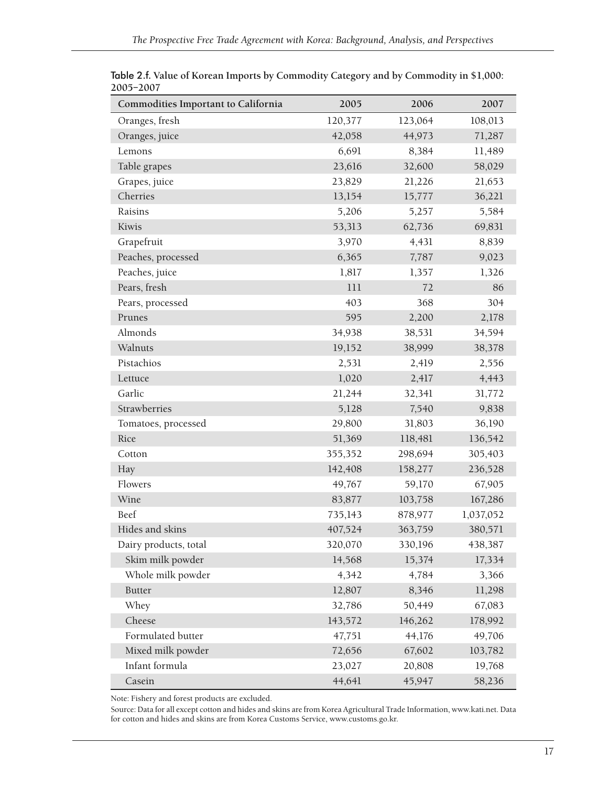| Commodities Important to California | 2005    | 2006    | 2007      |
|-------------------------------------|---------|---------|-----------|
| Oranges, fresh                      | 120,377 | 123,064 | 108,013   |
| Oranges, juice                      | 42,058  | 44,973  | 71,287    |
| Lemons                              | 6,691   | 8,384   | 11,489    |
| Table grapes                        | 23,616  | 32,600  | 58,029    |
| Grapes, juice                       | 23,829  | 21,226  | 21,653    |
| Cherries                            | 13,154  | 15,777  | 36,221    |
| Raisins                             | 5,206   | 5,257   | 5,584     |
| Kiwis                               | 53,313  | 62,736  | 69,831    |
| Grapefruit                          | 3,970   | 4,431   | 8,839     |
| Peaches, processed                  | 6,365   | 7,787   | 9,023     |
| Peaches, juice                      | 1,817   | 1,357   | 1,326     |
| Pears, fresh                        | 111     | 72      | 86        |
| Pears, processed                    | 403     | 368     | 304       |
| Prunes                              | 595     | 2,200   | 2,178     |
| Almonds                             | 34,938  | 38,531  | 34,594    |
| Walnuts                             | 19,152  | 38,999  | 38,378    |
| Pistachios                          | 2,531   | 2,419   | 2,556     |
| Lettuce                             | 1,020   | 2,417   | 4,443     |
| Garlic                              | 21,244  | 32,341  | 31,772    |
| Strawberries                        | 5,128   | 7,540   | 9,838     |
| Tomatoes, processed                 | 29,800  | 31,803  | 36,190    |
| Rice                                | 51,369  | 118,481 | 136,542   |
| Cotton                              | 355,352 | 298,694 | 305,403   |
| Hay                                 | 142,408 | 158,277 | 236,528   |
| Flowers                             | 49,767  | 59,170  | 67,905    |
| Wine                                | 83,877  | 103,758 | 167,286   |
| Beef                                | 735,143 | 878,977 | 1,037,052 |
| Hides and skins                     | 407,524 | 363,759 | 380,571   |
| Dairy products, total               | 320,070 | 330,196 | 438,387   |
| Skim milk powder                    | 14,568  | 15,374  | 17,334    |
| Whole milk powder                   | 4,342   | 4,784   | 3,366     |
| <b>Butter</b>                       | 12,807  | 8,346   | 11,298    |
| Whey                                | 32,786  | 50,449  | 67,083    |
| Cheese                              | 143,572 | 146,262 | 178,992   |
| Formulated butter                   | 47,751  | 44,176  | 49,706    |
| Mixed milk powder                   | 72,656  | 67,602  | 103,782   |
| Infant formula                      | 23,027  | 20,808  | 19,768    |
| Casein                              | 44,641  | 45,947  | 58,236    |

Table 2.f. **Value of Korean Imports by Commodity Category and by Commodity in \$1,000: 2005–2007**

Note: Fishery and forest products are excluded.

Source: Data for all except cotton and hides and skins are from Korea Agricultural Trade Information, www.kati.net. Data for cotton and hides and skins are from Korea Customs Service, www.customs.go.kr.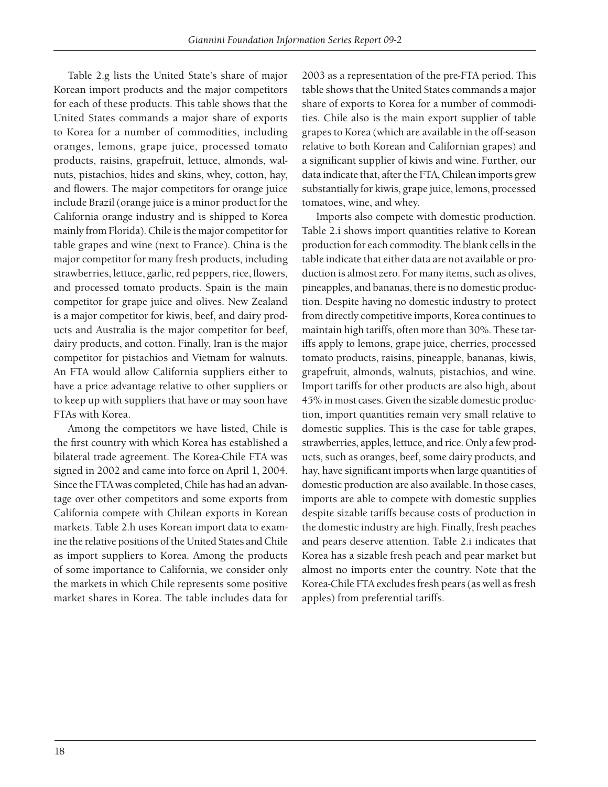Table 2.g lists the United State's share of major Korean import products and the major competitors for each of these products. This table shows that the United States commands a major share of exports to Korea for a number of commodities, including oranges, lemons, grape juice, processed tomato products, raisins, grapefruit, lettuce, almonds, walnuts, pistachios, hides and skins, whey, cotton, hay, and flowers. The major competitors for orange juice include Brazil (orange juice is a minor product for the California orange industry and is shipped to Korea mainly from Florida). Chile is the major competitor for table grapes and wine (next to France). China is the major competitor for many fresh products, including strawberries, lettuce, garlic, red peppers, rice, flowers, and processed tomato products. Spain is the main competitor for grape juice and olives. New Zealand is a major competitor for kiwis, beef, and dairy products and Australia is the major competitor for beef, dairy products, and cotton. Finally, Iran is the major competitor for pistachios and Vietnam for walnuts. An FTA would allow California suppliers either to have a price advantage relative to other suppliers or to keep up with suppliers that have or may soon have FTAs with Korea.

Among the competitors we have listed, Chile is the first country with which Korea has established a bilateral trade agreement. The Korea-Chile FTA was signed in 2002 and came into force on April 1, 2004. Since the FTA was completed, Chile has had an advantage over other competitors and some exports from California compete with Chilean exports in Korean markets. Table 2.h uses Korean import data to examine the relative positions of the United States and Chile as import suppliers to Korea. Among the products of some importance to California, we consider only the markets in which Chile represents some positive market shares in Korea. The table includes data for

2003 as a representation of the pre-FTA period. This table shows that the United States commands a major share of exports to Korea for a number of commodities. Chile also is the main export supplier of table grapes to Korea (which are available in the off-season relative to both Korean and Californian grapes) and a significant supplier of kiwis and wine. Further, our data indicate that, after the FTA, Chilean imports grew substantially for kiwis, grape juice, lemons, processed tomatoes, wine, and whey.

Imports also compete with domestic production. Table 2.i shows import quantities relative to Korean production for each commodity. The blank cells in the table indicate that either data are not available or production is almost zero. For many items, such as olives, pineapples, and bananas, there is no domestic production. Despite having no domestic industry to protect from directly competitive imports, Korea continues to maintain high tariffs, often more than 30%. These tariffs apply to lemons, grape juice, cherries, processed tomato products, raisins, pineapple, bananas, kiwis, grapefruit, almonds, walnuts, pistachios, and wine. Import tariffs for other products are also high, about 45% in most cases. Given the sizable domestic production, import quantities remain very small relative to domestic supplies. This is the case for table grapes, strawberries, apples, lettuce, and rice. Only a few products, such as oranges, beef, some dairy products, and hay, have significant imports when large quantities of domestic production are also available. In those cases, imports are able to compete with domestic supplies despite sizable tariffs because costs of production in the domestic industry are high. Finally, fresh peaches and pears deserve attention. Table 2.i indicates that Korea has a sizable fresh peach and pear market but almost no imports enter the country. Note that the Korea-Chile FTA excludes fresh pears (as well as fresh apples) from preferential tariffs.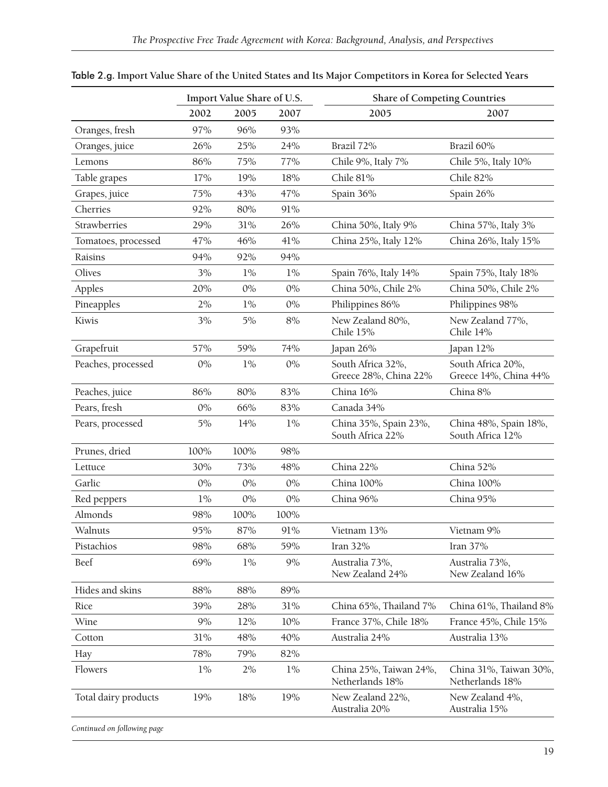|                      |       | Import Value Share of U.S. |       | <b>Share of Competing Countries</b>        |                                            |
|----------------------|-------|----------------------------|-------|--------------------------------------------|--------------------------------------------|
|                      | 2002  | 2005                       | 2007  | 2005                                       | 2007                                       |
| Oranges, fresh       | 97%   | 96%                        | 93%   |                                            |                                            |
| Oranges, juice       | 26%   | 25%                        | 24%   | Brazil 72%                                 | Brazil 60%                                 |
| Lemons               | 86%   | 75%                        | 77%   | Chile 9%, Italy 7%                         | Chile 5%, Italy 10%                        |
| Table grapes         | 17%   | 19%                        | 18%   | Chile 81%                                  | Chile 82%                                  |
| Grapes, juice        | 75%   | 43%                        | 47%   | Spain 36%                                  | Spain 26%                                  |
| Cherries             | 92%   | 80%                        | 91%   |                                            |                                            |
| Strawberries         | 29%   | 31%                        | 26%   | China 50%, Italy 9%                        | China 57%, Italy 3%                        |
| Tomatoes, processed  | 47%   | 46%                        | 41%   | China 25%, Italy 12%                       | China 26%, Italy 15%                       |
| Raisins              | 94%   | 92%                        | 94%   |                                            |                                            |
| Olives               | 3%    | $1\%$                      | $1\%$ | Spain 76%, Italy 14%                       | Spain 75%, Italy 18%                       |
| Apples               | 20%   | $0\%$                      | $0\%$ | China 50%, Chile 2%                        | China 50%, Chile 2%                        |
| Pineapples           | 2%    | $1\%$                      | $0\%$ | Philippines 86%                            | Philippines 98%                            |
| Kiwis                | 3%    | 5%                         | $8%$  | New Zealand 80%,<br>Chile 15%              | New Zealand 77%,<br>Chile 14%              |
| Grapefruit           | 57%   | 59%                        | 74%   | Japan 26%                                  | Japan 12%                                  |
| Peaches, processed   | $0\%$ | $1\%$                      | $0\%$ | South Africa 32%,<br>Greece 28%, China 22% | South Africa 20%,<br>Greece 14%, China 44% |
| Peaches, juice       | 86%   | 80%                        | 83%   | China 16%                                  | China 8%                                   |
| Pears, fresh         | $0\%$ | 66%                        | 83%   | Canada 34%                                 |                                            |
| Pears, processed     | 5%    | 14%                        | $1\%$ | China 35%, Spain 23%,<br>South Africa 22%  | China 48%, Spain 18%,<br>South Africa 12%  |
| Prunes, dried        | 100%  | 100%                       | 98%   |                                            |                                            |
| Lettuce              | 30%   | 73%                        | 48%   | China 22%                                  | China 52%                                  |
| Garlic               | $0\%$ | $0\%$                      | $0\%$ | China 100%                                 | China 100%                                 |
| Red peppers          | $1\%$ | $0\%$                      | $0\%$ | China 96%                                  | China 95%                                  |
| Almonds              | 98%   | 100%                       | 100%  |                                            |                                            |
| Walnuts              | 95%   | 87%                        | 91%   | Vietnam 13%                                | Vietnam 9%                                 |
| Pistachios           | 98%   | 68%                        | 59%   | Iran 32%                                   | Iran 37%                                   |
| Beef                 | 69%   | $1\%$                      | 9%    | Australia 73%,<br>New Zealand 24%          | Australia 73%,<br>New Zealand 16%          |
| Hides and skins      | 88%   | 88%                        | 89%   |                                            |                                            |
| Rice                 | 39%   | 28%                        | 31%   | China 65%, Thailand 7%                     | China 61%, Thailand 8%                     |
| Wine                 | 9%    | 12%                        | 10%   | France 37%, Chile 18%                      | France 45%, Chile 15%                      |
| Cotton               | 31%   | 48%                        | 40%   | Australia 24%                              | Australia 13%                              |
| Hay                  | 78%   | 79%                        | 82%   |                                            |                                            |
| Flowers              | $1\%$ | 2%                         | $1\%$ | China 25%, Taiwan 24%,<br>Netherlands 18%  | China 31%, Taiwan 30%,<br>Netherlands 18%  |
| Total dairy products | 19%   | 18%                        | 19%   | New Zealand 22%,<br>Australia 20%          | New Zealand 4%,<br>Australia 15%           |

Table 2.g. **Import Value Share of the United States and Its Major Competitors in Korea for Selected Years**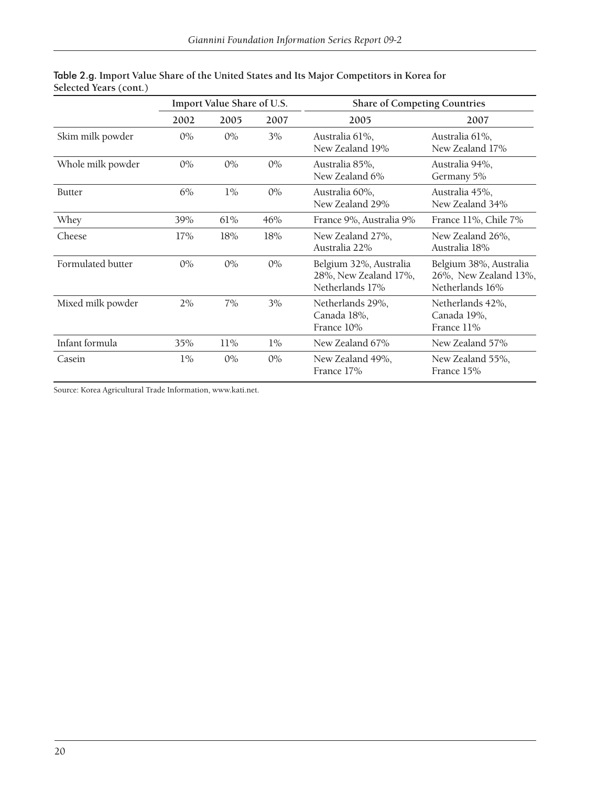|                   |       | Import Value Share of U.S. |       | <b>Share of Competing Countries</b>                                |                                                                    |
|-------------------|-------|----------------------------|-------|--------------------------------------------------------------------|--------------------------------------------------------------------|
|                   | 2002  | 2005                       | 2007  | 2005                                                               | 2007                                                               |
| Skim milk powder  | $0\%$ | $0\%$                      | 3%    | Australia 61%,<br>New Zealand 19%                                  | Australia 61%,<br>New Zealand 17%                                  |
| Whole milk powder | $0\%$ | $0\%$                      | $0\%$ | Australia 85%,<br>New Zealand 6%                                   | Australia 94%,<br>Germany 5%                                       |
| <b>Butter</b>     | 6%    | $1\%$                      | $0\%$ | Australia 60%,<br>New Zealand 29%                                  | Australia 45%,<br>New Zealand 34%                                  |
| Whey              | 39%   | 61%                        | 46%   | France 9%, Australia 9%                                            | France 11%, Chile 7%                                               |
| Cheese            | 17%   | 18%                        | 18%   | New Zealand 27%,<br>Australia 22%                                  | New Zealand 26%,<br>Australia 18%                                  |
| Formulated butter | $0\%$ | $0\%$                      | $0\%$ | Belgium 32%, Australia<br>28%, New Zealand 17%,<br>Netherlands 17% | Belgium 38%, Australia<br>26%, New Zealand 13%,<br>Netherlands 16% |
| Mixed milk powder | 2%    | 7%                         | 3%    | Netherlands 29%,<br>Canada 18%,<br>France 10%                      | Netherlands 42%,<br>Canada 19%,<br>France 11%                      |
| Infant formula    | 35%   | 11%                        | $1\%$ | New Zealand 67%                                                    | New Zealand 57%                                                    |
| Casein            | $1\%$ | $0\%$                      | $0\%$ | New Zealand 49%,<br>France 17%                                     | New Zealand 55%,<br>France 15%                                     |

#### Table 2.g. **Import Value Share of the United States and Its Major Competitors in Korea for Selected Years (cont.)**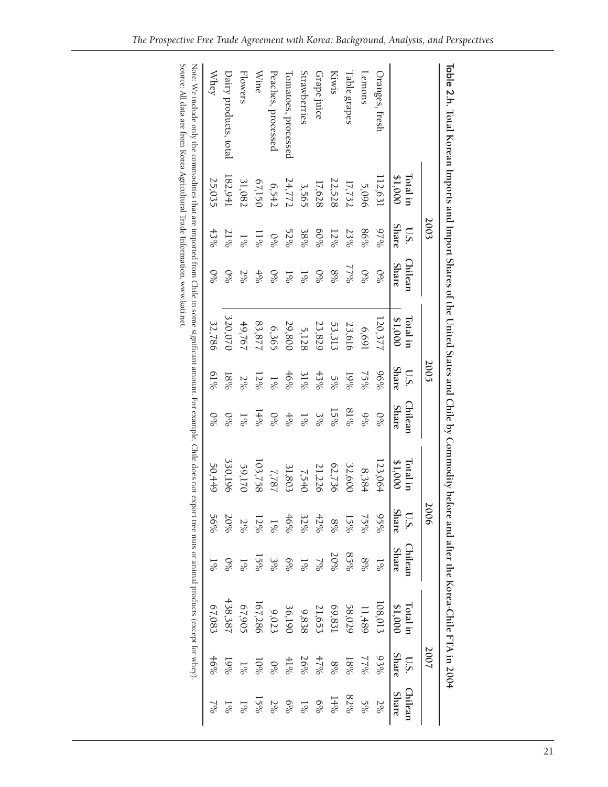|                                                                                                                                                                                                                                                                                                                |                     | 2003           |                         |                     | 2005               |                         |                     | 2006                 |                         |                     | 2007                 |                         |
|----------------------------------------------------------------------------------------------------------------------------------------------------------------------------------------------------------------------------------------------------------------------------------------------------------------|---------------------|----------------|-------------------------|---------------------|--------------------|-------------------------|---------------------|----------------------|-------------------------|---------------------|----------------------|-------------------------|
|                                                                                                                                                                                                                                                                                                                | Lotal in<br>\$1,000 | Share<br>U.S.  | Chilean<br><b>Share</b> | \$1,000<br>Lotal in | <b>Share</b><br>US | Chilean<br><b>Share</b> | \$1,000<br>Lotal in | <b>Share</b><br>U.S. | Chilean<br><b>Share</b> | \$1,000<br>Total in | <b>Share</b><br>U.S. | Chilean<br><b>Share</b> |
| Oranges, fresh                                                                                                                                                                                                                                                                                                 | 112,631             | 9/2%           | 0 <sub>6</sub>          | 120,377             | 96%                | $\%$                    | 123,064             | $92\%$               | $\frac{1}{8}$           | 108013              | 93%                  | 2%                      |
| Lemons                                                                                                                                                                                                                                                                                                         | 5,096               | 86%            | 0 <sub>6</sub>          | 6,691               | 2900               | $\frac{966}{6}$         | 8,384               | $75\%$               | %8                      | 11,489              | 1700                 | $5\%$                   |
| <b><i><u>Fable</u></i></b> grapes                                                                                                                                                                                                                                                                              | 17,732              | 23%            | 2622                    | 23,616              | $0\%$              | %18                     | 32,600              | $15\%$               | %58                     | 58,029              | 18%                  | 82%                     |
| <b>Kiwis</b>                                                                                                                                                                                                                                                                                                   | 22,528              | $12\%$         | %8                      | 53,313              | $5\%$              | $15\%$                  | 62,736              | %8                   | $20\%$                  | 69,831              | 8%                   | 14%                     |
| Grape juice                                                                                                                                                                                                                                                                                                    | 17,628              | 9609           | $\%$ <sup>O</sup>       | 23,829              | $43\%$             | 3%                      | 21,226              | 42%                  | $\sqrt{6/2}$            | 21,653              | 47%                  | $6\%$                   |
| Strawberries                                                                                                                                                                                                                                                                                                   | 3,565               | $38\%$         | $1\%$                   | 5,128               | 31%                | $1\%$                   | 7,540               | 32%                  | $\frac{5}{6}$           | 9,838               | 26%                  | $1\%$                   |
| Tomatoes, processed                                                                                                                                                                                                                                                                                            | 24,772              | 52%            | $\frac{5}{6}$           | 29,800              | 46%                | 4%                      | 31,803              | 46%                  | $6\%$                   | 36,190              | 41%                  | $6\%$                   |
| Peaches, processed                                                                                                                                                                                                                                                                                             | 6,542               | 0 <sub>6</sub> | $\%$ <sup>O</sup>       | 6,365               | $1\%$              | 0 <sub>6</sub>          | 7,787               | $1\degree$           | 3%                      | 9,023               | 0 <sub>6</sub>       | 2%                      |
| Wine                                                                                                                                                                                                                                                                                                           | 67,150              | $11\%$         | 400                     | 83,877              | $12\%$             | 14%                     | 103,758             | $12\%$               | $15\%$                  | l67,286             | 50%                  | ng<br>So                |
| <b>Flowers</b>                                                                                                                                                                                                                                                                                                 | 31,082              | $1\%$          | 2%                      | 49,767              | 2%                 | $\frac{5}{6}$           | 59,170              | $2\%$                | $\frac{1}{8}$           | 67,905              | $1\%$                |                         |
| Dairy products, total                                                                                                                                                                                                                                                                                          | 182,941             | 21%            | $\%$                    | 320,070             | $18\%$             | $\%$ <sup>O</sup>       | 330,196             | $20\%$               | $\delta$ %              | 438,387             | 19%                  |                         |
| Whey                                                                                                                                                                                                                                                                                                           | 25,035              | 43%            | $\%$                    | 32,786              | 9619               | 0 <sub>6</sub>          | 50,449              | 56%                  | $\frac{5}{6}$           | 67,083              | 46%                  |                         |
| Source: All data are from Korea Agricultural Trade Information, www.kati.net.<br>Note: We include only the commodities that are imported from Chile in some significant amount. For example, Chile does not export tree using the does not export tree using the docal of the significant amount. For example, |                     |                |                         |                     |                    |                         |                     |                      |                         |                     |                      |                         |

Table 2.h. **Total Korean Imports and Import Shares of the United States and Chile by Commodity before and after the Korea-Chile FTA in 200** Table 2.h. Total Korean Imports and Import Shares of the United States and Chile by Commodity before and after the Korea-Chile FTA in 2004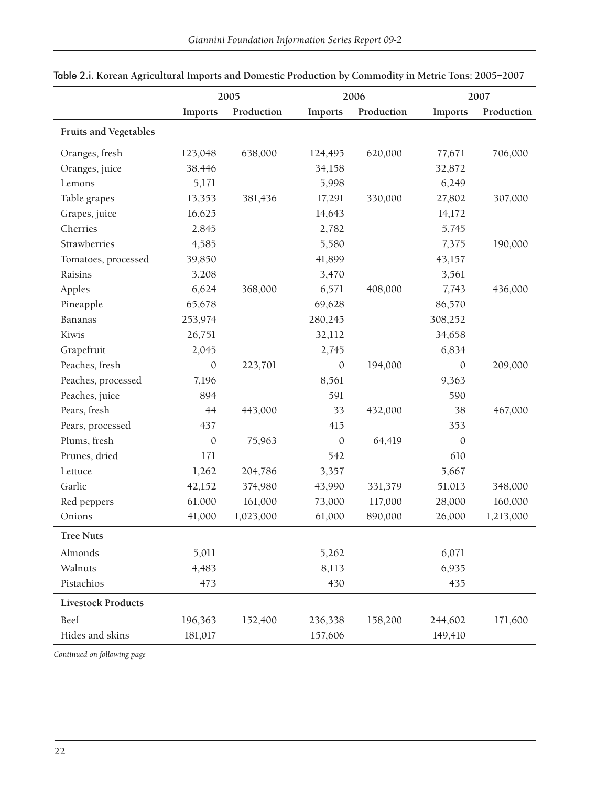|                           |              | 2005       |              | 2006       |                | 2007       |
|---------------------------|--------------|------------|--------------|------------|----------------|------------|
|                           | Imports      | Production | Imports      | Production | <b>Imports</b> | Production |
| Fruits and Vegetables     |              |            |              |            |                |            |
| Oranges, fresh            | 123,048      | 638,000    | 124,495      | 620,000    | 77,671         | 706,000    |
| Oranges, juice            | 38,446       |            | 34,158       |            | 32,872         |            |
| Lemons                    | 5,171        |            | 5,998        |            | 6,249          |            |
| Table grapes              | 13,353       | 381,436    | 17,291       | 330,000    | 27,802         | 307,000    |
| Grapes, juice             | 16,625       |            | 14,643       |            | 14,172         |            |
| Cherries                  | 2,845        |            | 2,782        |            | 5,745          |            |
| Strawberries              | 4,585        |            | 5,580        |            | 7,375          | 190,000    |
| Tomatoes, processed       | 39,850       |            | 41,899       |            | 43,157         |            |
| Raisins                   | 3,208        |            | 3,470        |            | 3,561          |            |
| Apples                    | 6,624        | 368,000    | 6,571        | 408,000    | 7,743          | 436,000    |
| Pineapple                 | 65,678       |            | 69,628       |            | 86,570         |            |
| Bananas                   | 253,974      |            | 280,245      |            | 308,252        |            |
| Kiwis                     | 26,751       |            | 32,112       |            | 34,658         |            |
| Grapefruit                | 2,045        |            | 2,745        |            | 6,834          |            |
| Peaches, fresh            | $\mathbf{0}$ | 223,701    | $\mathbf{0}$ | 194,000    | $\mathbf{0}$   | 209,000    |
| Peaches, processed        | 7,196        |            | 8,561        |            | 9,363          |            |
| Peaches, juice            | 894          |            | 591          |            | 590            |            |
| Pears, fresh              | 44           | 443,000    | 33           | 432,000    | 38             | 467,000    |
| Pears, processed          | 437          |            | 415          |            | 353            |            |
| Plums, fresh              | $\mathbf{0}$ | 75,963     | $\mathbf{0}$ | 64,419     | $\mathbf{0}$   |            |
| Prunes, dried             | 171          |            | 542          |            | 610            |            |
| Lettuce                   | 1,262        | 204,786    | 3,357        |            | 5,667          |            |
| Garlic                    | 42,152       | 374,980    | 43,990       | 331,379    | 51,013         | 348,000    |
| Red peppers               | 61,000       | 161,000    | 73,000       | 117,000    | 28,000         | 160,000    |
| Onions                    | 41,000       | 1,023,000  | 61,000       | 890,000    | 26,000         | 1,213,000  |
| <b>Tree Nuts</b>          |              |            |              |            |                |            |
| Almonds                   | 5,011        |            | 5,262        |            | 6,071          |            |
| Walnuts                   | 4,483        |            | 8,113        |            | 6,935          |            |
| Pistachios                | 473          |            | 430          |            | 435            |            |
| <b>Livestock Products</b> |              |            |              |            |                |            |
| Beef                      | 196,363      | 152,400    | 236,338      | 158,200    | 244,602        | 171,600    |
| Hides and skins           | 181,017      |            | 157,606      |            | 149,410        |            |

Table 2.i. **Korean Agricultural Imports and Domestic Production by Commodity in Metric Tons: 2005–2007**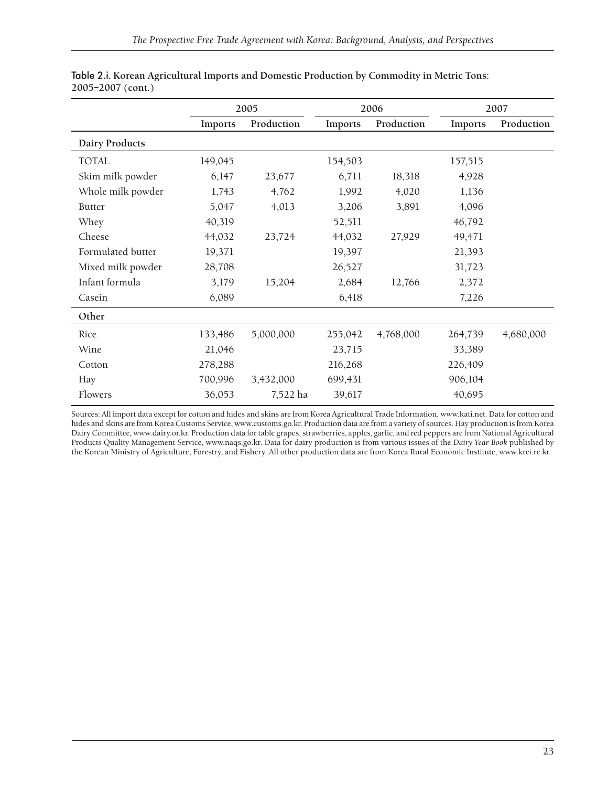|                       |         | 2005       |         | 2006       |         | 2007       |
|-----------------------|---------|------------|---------|------------|---------|------------|
|                       | Imports | Production | Imports | Production | Imports | Production |
| <b>Dairy Products</b> |         |            |         |            |         |            |
| <b>TOTAL</b>          | 149,045 |            | 154,503 |            | 157,515 |            |
| Skim milk powder      | 6,147   | 23,677     | 6,711   | 18,318     | 4,928   |            |
| Whole milk powder     | 1,743   | 4,762      | 1,992   | 4,020      | 1,136   |            |
| <b>Butter</b>         | 5,047   | 4,013      | 3,206   | 3,891      | 4,096   |            |
| Whey                  | 40,319  |            | 52,511  |            | 46,792  |            |
| Cheese                | 44,032  | 23,724     | 44,032  | 27,929     | 49,471  |            |
| Formulated butter     | 19,371  |            | 19,397  |            | 21,393  |            |
| Mixed milk powder     | 28,708  |            | 26,527  |            | 31,723  |            |
| Infant formula        | 3,179   | 15,204     | 2,684   | 12,766     | 2,372   |            |
| Casein                | 6,089   |            | 6,418   |            | 7,226   |            |
| Other                 |         |            |         |            |         |            |
| Rice                  | 133,486 | 5,000,000  | 255,042 | 4,768,000  | 264,739 | 4,680,000  |
| Wine                  | 21,046  |            | 23,715  |            | 33,389  |            |
| Cotton                | 278,288 |            | 216,268 |            | 226,409 |            |
| Hay                   | 700,996 | 3,432,000  | 699,431 |            | 906,104 |            |
| Flowers               | 36,053  | 7,522 ha   | 39,617  |            | 40,695  |            |

| Table 2.i. Korean Agricultural Imports and Domestic Production by Commodity in Metric Tons: |  |
|---------------------------------------------------------------------------------------------|--|
| 2005–2007 (cont.)                                                                           |  |

Sources: All import data except for cotton and hides and skins are from Korea Agricultural Trade Information, www.kati.net. Data for cotton and hides and skins are from Korea Customs Service, www.customs.go.kr. Production data are from a variety of sources. Hay production is from Korea Dairy Committee, www.dairy.or.kr. Production data for table grapes, strawberries, apples, garlic, and red peppers are from National Agricultural Products Quality Management Service, www.naqs.go.kr. Data for dairy production is from various issues of the *Dairy Year Book* published by the Korean Ministry of Agriculture, Forestry, and Fishery. All other production data are from Korea Rural Economic Institute, www.krei.re.kr.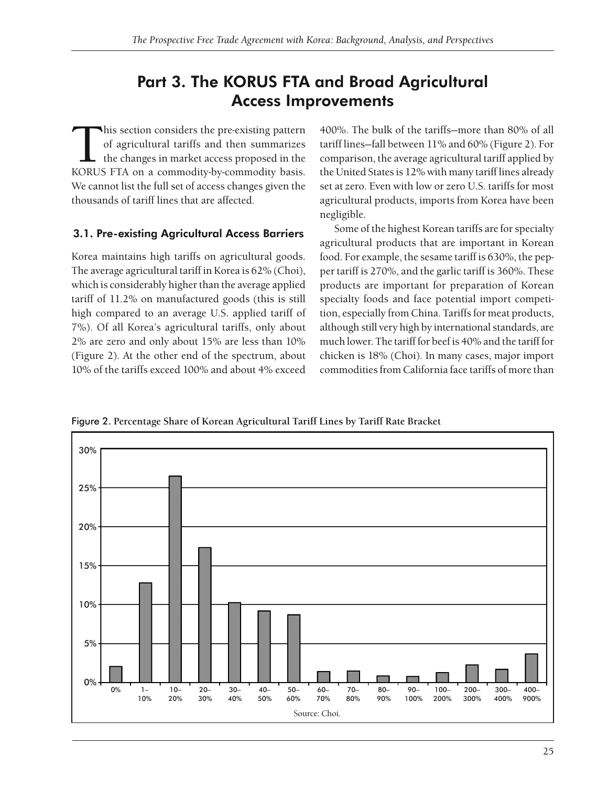## Part 3. The KORUS FTA and Broad Agricultural Access Improvements

This section considers the pre-existing pattern<br>of agricultural tariffs and then summarizes<br>the changes in market access proposed in the<br>KORUS FTA on a commodity-by-commodity basis of agricultural tariffs and then summarizes the changes in market access proposed in the KORUS FTA on a commodity-by-commodity basis. We cannot list the full set of access changes given the thousands of tariff lines that are affected.

### 3.1. Pre-existing Agricultural Access Barriers

Korea maintains high tariffs on agricultural goods. The average agricultural tariff in Korea is 62% (Choi), which is considerably higher than the average applied tariff of 11.2% on manufactured goods (this is still high compared to an average U.S. applied tariff of 7%). Of all Korea's agricultural tariffs, only about 2% are zero and only about 15% are less than 10% (Figure 2). At the other end of the spectrum, about 10% of the tariffs exceed 100% and about 4% exceed 400%. The bulk of the tariffs—more than 80% of all tariff lines—fall between 11% and 60% (Figure 2). For comparison, the average agricultural tariff applied by the United States is 12% with many tariff lines already set at zero. Even with low or zero U.S. tariffs for most agricultural products, imports from Korea have been negligible.

Some of the highest Korean tariffs are for specialty agricultural products that are important in Korean food. For example, the sesame tariff is 630%, the pepper tariff is 270%, and the garlic tariff is 360%. These products are important for preparation of Korean specialty foods and face potential import competition, especially from China. Tariffs for meat products, although still very high by international standards, are much lower. The tariff for beef is 40% and the tariff for chicken is 18% (Choi). In many cases, major import commodities from California face tariffs of more than

Figure 2. **Percentage Share of Korean Agricultural Tariff Lines by Tariff Rate Bracket**

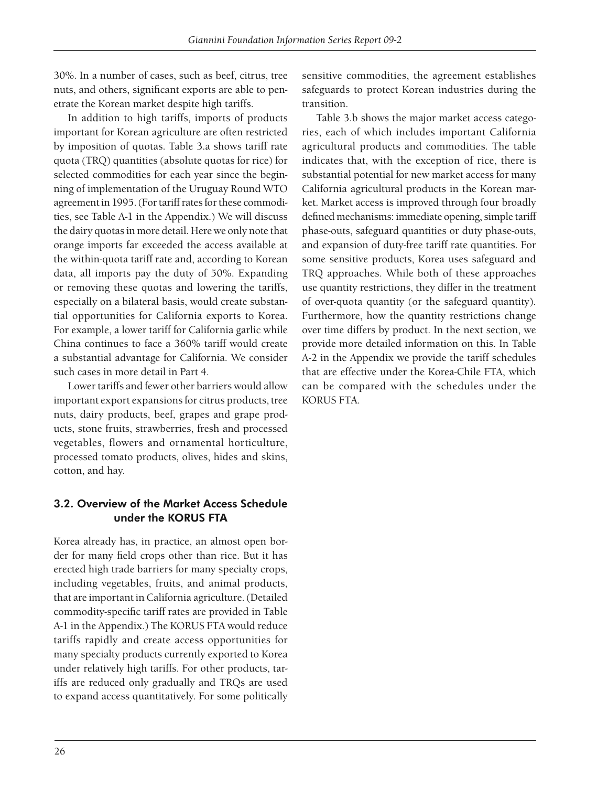30%. In a number of cases, such as beef, citrus, tree nuts, and others, significant exports are able to penetrate the Korean market despite high tariffs.

In addition to high tariffs, imports of products important for Korean agriculture are often restricted by imposition of quotas. Table 3.a shows tariff rate quota (TRQ) quantities (absolute quotas for rice) for selected commodities for each year since the beginning of implementation of the Uruguay Round WTO agreement in 1995. (For tariff rates for these commodities, see Table A-1 in the Appendix.) We will discuss the dairy quotas in more detail. Here we only note that orange imports far exceeded the access available at the within-quota tariff rate and, according to Korean data, all imports pay the duty of 50%. Expanding or removing these quotas and lowering the tariffs, especially on a bilateral basis, would create substantial opportunities for California exports to Korea. For example, a lower tariff for California garlic while China continues to face a 360% tariff would create a substantial advantage for California. We consider such cases in more detail in Part 4.

Lower tariffs and fewer other barriers would allow important export expansions for citrus products, tree nuts, dairy products, beef, grapes and grape products, stone fruits, strawberries, fresh and processed vegetables, flowers and ornamental horticulture, processed tomato products, olives, hides and skins, cotton, and hay.

## 3.2. Overview of the Market Access Schedule under the KORUS FTA

Korea already has, in practice, an almost open border for many field crops other than rice. But it has erected high trade barriers for many specialty crops, including vegetables, fruits, and animal products, that are important in California agriculture. (Detailed commodity-specific tariff rates are provided in Table A-1 in the Appendix.) The KORUS FTA would reduce tariffs rapidly and create access opportunities for many specialty products currently exported to Korea under relatively high tariffs. For other products, tariffs are reduced only gradually and TRQs are used to expand access quantitatively. For some politically

sensitive commodities, the agreement establishes safeguards to protect Korean industries during the transition.

Table 3.b shows the major market access categories, each of which includes important California agricultural products and commodities. The table indicates that, with the exception of rice, there is substantial potential for new market access for many California agricultural products in the Korean market. Market access is improved through four broadly defined mechanisms: immediate opening, simple tariff phase-outs, safeguard quantities or duty phase-outs, and expansion of duty-free tariff rate quantities. For some sensitive products, Korea uses safeguard and TRQ approaches. While both of these approaches use quantity restrictions, they differ in the treatment of over-quota quantity (or the safeguard quantity). Furthermore, how the quantity restrictions change over time differs by product. In the next section, we provide more detailed information on this. In Table A-2 in the Appendix we provide the tariff schedules that are effective under the Korea-Chile FTA, which can be compared with the schedules under the KORUS FTA.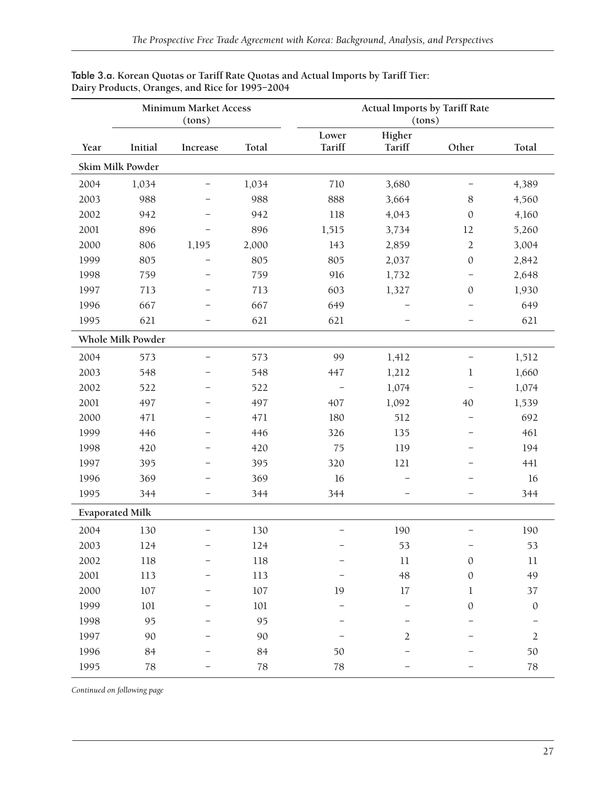| <b>Minimum Market Access</b><br>(tons) |                        |                          |         | <b>Actual Imports by Tariff Rate</b><br>(tons) |                  |                          |                  |
|----------------------------------------|------------------------|--------------------------|---------|------------------------------------------------|------------------|--------------------------|------------------|
| Year                                   | Initial                | Increase                 | Total   | Lower<br>Tariff                                | Higher<br>Tariff | Other                    | Total            |
|                                        | Skim Milk Powder       |                          |         |                                                |                  |                          |                  |
| 2004                                   | 1,034                  | -                        | 1,034   | 710                                            | 3,680            |                          | 4,389            |
| 2003                                   | 988                    |                          | 988     | 888                                            | 3,664            | 8                        | 4,560            |
| 2002                                   | 942                    | $\overline{\phantom{m}}$ | 942     | 118                                            | 4,043            | $\mathbf{0}$             | 4,160            |
| 2001                                   | 896                    | $\overline{\phantom{0}}$ | 896     | 1,515                                          | 3,734            | 12                       | 5,260            |
| 2000                                   | 806                    | 1,195                    | 2,000   | 143                                            | 2,859            | $\overline{2}$           | 3,004            |
| 1999                                   | 805                    | $\overline{\phantom{0}}$ | 805     | 805                                            | 2,037            | $\mathbf{0}$             | 2,842            |
| 1998                                   | 759                    | -                        | 759     | 916                                            | 1,732            | -                        | 2,648            |
| 1997                                   | 713                    |                          | 713     | 603                                            | 1,327            | $\theta$                 | 1,930            |
| 1996                                   | 667                    |                          | 667     | 649                                            |                  |                          | 649              |
| 1995                                   | 621                    | $\overline{\phantom{0}}$ | 621     | 621                                            |                  |                          | 621              |
|                                        | Whole Milk Powder      |                          |         |                                                |                  |                          |                  |
| 2004                                   | 573                    | -                        | 573     | 99                                             | 1,412            |                          | 1,512            |
| 2003                                   | 548                    | —                        | 548     | 447                                            | 1,212            | 1                        | 1,660            |
| 2002                                   | 522                    |                          | 522     |                                                | 1,074            |                          | 1,074            |
| 2001                                   | 497                    | —                        | 497     | 407                                            | 1,092            | 40                       | 1,539            |
| 2000                                   | 471                    | $\overline{\phantom{0}}$ | 471     | 180                                            | 512              | $\overline{\phantom{0}}$ | 692              |
| 1999                                   | 446                    | $\overline{\phantom{0}}$ | 446     | 326                                            | 135              |                          | 461              |
| 1998                                   | 420                    |                          | 420     | 75                                             | 119              |                          | 194              |
| 1997                                   | 395                    | -                        | 395     | 320                                            | 121              |                          | 441              |
| 1996                                   | 369                    | -                        | 369     | 16                                             |                  |                          | 16               |
| 1995                                   | 344                    |                          | 344     | 344                                            |                  |                          | 344              |
|                                        | <b>Evaporated Milk</b> |                          |         |                                                |                  |                          |                  |
| 2004                                   | 130                    |                          | 130     |                                                | 190              |                          | 190              |
| 2003                                   | 124                    | -                        | 124     |                                                | 53               | -                        | 53               |
| 2002                                   | 118                    |                          | 118     |                                                | $11\,$           | $\mathbf{0}$             | $11\,$           |
| 2001                                   | 113                    |                          | 113     |                                                | 48               | $\mathbf{0}$             | 49               |
| 2000                                   | $107\,$                |                          | $107\,$ | 19                                             | 17               | $\mathbf 1$              | 37               |
| 1999                                   | $101\,$                |                          | $101\,$ |                                                |                  | $\mathbf{0}$             | $\boldsymbol{0}$ |
| 1998                                   | 95                     |                          | 95      |                                                |                  |                          |                  |
| 1997                                   | 90                     |                          | 90      |                                                | 2                |                          | $\overline{2}$   |
| 1996                                   | 84                     |                          | 84      | 50                                             |                  |                          | $50\,$           |
| 1995                                   | 78                     |                          | 78      | 78                                             |                  |                          | $78\,$           |

#### Table 3.a. **Korean Quotas or Tariff Rate Quotas and Actual Imports by Tariff Tier: Dairy Products, Oranges, and Rice for 1995–2004**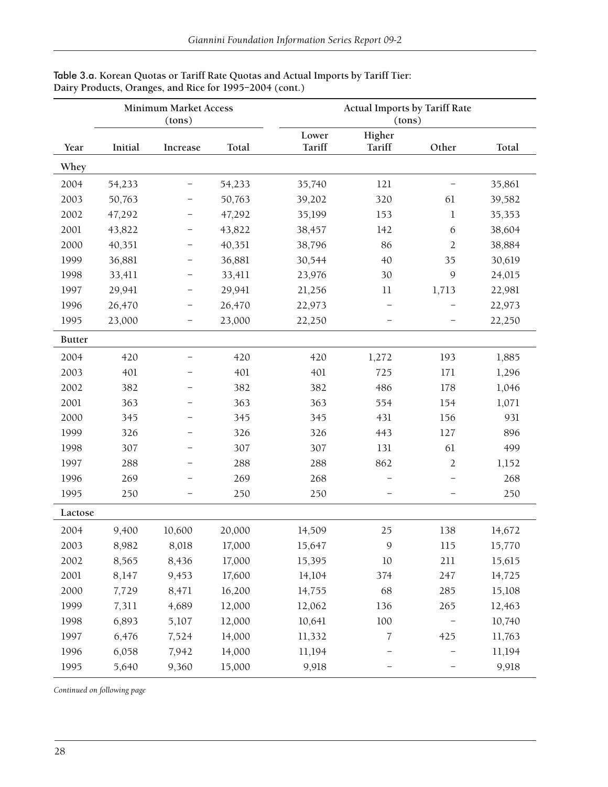|               | <b>Minimum Market Access</b><br>(tons) |          |        |                 | <b>Actual Imports by Tariff Rate</b><br>(tons) |                          |        |  |  |
|---------------|----------------------------------------|----------|--------|-----------------|------------------------------------------------|--------------------------|--------|--|--|
| Year          | Initial                                | Increase | Total  | Lower<br>Tariff | Higher<br>Tariff                               | Other                    | Total  |  |  |
| Whey          |                                        |          |        |                 |                                                |                          |        |  |  |
| 2004          | 54,233                                 | -        | 54,233 | 35,740          | 121                                            |                          | 35,861 |  |  |
| 2003          | 50,763                                 |          | 50,763 | 39,202          | 320                                            | 61                       | 39,582 |  |  |
| 2002          | 47,292                                 |          | 47,292 | 35,199          | 153                                            | $\mathbf{1}$             | 35,353 |  |  |
| 2001          | 43,822                                 |          | 43,822 | 38,457          | 142                                            | 6                        | 38,604 |  |  |
| 2000          | 40,351                                 |          | 40,351 | 38,796          | 86                                             | $\sqrt{2}$               | 38,884 |  |  |
| 1999          | 36,881                                 |          | 36,881 | 30,544          | 40                                             | 35                       | 30,619 |  |  |
| 1998          | 33,411                                 | -        | 33,411 | 23,976          | 30                                             | 9                        | 24,015 |  |  |
| 1997          | 29,941                                 | -        | 29,941 | 21,256          | 11                                             | 1,713                    | 22,981 |  |  |
| 1996          | 26,470                                 |          | 26,470 | 22,973          |                                                |                          | 22,973 |  |  |
| 1995          | 23,000                                 |          | 23,000 | 22,250          |                                                |                          | 22,250 |  |  |
| <b>Butter</b> |                                        |          |        |                 |                                                |                          |        |  |  |
| 2004          | 420                                    |          | 420    | 420             | 1,272                                          | 193                      | 1,885  |  |  |
| 2003          | 401                                    |          | 401    | 401             | 725                                            | 171                      | 1,296  |  |  |
| 2002          | 382                                    |          | 382    | 382             | 486                                            | 178                      | 1,046  |  |  |
| 2001          | 363                                    |          | 363    | 363             | 554                                            | 154                      | 1,071  |  |  |
| 2000          | 345                                    |          | 345    | 345             | 431                                            | 156                      | 931    |  |  |
| 1999          | 326                                    |          | 326    | 326             | 443                                            | 127                      | 896    |  |  |
| 1998          | 307                                    |          | 307    | 307             | 131                                            | 61                       | 499    |  |  |
| 1997          | 288                                    |          | 288    | 288             | 862                                            | $\overline{2}$           | 1,152  |  |  |
| 1996          | 269                                    |          | 269    | 268             |                                                |                          | 268    |  |  |
| 1995          | 250                                    |          | 250    | 250             |                                                | $\overline{\phantom{0}}$ | 250    |  |  |
| Lactose       |                                        |          |        |                 |                                                |                          |        |  |  |
| 2004          | 9,400                                  | 10,600   | 20,000 | 14,509          | 25                                             | 138                      | 14,672 |  |  |
| 2003          | 8,982                                  | 8,018    | 17,000 | 15,647          | $\boldsymbol{9}$                               | 115                      | 15,770 |  |  |
| 2002          | 8,565                                  | 8,436    | 17,000 | 15,395          | 10                                             | 211                      | 15,615 |  |  |
| 2001          | 8,147                                  | 9,453    | 17,600 | 14,104          | 374                                            | 247                      | 14,725 |  |  |
| 2000          | 7,729                                  | 8,471    | 16,200 | 14,755          | 68                                             | 285                      | 15,108 |  |  |
| 1999          | 7,311                                  | 4,689    | 12,000 | 12,062          | 136                                            | 265                      | 12,463 |  |  |
| 1998          | 6,893                                  | 5,107    | 12,000 | 10,641          | 100                                            |                          | 10,740 |  |  |
| 1997          | 6,476                                  | 7,524    | 14,000 | 11,332          | $\overline{7}$                                 | 425                      | 11,763 |  |  |
| 1996          | 6,058                                  | 7,942    | 14,000 | 11,194          |                                                |                          | 11,194 |  |  |
| 1995          | 5,640                                  | 9,360    | 15,000 | 9,918           |                                                |                          | 9,918  |  |  |

#### Table 3.a. **Korean Quotas or Tariff Rate Quotas and Actual Imports by Tariff Tier: Dairy Products, Oranges, and Rice for 1995–2004 (cont.)**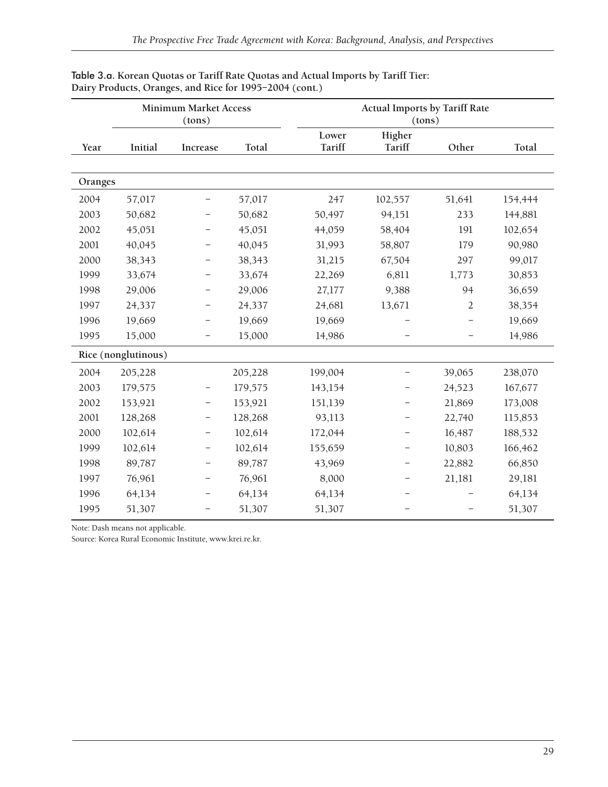|         |                     | <b>Minimum Market Access</b><br>(tons) |         |                        | <b>Actual Imports by Tariff Rate</b><br>(tons) |                |         |  |  |
|---------|---------------------|----------------------------------------|---------|------------------------|------------------------------------------------|----------------|---------|--|--|
| Year    | Initial             | Increase                               | Total   | Lower<br><b>Tariff</b> | Higher<br>Tariff                               | Other          | Total   |  |  |
| Oranges |                     |                                        |         |                        |                                                |                |         |  |  |
| 2004    | 57,017              | $\overline{\phantom{0}}$               | 57,017  | 247                    | 102,557                                        | 51,641         | 154,444 |  |  |
| 2003    | 50,682              | -                                      | 50,682  | 50,497                 | 94,151                                         | 233            | 144,881 |  |  |
| 2002    | 45,051              | $\overline{\phantom{0}}$               | 45,051  | 44,059                 | 58,404                                         | 191            | 102,654 |  |  |
| 2001    | 40,045              | -                                      | 40,045  | 31,993                 | 58,807                                         | 179            | 90,980  |  |  |
| 2000    | 38,343              | -                                      | 38,343  | 31,215                 | 67,504                                         | 297            | 99,017  |  |  |
| 1999    | 33,674              | -                                      | 33,674  | 22,269                 | 6,811                                          | 1,773          | 30,853  |  |  |
| 1998    | 29,006              | -                                      | 29,006  | 27,177                 | 9,388                                          | 94             | 36,659  |  |  |
| 1997    | 24,337              | -                                      | 24,337  | 24,681                 | 13,671                                         | $\overline{2}$ | 38,354  |  |  |
| 1996    | 19,669              | -                                      | 19,669  | 19,669                 |                                                |                | 19,669  |  |  |
| 1995    | 15,000              | -                                      | 15,000  | 14,986                 |                                                |                | 14,986  |  |  |
|         | Rice (nonglutinous) |                                        |         |                        |                                                |                |         |  |  |
| 2004    | 205,228             |                                        | 205,228 | 199,004                |                                                | 39,065         | 238,070 |  |  |
| 2003    | 179,575             | -                                      | 179,575 | 143,154                |                                                | 24,523         | 167,677 |  |  |
| 2002    | 153,921             | $\qquad \qquad -$                      | 153,921 | 151,139                |                                                | 21,869         | 173,008 |  |  |
| 2001    | 128,268             | -                                      | 128,268 | 93,113                 |                                                | 22,740         | 115,853 |  |  |
| 2000    | 102,614             | $\qquad \qquad -$                      | 102,614 | 172,044                |                                                | 16,487         | 188,532 |  |  |
| 1999    | 102,614             | -                                      | 102,614 | 155,659                |                                                | 10,803         | 166,462 |  |  |
| 1998    | 89,787              | -                                      | 89,787  | 43,969                 |                                                | 22,882         | 66,850  |  |  |
| 1997    | 76,961              | -                                      | 76,961  | 8,000                  |                                                | 21,181         | 29,181  |  |  |
| 1996    | 64,134              | -                                      | 64,134  | 64,134                 |                                                |                | 64,134  |  |  |
| 1995    | 51,307              | -                                      | 51,307  | 51,307                 |                                                |                | 51,307  |  |  |

#### Table 3.a. **Korean Quotas or Tariff Rate Quotas and Actual Imports by Tariff Tier: Dairy Products, Oranges, and Rice for 1995–2004 (cont.)**

Note: Dash means not applicable.

Source: Korea Rural Economic Institute, www.krei.re.kr.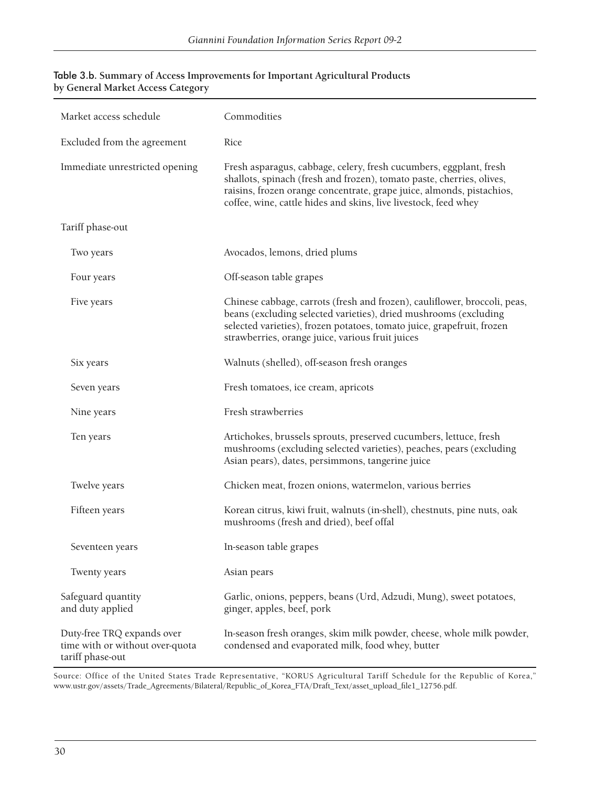| Market access schedule                                                            | Commodities                                                                                                                                                                                                                                                                             |
|-----------------------------------------------------------------------------------|-----------------------------------------------------------------------------------------------------------------------------------------------------------------------------------------------------------------------------------------------------------------------------------------|
| Excluded from the agreement                                                       | Rice                                                                                                                                                                                                                                                                                    |
| Immediate unrestricted opening                                                    | Fresh asparagus, cabbage, celery, fresh cucumbers, eggplant, fresh<br>shallots, spinach (fresh and frozen), tomato paste, cherries, olives,<br>raisins, frozen orange concentrate, grape juice, almonds, pistachios,<br>coffee, wine, cattle hides and skins, live livestock, feed whey |
| Tariff phase-out                                                                  |                                                                                                                                                                                                                                                                                         |
| Two years                                                                         | Avocados, lemons, dried plums                                                                                                                                                                                                                                                           |
| Four years                                                                        | Off-season table grapes                                                                                                                                                                                                                                                                 |
| Five years                                                                        | Chinese cabbage, carrots (fresh and frozen), cauliflower, broccoli, peas,<br>beans (excluding selected varieties), dried mushrooms (excluding<br>selected varieties), frozen potatoes, tomato juice, grapefruit, frozen<br>strawberries, orange juice, various fruit juices             |
| Six years                                                                         | Walnuts (shelled), off-season fresh oranges                                                                                                                                                                                                                                             |
| Seven years                                                                       | Fresh tomatoes, ice cream, apricots                                                                                                                                                                                                                                                     |
| Nine years                                                                        | Fresh strawberries                                                                                                                                                                                                                                                                      |
| Ten years                                                                         | Artichokes, brussels sprouts, preserved cucumbers, lettuce, fresh<br>mushrooms (excluding selected varieties), peaches, pears (excluding<br>Asian pears), dates, persimmons, tangerine juice                                                                                            |
| Twelve years                                                                      | Chicken meat, frozen onions, watermelon, various berries                                                                                                                                                                                                                                |
| Fifteen years                                                                     | Korean citrus, kiwi fruit, walnuts (in-shell), chestnuts, pine nuts, oak<br>mushrooms (fresh and dried), beef offal                                                                                                                                                                     |
| Seventeen years                                                                   | In-season table grapes                                                                                                                                                                                                                                                                  |
| Twenty years                                                                      | Asian pears                                                                                                                                                                                                                                                                             |
| Safeguard quantity<br>and duty applied                                            | Garlic, onions, peppers, beans (Urd, Adzudi, Mung), sweet potatoes,<br>ginger, apples, beef, pork                                                                                                                                                                                       |
| Duty-free TRQ expands over<br>time with or without over-quota<br>tariff phase-out | In-season fresh oranges, skim milk powder, cheese, whole milk powder,<br>condensed and evaporated milk, food whey, butter                                                                                                                                                               |

#### Table 3.b. **Summary of Access Improvements for Important Agricultural Products by General Market Access Category**

Source: Office of the United States Trade Representative, "KORUS Agricultural Tariff Schedule for the Republic of Korea," www.ustr.gov/assets/Trade\_Agreements/Bilateral/Republic\_of\_Korea\_FTA/Draft\_Text/asset\_upload\_fi le1\_12756.pdf.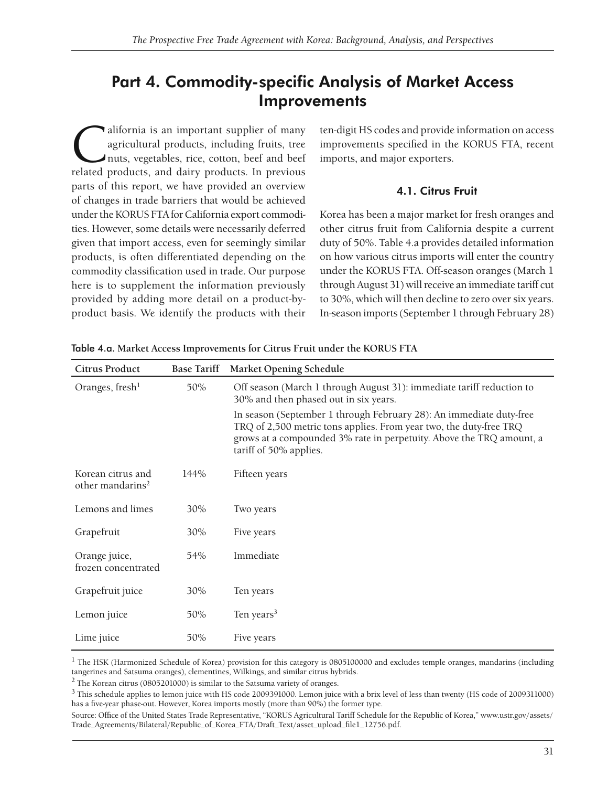## Part 4. Commodity-specific Analysis of Market Access **Improvements**

alifornia is an important supplier of many<br>agricultural products, including fruits, tree<br>nuts, vegetables, rice, cotton, beef and beef<br>related products, and dairy products. In previous agricultural products, including fruits, tree nuts, vegetables, rice, cotton, beef and beef related products, and dairy products. In previous parts of this report, we have provided an overview of changes in trade barriers that would be achieved under the KORUS FTA for California export commodities. However, some details were necessarily deferred given that import access, even for seemingly similar products, is often differentiated depending on the commodity classification used in trade. Our purpose here is to supplement the information previously provided by adding more detail on a product-byproduct basis. We identify the products with their

ten-digit HS codes and provide information on access improvements specified in the KORUS FTA, recent imports, and major exporters.

### 4.1. Citrus Fruit

Korea has been a major market for fresh oranges and other citrus fruit from California despite a current duty of 50%. Table 4.a provides detailed information on how various citrus imports will enter the country under the KORUS FTA. Off-season oranges (March 1 through August 31) will receive an immediate tariff cut to 30%, which will then decline to zero over six years. In-season imports (September 1 through February 28)

| <b>Citrus Product</b>                             | <b>Base Tariff</b> | <b>Market Opening Schedule</b>                                                                                                                                                                                                              |
|---------------------------------------------------|--------------------|---------------------------------------------------------------------------------------------------------------------------------------------------------------------------------------------------------------------------------------------|
| Oranges, fresh <sup>1</sup>                       | 50%                | Off season (March 1 through August 31): immediate tariff reduction to<br>30% and then phased out in six years.                                                                                                                              |
|                                                   |                    | In season (September 1 through February 28): An immediate duty-free<br>TRQ of 2,500 metric tons applies. From year two, the duty-free TRQ<br>grows at a compounded 3% rate in perpetuity. Above the TRQ amount, a<br>tariff of 50% applies. |
| Korean citrus and<br>other mandarins <sup>2</sup> | 144%               | Fifteen years                                                                                                                                                                                                                               |
| Lemons and limes                                  | 30%                | Two years                                                                                                                                                                                                                                   |
| Grapefruit                                        | 30%                | Five years                                                                                                                                                                                                                                  |
| Orange juice,<br>frozen concentrated              | 54%                | Immediate                                                                                                                                                                                                                                   |
| Grapefruit juice                                  | 30%                | Ten years                                                                                                                                                                                                                                   |
| Lemon juice                                       | 50%                | Ten years <sup>3</sup>                                                                                                                                                                                                                      |
| Lime juice                                        | 50%                | Five years                                                                                                                                                                                                                                  |

Table 4.a. **Market Access Improvements for Citrus Fruit under the KORUS FTA**

1 The HSK (Harmonized Schedule of Korea*)* provision for this category is 0805100000 and excludes temple oranges, mandarins (including tangerines and Satsuma oranges), clementines, Wilkings, and similar citrus hybrids.

2 The Korean citrus (0805201000) is similar to the Satsuma variety of oranges.

<sup>3</sup> This schedule applies to lemon juice with HS code 2009391000. Lemon juice with a brix level of less than twenty (HS code of 2009311000) has a five-year phase-out. However, Korea imports mostly (more than 90%) the former type.

Source: Office of the United States Trade Representative, "KORUS Agricultural Tariff Schedule for the Republic of Korea," www.ustr.gov/assets/ Trade\_Agreements/Bilateral/Republic\_of\_Korea\_FTA/Draft\_Text/asset\_upload\_fi le1\_12756.pdf.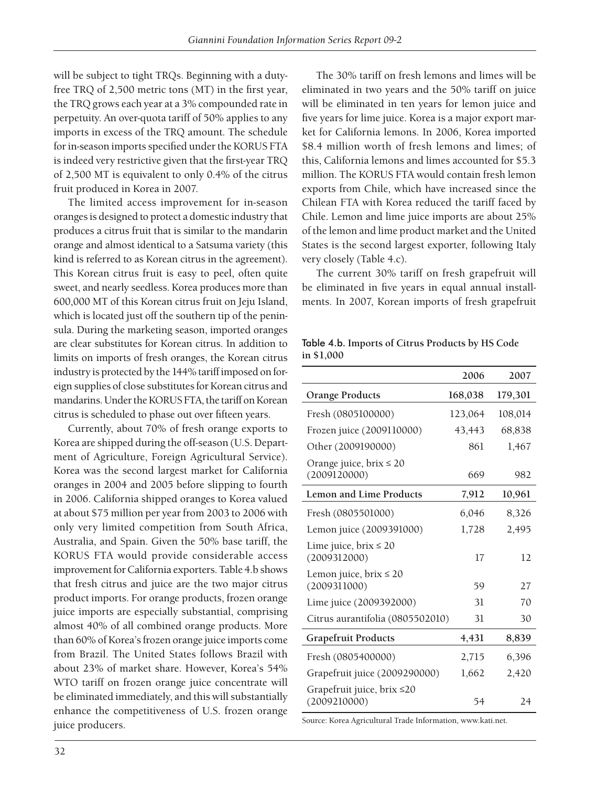will be subject to tight TRQs. Beginning with a dutyfree TRQ of  $2,500$  metric tons (MT) in the first year, the TRQ grows each year at a 3% compounded rate in perpetuity. An over-quota tariff of 50% applies to any imports in excess of the TRQ amount. The schedule for in-season imports specified under the KORUS FTA is indeed very restrictive given that the first-year TRQ of 2,500 MT is equivalent to only 0.4% of the citrus fruit produced in Korea in 2007.

The limited access improvement for in-season oranges is designed to protect a domestic industry that produces a citrus fruit that is similar to the mandarin orange and almost identical to a Satsuma variety (this kind is referred to as Korean citrus in the agreement). This Korean citrus fruit is easy to peel, often quite sweet, and nearly seedless. Korea produces more than 600,000 MT of this Korean citrus fruit on Jeju Island, which is located just off the southern tip of the peninsula. During the marketing season, imported oranges are clear substitutes for Korean citrus. In addition to limits on imports of fresh oranges, the Korean citrus industry is protected by the 144% tariff imposed on foreign supplies of close substitutes for Korean citrus and mandarins. Under the KORUS FTA, the tariff on Korean citrus is scheduled to phase out over fifteen years.

Currently, about 70% of fresh orange exports to Korea are shipped during the off-season (U.S. Department of Agriculture, Foreign Agricultural Service). Korea was the second largest market for California oranges in 2004 and 2005 before slipping to fourth in 2006. California shipped oranges to Korea valued at about \$75 million per year from 2003 to 2006 with only very limited competition from South Africa, Australia, and Spain. Given the 50% base tariff, the KORUS FTA would provide considerable access improvement for California exporters. Table 4.b shows that fresh citrus and juice are the two major citrus product imports. For orange products, frozen orange juice imports are especially substantial, comprising almost 40% of all combined orange products. More than 60% of Korea's frozen orange juice imports come from Brazil. The United States follows Brazil with about 23% of market share. However, Korea's 54% WTO tariff on frozen orange juice concentrate will be eliminated immediately, and this will substantially enhance the competitiveness of U.S. frozen orange juice producers.

The 30% tariff on fresh lemons and limes will be eliminated in two years and the 50% tariff on juice will be eliminated in ten years for lemon juice and five years for lime juice. Korea is a major export market for California lemons. In 2006, Korea imported \$8.4 million worth of fresh lemons and limes; of this, California lemons and limes accounted for \$5.3 million. The KORUS FTA would contain fresh lemon exports from Chile, which have increased since the Chilean FTA with Korea reduced the tariff faced by Chile. Lemon and lime juice imports are about 25% of the lemon and lime product market and the United States is the second largest exporter, following Italy very closely (Table 4.c).

The current 30% tariff on fresh grapefruit will be eliminated in five years in equal annual installments. In 2007, Korean imports of fresh grapefruit

#### Table 4.b. **Imports of Citrus Products by HS Code in \$1,000**

|                                              | 2006    | 2007    |
|----------------------------------------------|---------|---------|
| <b>Orange Products</b>                       | 168,038 | 179,301 |
| Fresh (0805100000)                           | 123,064 | 108,014 |
| Frozen juice (2009110000)                    | 43,443  | 68,838  |
| Other (2009190000)                           | 861     | 1,467   |
| Orange juice, $brix \leq 20$<br>(2009120000) | 669     | 982     |
| Lemon and Lime Products                      | 7,912   | 10,961  |
| Fresh (0805501000)                           | 6,046   | 8,326   |
| Lemon juice (2009391000)                     | 1,728   | 2,495   |
| Lime juice, $brix \leq 20$<br>(2009312000)   | 17      | 12      |
| Lemon juice, brix $\leq 20$<br>(2009311000)  | 59      | 27      |
| Lime juice (2009392000)                      | 31      | 70      |
| Citrus aurantifolia (0805502010)             | 31      | 30      |
| <b>Grapefruit Products</b>                   | 4,431   | 8,839   |
| Fresh (0805400000)                           | 2,715   | 6,396   |
| Grapefruit juice (2009290000)                | 1,662   | 2,420   |
| Grapefruit juice, brix ≤20<br>(2009210000)   | 54      | 24      |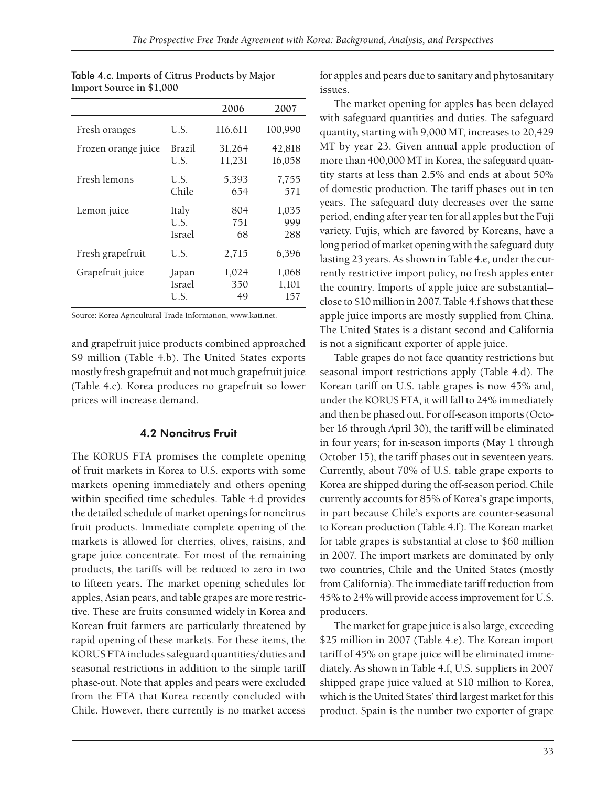|                     |               | 2006    | 2007    |
|---------------------|---------------|---------|---------|
| Fresh oranges       | U.S.          | 116,611 | 100,990 |
| Frozen orange juice | Brazil        | 31,264  | 42,818  |
|                     | U.S.          | 11,231  | 16,058  |
| Fresh lemons        | U.S.          | 5,393   | 7,755   |
|                     | Chile         | 654     | 571     |
| Lemon juice         | Italy         | 804     | 1,035   |
|                     | U.S.          | 751     | 999     |
|                     | <b>Israel</b> | 68      | 288     |
| Fresh grapefruit    | U.S.          | 2,715   | 6,396   |
| Grapefruit juice    | Japan         | 1,024   | 1,068   |
|                     | Israel        | 350     | 1,101   |
|                     | U.S.          | 49      | 157     |

| Table 4.c. Imports of Citrus Products by Major |  |
|------------------------------------------------|--|
| Import Source in \$1,000                       |  |

Source: Korea Agricultural Trade Information, www.kati.net.

and grapefruit juice products combined approached \$9 million (Table 4.b). The United States exports mostly fresh grapefruit and not much grapefruit juice (Table 4.c). Korea produces no grapefruit so lower prices will increase demand.

### 4.2 Noncitrus Fruit

The KORUS FTA promises the complete opening of fruit markets in Korea to U.S. exports with some markets opening immediately and others opening within specified time schedules. Table 4.d provides the detailed schedule of market openings for noncitrus fruit products. Immediate complete opening of the markets is allowed for cherries, olives, raisins, and grape juice concentrate. For most of the remaining products, the tariffs will be reduced to zero in two to fifteen years. The market opening schedules for apples, Asian pears, and table grapes are more restrictive. These are fruits consumed widely in Korea and Korean fruit farmers are particularly threatened by rapid opening of these markets. For these items, the KORUS FTA includes safeguard quantities/duties and seasonal restrictions in addition to the simple tariff phase-out. Note that apples and pears were excluded from the FTA that Korea recently concluded with Chile. However, there currently is no market access

for apples and pears due to sanitary and phytosanitary issues.

The market opening for apples has been delayed with safeguard quantities and duties. The safeguard quantity, starting with 9,000 MT, increases to 20,429 MT by year 23. Given annual apple production of more than 400,000 MT in Korea, the safeguard quantity starts at less than 2.5% and ends at about 50% of domestic production. The tariff phases out in ten years. The safeguard duty decreases over the same period, ending after year ten for all apples but the Fuji variety. Fujis, which are favored by Koreans, have a long period of market opening with the safeguard duty lasting 23 years. As shown in Table 4.e, under the currently restrictive import policy, no fresh apples enter the country. Imports of apple juice are substantial close to \$10 million in 2007. Table 4.f shows that these apple juice imports are mostly supplied from China. The United States is a distant second and California is not a significant exporter of apple juice.

Table grapes do not face quantity restrictions but seasonal import restrictions apply (Table 4.d). The Korean tariff on U.S. table grapes is now 45% and, under the KORUS FTA, it will fall to 24% immediately and then be phased out. For off-season imports (October 16 through April 30), the tariff will be eliminated in four years; for in-season imports (May 1 through October 15), the tariff phases out in seventeen years. Currently, about 70% of U.S. table grape exports to Korea are shipped during the off-season period. Chile currently accounts for 85% of Korea's grape imports, in part because Chile's exports are counter-seasonal to Korean production (Table 4.f). The Korean market for table grapes is substantial at close to \$60 million in 2007. The import markets are dominated by only two countries, Chile and the United States (mostly from California). The immediate tariff reduction from 45% to 24% will provide access improvement for U.S. producers.

The market for grape juice is also large, exceeding \$25 million in 2007 (Table 4.e). The Korean import tariff of 45% on grape juice will be eliminated immediately. As shown in Table 4.f, U.S. suppliers in 2007 shipped grape juice valued at \$10 million to Korea, which is the United States' third largest market for this product. Spain is the number two exporter of grape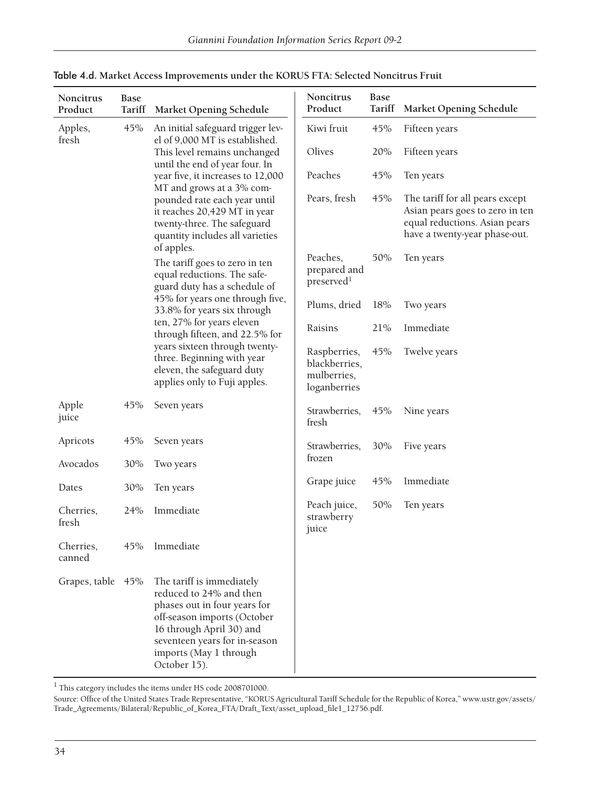| Noncitrus<br>Product | <b>Base</b><br>Tariff | <b>Market Opening Schedule</b>                                                                                                                                                                                             | Noncitrus<br>Product                                         | Base<br>Tariff | <b>Market Opening Schedule</b>                                                                                                       |
|----------------------|-----------------------|----------------------------------------------------------------------------------------------------------------------------------------------------------------------------------------------------------------------------|--------------------------------------------------------------|----------------|--------------------------------------------------------------------------------------------------------------------------------------|
| Apples,              | 45%                   | An initial safeguard trigger lev-                                                                                                                                                                                          | Kiwi fruit                                                   | 45%            | Fifteen years                                                                                                                        |
| fresh                |                       | el of 9,000 MT is established.<br>This level remains unchanged                                                                                                                                                             | Olives                                                       | 20%            | Fifteen years                                                                                                                        |
|                      |                       | until the end of year four. In<br>year five, it increases to 12,000                                                                                                                                                        | Peaches                                                      | 45%            | Ten years                                                                                                                            |
|                      |                       | MT and grows at a 3% com-<br>pounded rate each year until<br>it reaches 20,429 MT in year<br>twenty-three. The safeguard<br>quantity includes all varieties                                                                | Pears, fresh                                                 | 45%            | The tariff for all pears except<br>Asian pears goes to zero in ten<br>equal reductions. Asian pears<br>have a twenty-year phase-out. |
|                      |                       | of apples.<br>The tariff goes to zero in ten<br>equal reductions. The safe-<br>guard duty has a schedule of                                                                                                                | Peaches,<br>prepared and<br>preserved <sup>1</sup>           | 50%            | Ten years                                                                                                                            |
|                      |                       | 45% for years one through five,<br>33.8% for years six through                                                                                                                                                             | Plums, dried                                                 | 18%            | Two years                                                                                                                            |
|                      |                       | ten, 27% for years eleven<br>through fifteen, and 22.5% for                                                                                                                                                                | Raisins                                                      | 21%            | Immediate                                                                                                                            |
|                      |                       | years sixteen through twenty-<br>three. Beginning with year<br>eleven, the safeguard duty<br>applies only to Fuji apples.                                                                                                  | Raspberries,<br>blackberries,<br>mulberries,<br>loganberries | 45%            | Twelve years                                                                                                                         |
| Apple<br>juice       | 45%                   | Seven years                                                                                                                                                                                                                | Strawberries,<br>fresh                                       | 45%            | Nine years                                                                                                                           |
| Apricots             | 45%                   | Seven years                                                                                                                                                                                                                | Strawberries,                                                | 30%            | Five years                                                                                                                           |
| Avocados             | 30%                   | Two years                                                                                                                                                                                                                  | frozen                                                       |                |                                                                                                                                      |
| Dates                | 30%                   | Ten years                                                                                                                                                                                                                  | Grape juice                                                  | 45%            | Immediate                                                                                                                            |
| Cherries,<br>fresh   | 24%                   | Immediate                                                                                                                                                                                                                  | Peach juice,<br>strawberry<br>juice                          | 50%            | Ten years                                                                                                                            |
| Cherries,<br>canned  | 45%                   | Immediate                                                                                                                                                                                                                  |                                                              |                |                                                                                                                                      |
| Grapes, table 45%    |                       | The tariff is immediately<br>reduced to 24% and then<br>phases out in four years for<br>off-season imports (October<br>16 through April 30) and<br>seventeen years for in-season<br>imports (May 1 through<br>October 15). |                                                              |                |                                                                                                                                      |

| Table 4.d. Market Access Improvements under the KORUS FTA: Selected Noncitrus Fruit |
|-------------------------------------------------------------------------------------|
|-------------------------------------------------------------------------------------|

 $^{\rm 1}$  This category includes the items under HS code 2008701000.

Source: Office of the United States Trade Representative, "KORUS Agricultural Tariff Schedule for the Republic of Korea," www.ustr.gov/assets/ Trade\_Agreements/Bilateral/Republic\_of\_Korea\_FTA/Draft\_Text/asset\_upload\_fi le1\_12756.pdf.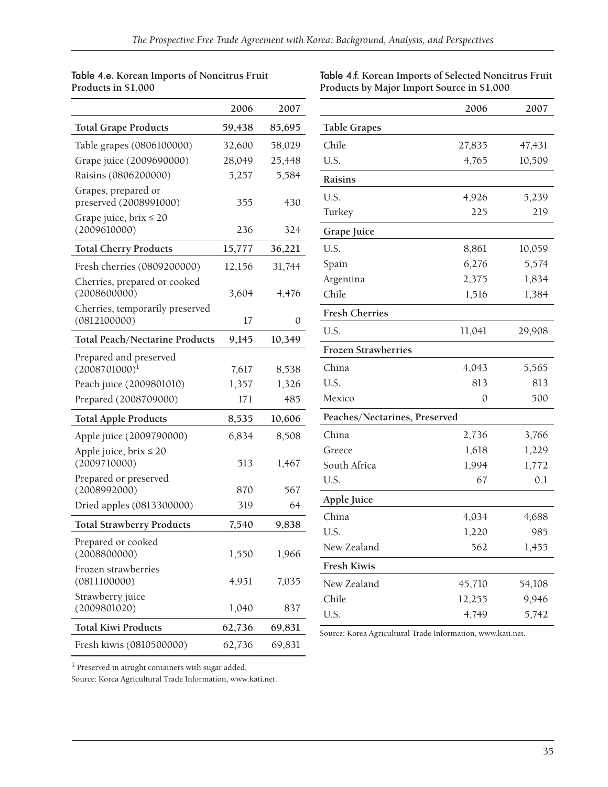#### Table 4.e. **Korean Imports of Noncitrus Fruit Products in \$1,000**

Table 4.f. **Korean Imports of Selected Noncitrus Fruit Products by Major Import Source in \$1,000**

|                                                 | 2006   | 2007   |
|-------------------------------------------------|--------|--------|
| <b>Total Grape Products</b>                     | 59,438 | 85,695 |
| Table grapes (0806100000)                       | 32,600 | 58,029 |
| Grape juice (2009690000)                        | 28,049 | 25,448 |
| Raisins (0806200000)                            | 5,257  | 5,584  |
| Grapes, prepared or<br>preserved (2008991000)   | 355    | 430    |
| Grape juice, $brix \leq 20$<br>(2009610000)     | 236    | 324    |
| <b>Total Cherry Products</b>                    | 15,777 | 36,221 |
| Fresh cherries (0809200000)                     | 12,156 | 31,744 |
| Cherries, prepared or cooked<br>(2008600000)    | 3,604  | 4,476  |
| Cherries, temporarily preserved<br>(0812100000) | 17     | 0      |
| <b>Total Peach/Nectarine Products</b>           | 9,145  | 10,349 |
| Prepared and preserved<br>$(2008701000)^1$      | 7,617  | 8,538  |
| Peach juice (2009801010)                        | 1,357  | 1,326  |
| Prepared (2008709000)                           | 171    | 485    |
| <b>Total Apple Products</b>                     | 8,535  | 10,606 |
| Apple juice (2009790000)                        | 6,834  | 8,508  |
| Apple juice, $brix \le 20$<br>(2009710000)      | 513    | 1,467  |
| Prepared or preserved<br>(2008992000)           | 870    | 567    |
| Dried apples (0813300000)                       | 319    | 64     |
| <b>Total Strawberry Products</b>                | 7,540  | 9,838  |
| Prepared or cooked<br>(2008800000)              | 1,550  | 1,966  |
| Frozen strawberries<br>(0811100000)             | 4,951  | 7,035  |
| Strawberry juice<br>(2009801020)                | 1,040  | 837    |
| <b>Total Kiwi Products</b>                      | 62,736 | 69,831 |
| Fresh kiwis (0810500000)                        | 62,736 | 69,831 |

|                               | 2006   | 2007   |
|-------------------------------|--------|--------|
| <b>Table Grapes</b>           |        |        |
| Chile                         | 27,835 | 47,431 |
| U.S.                          | 4,765  | 10,509 |
| Raisins                       |        |        |
| U.S.                          | 4,926  | 5,239  |
| Turkey                        | 225    | 219    |
| Grape Juice                   |        |        |
| U.S.                          | 8,861  | 10,059 |
| Spain                         | 6,276  | 5,574  |
| Argentina                     | 2,375  | 1,834  |
| Chile                         | 1,516  | 1,384  |
| <b>Fresh Cherries</b>         |        |        |
| U.S.                          | 11,041 | 29,908 |
| <b>Frozen Strawberries</b>    |        |        |
| China                         | 4,043  | 5,565  |
| U.S.                          | 813    | 813    |
| Mexico                        | 0      | 500    |
| Peaches/Nectarines, Preserved |        |        |
| China                         | 2,736  | 3,766  |
| Greece                        | 1,618  | 1,229  |
| South Africa                  | 1,994  | 1,772  |
| U.S.                          | 67     | 0.1    |
| <b>Apple Juice</b>            |        |        |
| China                         | 4,034  | 4,688  |
| U.S.                          | 1,220  | 985    |
| New Zealand                   | 562    | 1,455  |
| <b>Fresh Kiwis</b>            |        |        |
| New Zealand                   | 45,710 | 54,108 |
| Chile                         | 12,255 | 9,946  |
| U.S.                          | 4,749  | 5,742  |

Source: Korea Agricultural Trade Information, www.kati.net.

 $^{\rm l}$  Preserved in airtight containers with sugar added.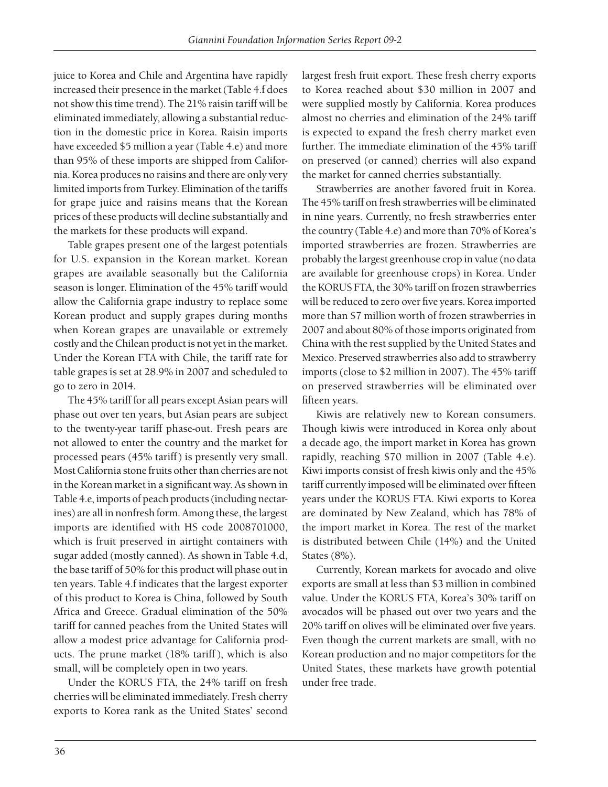juice to Korea and Chile and Argentina have rapidly increased their presence in the market (Table 4.f does not show this time trend). The 21% raisin tariff will be eliminated immediately, allowing a substantial reduction in the domestic price in Korea. Raisin imports have exceeded \$5 million a year (Table 4.e) and more than 95% of these imports are shipped from California. Korea produces no raisins and there are only very limited imports from Turkey. Elimination of the tariffs for grape juice and raisins means that the Korean prices of these products will decline substantially and the markets for these products will expand.

Table grapes present one of the largest potentials for U.S. expansion in the Korean market. Korean grapes are available seasonally but the California season is longer. Elimination of the 45% tariff would allow the California grape industry to replace some Korean product and supply grapes during months when Korean grapes are unavailable or extremely costly and the Chilean product is not yet in the market. Under the Korean FTA with Chile, the tariff rate for table grapes is set at 28.9% in 2007 and scheduled to go to zero in 2014.

The 45% tariff for all pears except Asian pears will phase out over ten years, but Asian pears are subject to the twenty-year tariff phase-out. Fresh pears are not allowed to enter the country and the market for processed pears (45% tariff) is presently very small. Most California stone fruits other than cherries are not in the Korean market in a significant way. As shown in Table 4.e, imports of peach products (including nectarines) are all in nonfresh form. Among these, the largest imports are identified with HS code 2008701000, which is fruit preserved in airtight containers with sugar added (mostly canned). As shown in Table 4.d, the base tariff of 50% for this product will phase out in ten years. Table 4.f indicates that the largest exporter of this product to Korea is China, followed by South Africa and Greece. Gradual elimination of the 50% tariff for canned peaches from the United States will allow a modest price advantage for California products. The prune market (18% tariff), which is also small, will be completely open in two years.

Under the KORUS FTA, the 24% tariff on fresh cherries will be eliminated immediately. Fresh cherry exports to Korea rank as the United States' second largest fresh fruit export. These fresh cherry exports to Korea reached about \$30 million in 2007 and were supplied mostly by California. Korea produces almost no cherries and elimination of the 24% tariff is expected to expand the fresh cherry market even further. The immediate elimination of the 45% tariff on preserved (or canned) cherries will also expand the market for canned cherries substantially.

Strawberries are another favored fruit in Korea. The 45% tariff on fresh strawberries will be eliminated in nine years. Currently, no fresh strawberries enter the country (Table 4.e) and more than 70% of Korea's imported strawberries are frozen. Strawberries are probably the largest greenhouse crop in value (no data are available for greenhouse crops) in Korea. Under the KORUS FTA, the 30% tariff on frozen strawberries will be reduced to zero over five years. Korea imported more than \$7 million worth of frozen strawberries in 2007 and about 80% of those imports originated from China with the rest supplied by the United States and Mexico. Preserved strawberries also add to strawberry imports (close to \$2 million in 2007). The 45% tariff on preserved strawberries will be eliminated over fifteen years.

Kiwis are relatively new to Korean consumers. Though kiwis were introduced in Korea only about a decade ago, the import market in Korea has grown rapidly, reaching \$70 million in 2007 (Table 4.e). Kiwi imports consist of fresh kiwis only and the 45% tariff currently imposed will be eliminated over fifteen years under the KORUS FTA. Kiwi exports to Korea are dominated by New Zealand, which has 78% of the import market in Korea. The rest of the market is distributed between Chile (14%) and the United States (8%).

Currently, Korean markets for avocado and olive exports are small at less than \$3 million in combined value. Under the KORUS FTA, Korea's 30% tariff on avocados will be phased out over two years and the 20% tariff on olives will be eliminated over five years. Even though the current markets are small, with no Korean production and no major competitors for the United States, these markets have growth potential under free trade.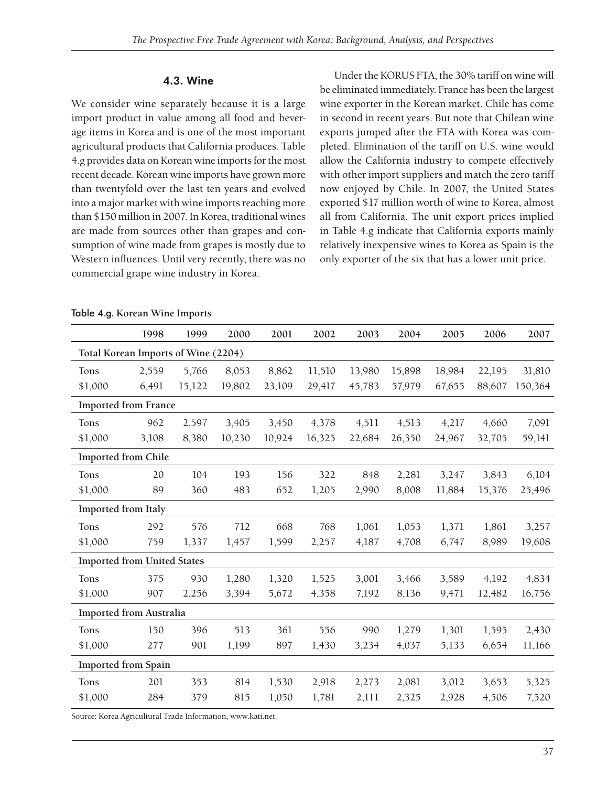#### 4.3. Wine

We consider wine separately because it is a large import product in value among all food and beverage items in Korea and is one of the most important agricultural products that California produces. Table 4.g provides data on Korean wine imports for the most recent decade. Korean wine imports have grown more than twentyfold over the last ten years and evolved into a major market with wine imports reaching more than \$150 million in 2007. In Korea, traditional wines are made from sources other than grapes and consumption of wine made from grapes is mostly due to Western influences. Until very recently, there was no commercial grape wine industry in Korea.

Under the KORUS FTA, the 30% tariff on wine will be eliminated immediately. France has been the largest wine exporter in the Korean market. Chile has come in second in recent years. But note that Chilean wine exports jumped after the FTA with Korea was completed. Elimination of the tariff on U.S. wine would allow the California industry to compete effectively with other import suppliers and match the zero tariff now enjoyed by Chile. In 2007, the United States exported \$17 million worth of wine to Korea, almost all from California. The unit export prices implied in Table 4.g indicate that California exports mainly relatively inexpensive wines to Korea as Spain is the only exporter of the six that has a lower unit price.

|                                     | 1998  | 1999   | 2000   | 2001   | 2002   | 2003   | 2004   | 2005   | 2006   | 2007    |
|-------------------------------------|-------|--------|--------|--------|--------|--------|--------|--------|--------|---------|
| Total Korean Imports of Wine (2204) |       |        |        |        |        |        |        |        |        |         |
| Tons                                | 2,559 | 5,766  | 8,053  | 8,862  | 11,510 | 13,980 | 15,898 | 18,984 | 22,195 | 31,810  |
| \$1,000                             | 6,491 | 15,122 | 19,802 | 23,109 | 29,417 | 45,783 | 57,979 | 67,655 | 88,607 | 150,364 |
| <b>Imported from France</b>         |       |        |        |        |        |        |        |        |        |         |
| Tons                                | 962   | 2,597  | 3,405  | 3,450  | 4,378  | 4,511  | 4,513  | 4,217  | 4,660  | 7,091   |
| \$1,000                             | 3,108 | 8,380  | 10,230 | 10,924 | 16,325 | 22,684 | 26,350 | 24,967 | 32,705 | 59,141  |
| <b>Imported from Chile</b>          |       |        |        |        |        |        |        |        |        |         |
| Tons                                | 20    | 104    | 193    | 156    | 322    | 848    | 2,281  | 3,247  | 3,843  | 6,104   |
| \$1,000                             | 89    | 360    | 483    | 652    | 1,205  | 2,990  | 8,008  | 11,884 | 15,376 | 25,496  |
| <b>Imported from Italy</b>          |       |        |        |        |        |        |        |        |        |         |
| Tons                                | 292   | 576    | 712    | 668    | 768    | 1,061  | 1,053  | 1,371  | 1,861  | 3,257   |
| \$1,000                             | 759   | 1,337  | 1,457  | 1,599  | 2,257  | 4,187  | 4,708  | 6,747  | 8,989  | 19,608  |
| <b>Imported from United States</b>  |       |        |        |        |        |        |        |        |        |         |
| Tons                                | 375   | 930    | 1,280  | 1,320  | 1,525  | 3,001  | 3,466  | 3,589  | 4,192  | 4,834   |
| \$1,000                             | 907   | 2,256  | 3,394  | 5,672  | 4,358  | 7,192  | 8,136  | 9,471  | 12,482 | 16,756  |
| <b>Imported from Australia</b>      |       |        |        |        |        |        |        |        |        |         |
| Tons                                | 150   | 396    | 513    | 361    | 556    | 990    | 1,279  | 1,301  | 1,595  | 2,430   |
| \$1,000                             | 277   | 901    | 1,199  | 897    | 1,430  | 3,234  | 4,037  | 5,133  | 6,654  | 11,166  |
| <b>Imported from Spain</b>          |       |        |        |        |        |        |        |        |        |         |
| Tons                                | 201   | 353    | 814    | 1,530  | 2,918  | 2,273  | 2,081  | 3,012  | 3,653  | 5,325   |
| \$1,000                             | 284   | 379    | 815    | 1,050  | 1,781  | 2,111  | 2,325  | 2,928  | 4,506  | 7,520   |

#### Table 4.g. **Korean Wine Imports**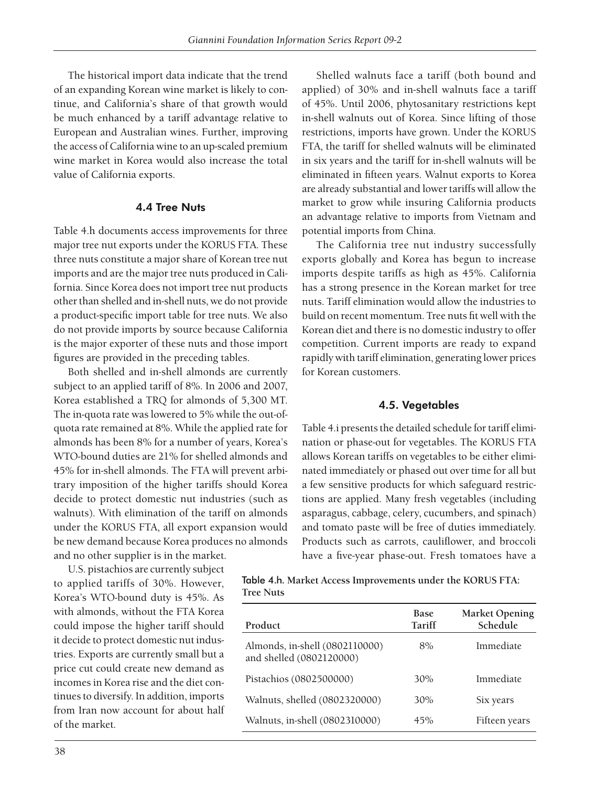The historical import data indicate that the trend of an expanding Korean wine market is likely to continue, and California's share of that growth would be much enhanced by a tariff advantage relative to European and Australian wines. Further, improving the access of California wine to an up-scaled premium wine market in Korea would also increase the total value of California exports.

#### 4.4 Tree Nuts

Table 4.h documents access improvements for three major tree nut exports under the KORUS FTA. These three nuts constitute a major share of Korean tree nut imports and are the major tree nuts produced in California. Since Korea does not import tree nut products other than shelled and in-shell nuts, we do not provide a product-specific import table for tree nuts. We also do not provide imports by source because California is the major exporter of these nuts and those import figures are provided in the preceding tables.

Both shelled and in-shell almonds are currently subject to an applied tariff of 8%. In 2006 and 2007, Korea established a TRQ for almonds of 5,300 MT. The in-quota rate was lowered to 5% while the out-ofquota rate remained at 8%. While the applied rate for almonds has been 8% for a number of years, Korea's WTO-bound duties are 21% for shelled almonds and 45% for in-shell almonds. The FTA will prevent arbitrary imposition of the higher tariffs should Korea decide to protect domestic nut industries (such as walnuts). With elimination of the tariff on almonds under the KORUS FTA, all export expansion would be new demand because Korea produces no almonds and no other supplier is in the market.

U.S. pistachios are currently subject to applied tariffs of 30%. However, Korea's WTO-bound duty is 45%. As with almonds, without the FTA Korea could impose the higher tariff should it decide to protect domestic nut industries. Exports are currently small but a price cut could create new demand as incomes in Korea rise and the diet continues to diversify. In addition, imports from Iran now account for about half of the market.

Shelled walnuts face a tariff (both bound and applied) of 30% and in-shell walnuts face a tariff of 45%. Until 2006, phytosanitary restrictions kept in-shell walnuts out of Korea. Since lifting of those restrictions, imports have grown. Under the KORUS FTA, the tariff for shelled walnuts will be eliminated in six years and the tariff for in-shell walnuts will be eliminated in fifteen years. Walnut exports to Korea are already substantial and lower tariffs will allow the market to grow while insuring California products an advantage relative to imports from Vietnam and potential imports from China.

The California tree nut industry successfully exports globally and Korea has begun to increase imports despite tariffs as high as 45%. California has a strong presence in the Korean market for tree nuts. Tariff elimination would allow the industries to build on recent momentum. Tree nuts fit well with the Korean diet and there is no domestic industry to offer competition. Current imports are ready to expand rapidly with tariff elimination, generating lower prices for Korean customers.

#### 4.5. Vegetables

Table 4.i presents the detailed schedule for tariff elimination or phase-out for vegetables. The KORUS FTA allows Korean tariffs on vegetables to be either eliminated immediately or phased out over time for all but a few sensitive products for which safeguard restrictions are applied. Many fresh vegetables (including asparagus, cabbage, celery, cucumbers, and spinach) and tomato paste will be free of duties immediately. Products such as carrots, cauliflower, and broccoli have a five-year phase-out. Fresh tomatoes have a

|           | Table 4.h. Market Access Improvements under the KORUS FTA: |  |  |
|-----------|------------------------------------------------------------|--|--|
| Tree Nuts |                                                            |  |  |

| Product                                                    | Base<br>Tariff | <b>Market Opening</b><br>Schedule |
|------------------------------------------------------------|----------------|-----------------------------------|
| Almonds, in-shell (0802110000)<br>and shelled (0802120000) | 8%             | Immediate                         |
| Pistachios (0802500000)                                    | 30%            | Immediate                         |
| Walnuts, shelled (0802320000)                              | 30%            | Six years                         |
| Walnuts, in-shell (0802310000)                             | 45%            | Fifteen years                     |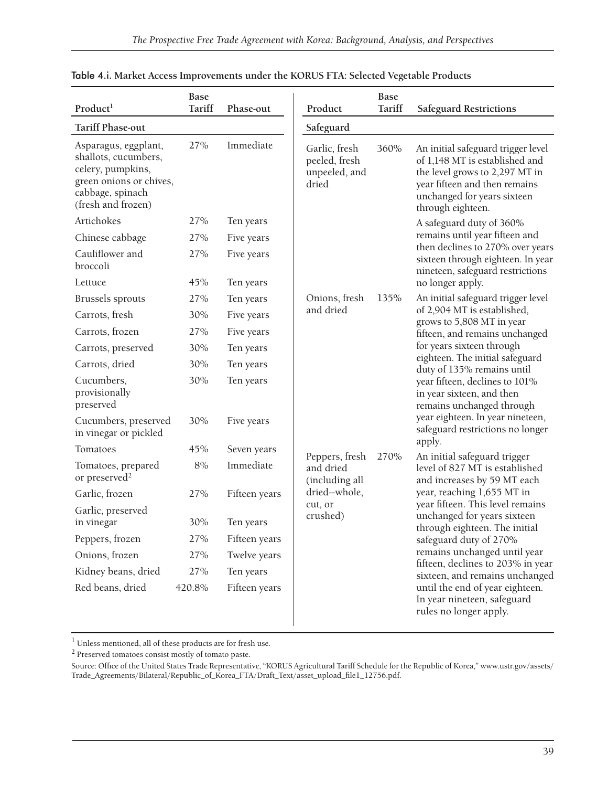| Product <sup>1</sup>                                                                                                                   | <b>Base</b><br><b>Tariff</b> | Phase-out     | Product                                                  | <b>Base</b><br>Tariff | <b>Safeguard Restrictions</b>                                                                                                                                                               |
|----------------------------------------------------------------------------------------------------------------------------------------|------------------------------|---------------|----------------------------------------------------------|-----------------------|---------------------------------------------------------------------------------------------------------------------------------------------------------------------------------------------|
| <b>Tariff Phase-out</b>                                                                                                                |                              |               | Safeguard                                                |                       |                                                                                                                                                                                             |
| Asparagus, eggplant,<br>shallots, cucumbers,<br>celery, pumpkins,<br>green onions or chives,<br>cabbage, spinach<br>(fresh and frozen) | 27%                          | Immediate     | Garlic, fresh<br>peeled, fresh<br>unpeeled, and<br>dried | 360%                  | An initial safeguard trigger level<br>of 1,148 MT is established and<br>the level grows to 2,297 MT in<br>year fifteen and then remains<br>unchanged for years sixteen<br>through eighteen. |
| Artichokes                                                                                                                             | 27%                          | Ten years     |                                                          |                       | A safeguard duty of 360%                                                                                                                                                                    |
| Chinese cabbage                                                                                                                        | 27%                          | Five years    |                                                          |                       | remains until year fifteen and                                                                                                                                                              |
| Cauliflower and<br>broccoli                                                                                                            | 27%                          | Five years    |                                                          |                       | then declines to 270% over years<br>sixteen through eighteen. In year<br>nineteen, safeguard restrictions                                                                                   |
| Lettuce                                                                                                                                | 45%                          | Ten years     |                                                          |                       | no longer apply.                                                                                                                                                                            |
| Brussels sprouts                                                                                                                       | 27%                          | Ten years     | Onions, fresh                                            | 135%                  | An initial safeguard trigger level                                                                                                                                                          |
| Carrots, fresh                                                                                                                         | 30%                          | Five years    | and dried                                                |                       | of 2,904 MT is established,<br>grows to 5,808 MT in year                                                                                                                                    |
| Carrots, frozen                                                                                                                        | 27%                          | Five years    |                                                          |                       | fifteen, and remains unchanged                                                                                                                                                              |
| Carrots, preserved                                                                                                                     | 30%                          | Ten years     |                                                          |                       | for years sixteen through                                                                                                                                                                   |
| Carrots, dried                                                                                                                         | 30%                          | Ten years     |                                                          |                       | eighteen. The initial safeguard<br>duty of 135% remains until                                                                                                                               |
| Cucumbers,<br>provisionally<br>preserved                                                                                               | 30%                          | Ten years     |                                                          |                       | year fifteen, declines to 101%<br>in year sixteen, and then<br>remains unchanged through                                                                                                    |
| Cucumbers, preserved<br>in vinegar or pickled                                                                                          | 30%                          | Five years    |                                                          |                       | year eighteen. In year nineteen,<br>safeguard restrictions no longer                                                                                                                        |
| Tomatoes                                                                                                                               | 45%                          | Seven years   | Peppers, fresh                                           | 270%                  | apply.<br>An initial safeguard trigger                                                                                                                                                      |
| Tomatoes, prepared<br>or preserved <sup>2</sup>                                                                                        | $8\%$                        | Immediate     | and dried<br>(including all                              |                       | level of 827 MT is established<br>and increases by 59 MT each                                                                                                                               |
| Garlic, frozen                                                                                                                         | 27%                          | Fifteen years | dried-whole,                                             |                       | year, reaching 1,655 MT in                                                                                                                                                                  |
| Garlic, preserved<br>in vinegar                                                                                                        | 30%                          | Ten years     | cut, or<br>crushed)                                      |                       | year fifteen. This level remains<br>unchanged for years sixteen                                                                                                                             |
| Peppers, frozen                                                                                                                        | 27%                          | Fifteen years |                                                          |                       | through eighteen. The initial<br>safeguard duty of 270%                                                                                                                                     |
| Onions, frozen                                                                                                                         | 27%                          | Twelve years  |                                                          |                       | remains unchanged until year                                                                                                                                                                |
| Kidney beans, dried                                                                                                                    | 27%                          | Ten years     |                                                          |                       | fifteen, declines to 203% in year<br>sixteen, and remains unchanged                                                                                                                         |
| Red beans, dried                                                                                                                       | 420.8%                       | Fifteen years |                                                          |                       | until the end of year eighteen.<br>In year nineteen, safeguard<br>rules no longer apply.                                                                                                    |

| Table 4.i. Market Access Improvements under the KORUS FTA: Selected Vegetable Products |  |
|----------------------------------------------------------------------------------------|--|
|----------------------------------------------------------------------------------------|--|

 $^{\rm l}$  Unless mentioned, all of these products are for fresh use.

2 Preserved tomatoes consist mostly of tomato paste.

Source: Office of the United States Trade Representative, "KORUS Agricultural Tariff Schedule for the Republic of Korea," www.ustr.gov/assets/ Trade\_Agreements/Bilateral/Republic\_of\_Korea\_FTA/Draft\_Text/asset\_upload\_fi le1\_12756.pdf.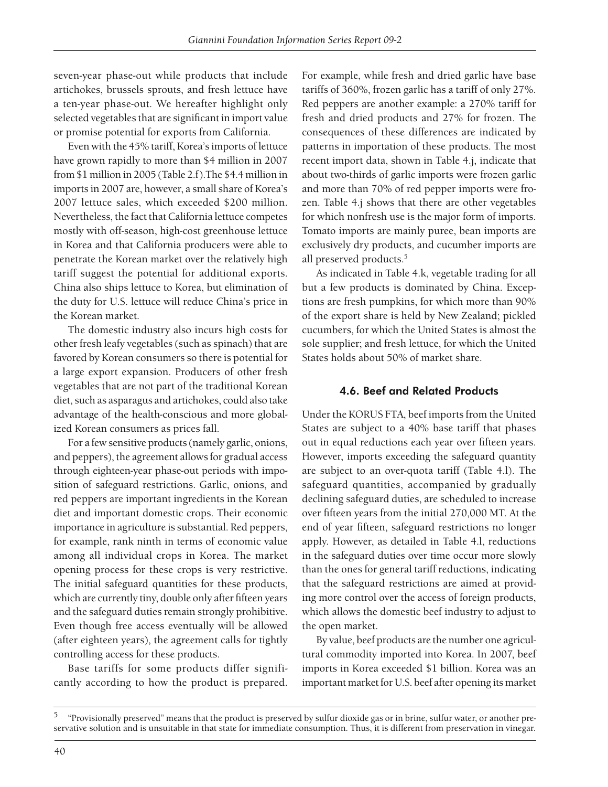seven-year phase-out while products that include artichokes, brussels sprouts, and fresh lettuce have a ten-year phase-out. We hereafter highlight only selected vegetables that are significant in import value or promise potential for exports from California.

Even with the 45% tariff, Korea's imports of lettuce have grown rapidly to more than \$4 million in 2007 from \$1 million in 2005 (Table 2.f).The \$4.4 million in imports in 2007 are, however, a small share of Korea's 2007 lettuce sales, which exceeded \$200 million. Nevertheless, the fact that California lettuce competes mostly with off-season, high-cost greenhouse lettuce in Korea and that California producers were able to penetrate the Korean market over the relatively high tariff suggest the potential for additional exports. China also ships lettuce to Korea, but elimination of the duty for U.S. lettuce will reduce China's price in the Korean market.

The domestic industry also incurs high costs for other fresh leafy vegetables (such as spinach) that are favored by Korean consumers so there is potential for a large export expansion. Producers of other fresh vegetables that are not part of the traditional Korean diet, such as asparagus and artichokes, could also take advantage of the health-conscious and more globalized Korean consumers as prices fall.

For a few sensitive products (namely garlic, onions, and peppers), the agreement allows for gradual access through eighteen-year phase-out periods with imposition of safeguard restrictions. Garlic, onions, and red peppers are important ingredients in the Korean diet and important domestic crops. Their economic importance in agriculture is substantial. Red peppers, for example, rank ninth in terms of economic value among all individual crops in Korea. The market opening process for these crops is very restrictive. The initial safeguard quantities for these products, which are currently tiny, double only after fifteen years and the safeguard duties remain strongly prohibitive. Even though free access eventually will be allowed (after eighteen years), the agreement calls for tightly controlling access for these products.

Base tariffs for some products differ significantly according to how the product is prepared.

For example, while fresh and dried garlic have base tariffs of 360%, frozen garlic has a tariff of only 27%. Red peppers are another example: a 270% tariff for fresh and dried products and 27% for frozen. The consequences of these differences are indicated by patterns in importation of these products. The most recent import data, shown in Table 4.j, indicate that about two-thirds of garlic imports were frozen garlic and more than 70% of red pepper imports were frozen. Table 4.j shows that there are other vegetables for which nonfresh use is the major form of imports. Tomato imports are mainly puree, bean imports are exclusively dry products, and cucumber imports are all preserved products.5

As indicated in Table 4.k, vegetable trading for all but a few products is dominated by China. Exceptions are fresh pumpkins, for which more than 90% of the export share is held by New Zealand; pickled cucumbers, for which the United States is almost the sole supplier; and fresh lettuce, for which the United States holds about 50% of market share.

#### 4.6. Beef and Related Products

Under the KORUS FTA, beef imports from the United States are subject to a 40% base tariff that phases out in equal reductions each year over fifteen years. However, imports exceeding the safeguard quantity are subject to an over-quota tariff (Table 4.l). The safeguard quantities, accompanied by gradually declining safeguard duties, are scheduled to increase over fifteen years from the initial 270,000 MT. At the end of year fifteen, safeguard restrictions no longer apply. However, as detailed in Table 4.l, reductions in the safeguard duties over time occur more slowly than the ones for general tariff reductions, indicating that the safeguard restrictions are aimed at providing more control over the access of foreign products, which allows the domestic beef industry to adjust to the open market.

By value, beef products are the number one agricultural commodity imported into Korea. In 2007, beef imports in Korea exceeded \$1 billion. Korea was an important market for U.S. beef after opening its market

<sup>5 &</sup>quot;Provisionally preserved" means that the product is preserved by sulfur dioxide gas or in brine, sulfur water, or another preservative solution and is unsuitable in that state for immediate consumption. Thus, it is different from preservation in vinegar.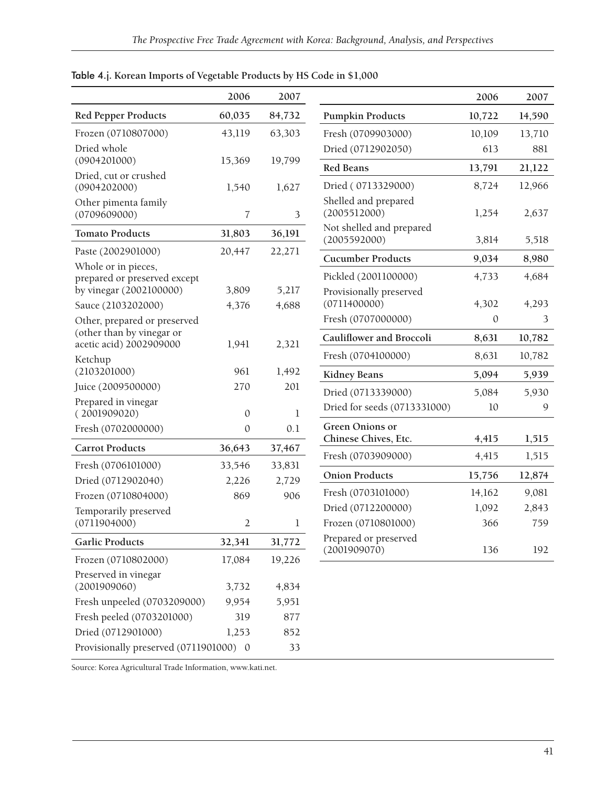|                                               | 2006           | 2007           |                                                | 2006   |
|-----------------------------------------------|----------------|----------------|------------------------------------------------|--------|
| <b>Red Pepper Products</b>                    | 60,035         | 84,732         | <b>Pumpkin Products</b>                        | 10,722 |
| Frozen (0710807000)                           | 43,119         | 63,303         | Fresh (0709903000)                             | 10,109 |
| Dried whole                                   |                |                | Dried (0712902050)                             | 613    |
| (0904201000)                                  | 15,369         | 19,799         | <b>Red Beans</b>                               | 13,791 |
| Dried, cut or crushed<br>(0904202000)         | 1,540          | 1,627          | Dried (0713329000)                             | 8,724  |
| Other pimenta family<br>(0709609000)          | 7              | 3              | Shelled and prepared<br>(2005512000)           | 1,254  |
| <b>Tomato Products</b>                        | 31,803         | 36,191         | Not shelled and prepared<br>(2005592000)       |        |
| Paste (2002901000)                            | 20,447         | 22,271         |                                                | 3,814  |
| Whole or in pieces,                           |                |                | <b>Cucumber Products</b>                       | 9,034  |
| prepared or preserved except                  |                |                | Pickled (2001100000)                           | 4,733  |
| by vinegar (2002100000)<br>Sauce (2103202000) | 3,809<br>4,376 | 5,217<br>4,688 | Provisionally preserved<br>(0711400000)        | 4,302  |
| Other, prepared or preserved                  |                |                | Fresh (0707000000)                             | 0      |
| (other than by vinegar or                     |                |                | Cauliflower and Broccoli                       | 8,631  |
| acetic acid) 2002909000                       | 1,941          | 2,321          |                                                |        |
| Ketchup<br>(2103201000)                       |                |                | Fresh (0704100000)                             | 8,631  |
|                                               | 961<br>270     | 1,492<br>201   | <b>Kidney Beans</b>                            | 5,094  |
| Juice (2009500000)<br>Prepared in vinegar     |                |                | Dried (0713339000)                             | 5,084  |
| (2001909020)                                  | $\mathbf{0}$   | 1              | Dried for seeds (0713331000)                   | 10     |
| Fresh (0702000000)                            | $\mathbf{0}$   | 0.1            | <b>Green Onions or</b><br>Chinese Chives, Etc. | 4,415  |
| <b>Carrot Products</b>                        | 36,643         | 37,467         | Fresh (0703909000)                             | 4,415  |
| Fresh (0706101000)                            | 33,546         | 33,831         |                                                |        |
| Dried (0712902040)                            | 2,226          | 2,729          | <b>Onion Products</b>                          | 15,756 |
| Frozen (0710804000)                           | 869            | 906            | Fresh (0703101000)                             | 14,162 |
| Temporarily preserved                         |                |                | Dried (0712200000)                             | 1,092  |
| (0711904000)                                  | $\overline{2}$ | $\mathbf 1$    | Frozen (0710801000)                            | 366    |
| <b>Garlic Products</b>                        | 32,341         | 31,772         | Prepared or preserved<br>(2001909070)          | 136    |
| Frozen (0710802000)                           | 17,084         | 19,226         |                                                |        |
| Preserved in vinegar<br>(2001909060)          | 3,732          | 4,834          |                                                |        |
| Fresh unpeeled (0703209000)                   | 9,954          | 5,951          |                                                |        |
| Fresh peeled (0703201000)                     | 319            | 877            |                                                |        |
| Dried (0712901000)                            | 1,253          | 852            |                                                |        |
| Provisionally preserved (0711901000) 0        |                | 33             |                                                |        |

### Table 4.j. **Korean Imports of Vegetable Products by HS Code in \$1,000**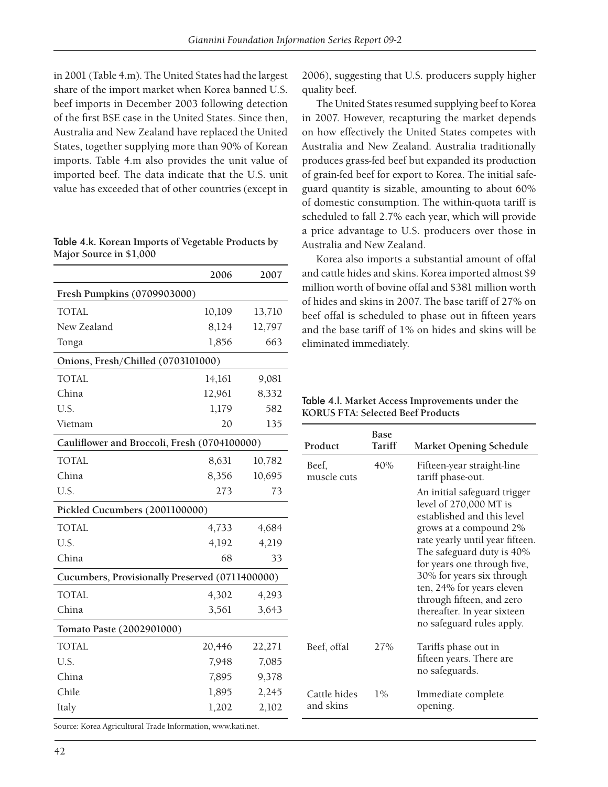in 2001 (Table 4.m). The United States had the largest share of the import market when Korea banned U.S. beef imports in December 2003 following detection of the first BSE case in the United States. Since then, Australia and New Zealand have replaced the United States, together supplying more than 90% of Korean imports. Table 4.m also provides the unit value of imported beef. The data indicate that the U.S. unit value has exceeded that of other countries (except in

| Table 4.k. Korean Imports of Vegetable Products by |  |
|----------------------------------------------------|--|
| Major Source in \$1,000                            |  |

|                                                 | 2006   | 2007   |  |  |  |  |
|-------------------------------------------------|--------|--------|--|--|--|--|
| Fresh Pumpkins (0709903000)                     |        |        |  |  |  |  |
| <b>TOTAL</b>                                    | 10,109 | 13,710 |  |  |  |  |
| New Zealand                                     | 8,124  | 12,797 |  |  |  |  |
| Tonga                                           | 1,856  | 663    |  |  |  |  |
| Onions, Fresh/Chilled (0703101000)              |        |        |  |  |  |  |
| <b>TOTAL</b>                                    | 14,161 | 9,081  |  |  |  |  |
| China                                           | 12,961 | 8,332  |  |  |  |  |
| U.S.                                            | 1,179  | 582    |  |  |  |  |
| Vietnam                                         | 20     | 135    |  |  |  |  |
| Cauliflower and Broccoli, Fresh (0704100000)    |        |        |  |  |  |  |
| <b>TOTAL</b>                                    | 8,631  | 10,782 |  |  |  |  |
| China                                           | 8,356  | 10,695 |  |  |  |  |
| U.S.                                            | 273    | 73     |  |  |  |  |
| Pickled Cucumbers (2001100000)                  |        |        |  |  |  |  |
| <b>TOTAL</b>                                    | 4,733  | 4,684  |  |  |  |  |
| U.S.                                            | 4,192  | 4,219  |  |  |  |  |
| China                                           | 68     | 33     |  |  |  |  |
| Cucumbers, Provisionally Preserved (0711400000) |        |        |  |  |  |  |
| <b>TOTAL</b>                                    | 4,302  | 4,293  |  |  |  |  |
| China                                           | 3,561  | 3,643  |  |  |  |  |
| Tomato Paste (2002901000)                       |        |        |  |  |  |  |
| <b>TOTAL</b>                                    | 20,446 | 22,271 |  |  |  |  |
| U.S.                                            | 7,948  | 7,085  |  |  |  |  |
| China                                           | 7,895  | 9,378  |  |  |  |  |
| Chile                                           | 1,895  | 2,245  |  |  |  |  |
| Italy                                           | 1,202  | 2,102  |  |  |  |  |

2006), suggesting that U.S. producers supply higher quality beef.

The United States resumed supplying beef to Korea in 2007. However, recapturing the market depends on how effectively the United States competes with Australia and New Zealand. Australia traditionally produces grass-fed beef but expanded its production of grain-fed beef for export to Korea. The initial safeguard quantity is sizable, amounting to about 60% of domestic consumption. The within-quota tariff is scheduled to fall 2.7% each year, which will provide a price advantage to U.S. producers over those in Australia and New Zealand.

Korea also imports a substantial amount of offal and cattle hides and skins. Korea imported almost \$9 million worth of bovine offal and \$381 million worth of hides and skins in 2007. The base tariff of 27% on beef offal is scheduled to phase out in fifteen years and the base tariff of 1% on hides and skins will be eliminated immediately.

Table 4.l. **Market Access Improvements under the KORUS FTA: Selected Beef Products**

| Product                   | <b>Base</b><br>Tariff | <b>Market Opening Schedule</b>                                                                                                                                                                                                                                                                                                                                   |
|---------------------------|-----------------------|------------------------------------------------------------------------------------------------------------------------------------------------------------------------------------------------------------------------------------------------------------------------------------------------------------------------------------------------------------------|
| Beef,<br>muscle cuts      | 40%                   | Fifteen-year straight-line<br>tariff phase-out.                                                                                                                                                                                                                                                                                                                  |
|                           |                       | An initial safeguard trigger<br>level of 270,000 MT is<br>established and this level<br>grows at a compound 2%<br>rate yearly until year fifteen.<br>The safeguard duty is 40%<br>for years one through five,<br>30% for years six through<br>ten, 24% for years eleven<br>through fifteen, and zero<br>thereafter. In year sixteen<br>no safeguard rules apply. |
| Beef, offal               | 27%                   | Tariffs phase out in<br>fifteen years. There are<br>no safeguards.                                                                                                                                                                                                                                                                                               |
| Cattle hides<br>and skins | $1\%$                 | Immediate complete<br>opening.                                                                                                                                                                                                                                                                                                                                   |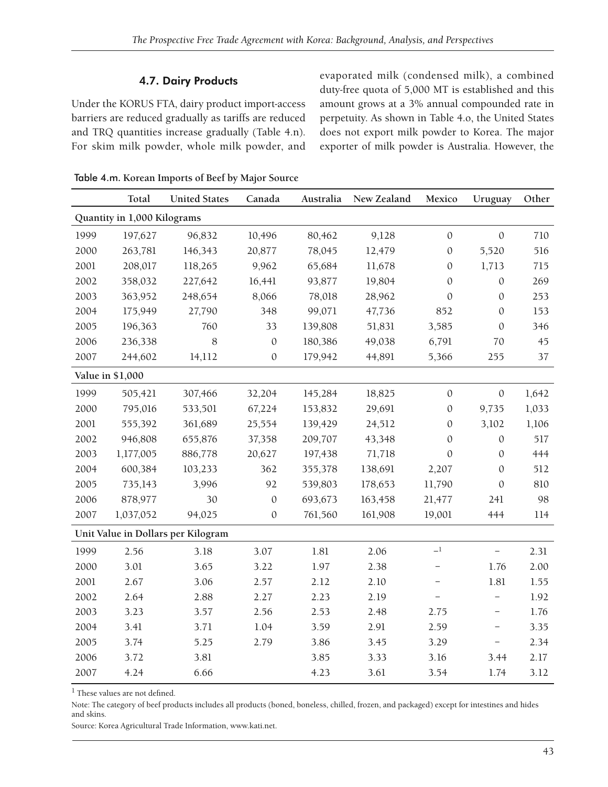### 4.7. Dairy Products

Under the KORUS FTA, dairy product import-access barriers are reduced gradually as tariffs are reduced and TRQ quantities increase gradually (Table 4.n). For skim milk powder, whole milk powder, and evaporated milk (condensed milk), a combined duty-free quota of 5,000 MT is established and this amount grows at a 3% annual compounded rate in perpetuity. As shown in Table 4.o, the United States does not export milk powder to Korea. The major exporter of milk powder is Australia. However, the

|      | Total                       | <b>United States</b>               | Canada           | Australia | New Zealand | Mexico                   | Uruguay                  | Other |  |
|------|-----------------------------|------------------------------------|------------------|-----------|-------------|--------------------------|--------------------------|-------|--|
|      | Quantity in 1,000 Kilograms |                                    |                  |           |             |                          |                          |       |  |
| 1999 | 197,627                     | 96,832                             | 10,496           | 80,462    | 9,128       | $\mathbf{0}$             | $\mathbf{0}$             | 710   |  |
| 2000 | 263,781                     | 146,343                            | 20,877           | 78,045    | 12,479      | $\mathbf{0}$             | 5,520                    | 516   |  |
| 2001 | 208,017                     | 118,265                            | 9,962            | 65,684    | 11,678      | $\theta$                 | 1,713                    | 715   |  |
| 2002 | 358,032                     | 227,642                            | 16,441           | 93,877    | 19,804      | $\mathbf{0}$             | $\mathbf{0}$             | 269   |  |
| 2003 | 363,952                     | 248,654                            | 8,066            | 78,018    | 28,962      | $\boldsymbol{0}$         | $\boldsymbol{0}$         | 253   |  |
| 2004 | 175,949                     | 27,790                             | 348              | 99,071    | 47,736      | 852                      | $\mathbf{0}$             | 153   |  |
| 2005 | 196,363                     | 760                                | 33               | 139,808   | 51,831      | 3,585                    | $\mathbf{0}$             | 346   |  |
| 2006 | 236,338                     | 8                                  | $\boldsymbol{0}$ | 180,386   | 49,038      | 6,791                    | 70                       | 45    |  |
| 2007 | 244,602                     | 14,112                             | $\mathbf{0}$     | 179,942   | 44,891      | 5,366                    | 255                      | 37    |  |
|      | Value in \$1,000            |                                    |                  |           |             |                          |                          |       |  |
| 1999 | 505,421                     | 307,466                            | 32,204           | 145,284   | 18,825      | $\mathbf{0}$             | $\mathbf{0}$             | 1,642 |  |
| 2000 | 795,016                     | 533,501                            | 67,224           | 153,832   | 29,691      | $\mathbf{0}$             | 9,735                    | 1,033 |  |
| 2001 | 555,392                     | 361,689                            | 25,554           | 139,429   | 24,512      | $\mathbf{0}$             | 3,102                    | 1,106 |  |
| 2002 | 946,808                     | 655,876                            | 37,358           | 209,707   | 43,348      | $\mathbf{0}$             | $\mathbf{0}$             | 517   |  |
| 2003 | 1,177,005                   | 886,778                            | 20,627           | 197,438   | 71,718      | $\mathbf{0}$             | $\mathbf{0}$             | 444   |  |
| 2004 | 600,384                     | 103,233                            | 362              | 355,378   | 138,691     | 2,207                    | $\mathbf{0}$             | 512   |  |
| 2005 | 735,143                     | 3,996                              | 92               | 539,803   | 178,653     | 11,790                   | $\mathbf{0}$             | 810   |  |
| 2006 | 878,977                     | 30                                 | $\mathbf{0}$     | 693,673   | 163,458     | 21,477                   | 241                      | 98    |  |
| 2007 | 1,037,052                   | 94,025                             | $\mathbf{0}$     | 761,560   | 161,908     | 19,001                   | 444                      | 114   |  |
|      |                             | Unit Value in Dollars per Kilogram |                  |           |             |                          |                          |       |  |
| 1999 | 2.56                        | 3.18                               | 3.07             | 1.81      | 2.06        | $-1$                     | $\overline{\phantom{0}}$ | 2.31  |  |
| 2000 | 3.01                        | 3.65                               | 3.22             | 1.97      | 2.38        | $\qquad \qquad -$        | 1.76                     | 2.00  |  |
| 2001 | 2.67                        | 3.06                               | 2.57             | 2.12      | 2.10        | $\overline{\phantom{m}}$ | $1.81\,$                 | 1.55  |  |
| 2002 | 2.64                        | 2.88                               | 2.27             | 2.23      | 2.19        | $\overline{\phantom{0}}$ | -                        | 1.92  |  |
| 2003 | 3.23                        | 3.57                               | 2.56             | 2.53      | 2.48        | 2.75                     | -                        | 1.76  |  |
| 2004 | 3.41                        | 3.71                               | 1.04             | 3.59      | 2.91        | 2.59                     | -                        | 3.35  |  |
| 2005 | 3.74                        | 5.25                               | 2.79             | 3.86      | 3.45        | 3.29                     | $\overline{\phantom{0}}$ | 2.34  |  |
| 2006 | 3.72                        | 3.81                               |                  | 3.85      | 3.33        | 3.16                     | 3.44                     | 2.17  |  |
| 2007 | 4.24                        | 6.66                               |                  | 4.23      | 3.61        | 3.54                     | 1.74                     | 3.12  |  |

Table 4.m. **Korean Imports of Beef by Major Source**

 $<sup>1</sup>$  These values are not defined.</sup>

Note: The category of beef products includes all products (boned, boneless, chilled, frozen, and packaged) except for intestines and hides and skins.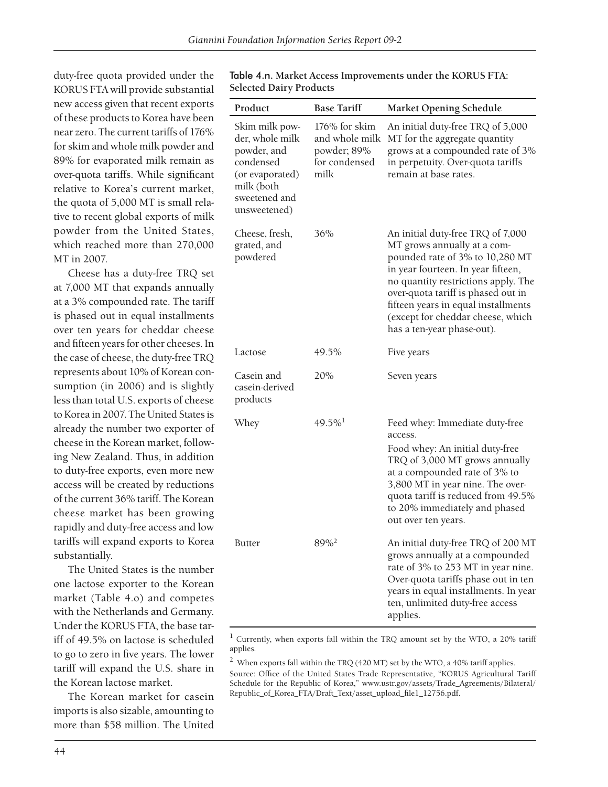duty-free quota provided under the KORUS FTA will provide substantial new access given that recent exports of these products to Korea have been near zero. The current tariffs of 176% for skim and whole milk powder and 89% for evaporated milk remain as over-quota tariffs. While significant relative to Korea's current market, the quota of 5,000 MT is small relative to recent global exports of milk powder from the United States, which reached more than 270,000 MT in 2007.

Cheese has a duty-free TRQ set at 7,000 MT that expands annually at a 3% compounded rate. The tariff is phased out in equal installments over ten years for cheddar cheese and fifteen years for other cheeses. In the case of cheese, the duty-free TRQ represents about 10% of Korean consumption (in 2006) and is slightly less than total U.S. exports of cheese to Korea in 2007. The United States is already the number two exporter of cheese in the Korean market, following New Zealand. Thus, in addition to duty-free exports, even more new access will be created by reductions of the current 36% tariff. The Korean cheese market has been growing rapidly and duty-free access and low tariffs will expand exports to Korea substantially.

The United States is the number one lactose exporter to the Korean market (Table 4.o) and competes with the Netherlands and Germany. Under the KORUS FTA, the base tariff of 49.5% on lactose is scheduled to go to zero in five years. The lower tariff will expand the U.S. share in the Korean lactose market.

The Korean market for casein imports is also sizable, amounting to more than \$58 million. The United

| Product                                                                                                                         | <b>Base Tariff</b>                                                      | <b>Market Opening Schedule</b>                                                                                                                                                                                                                                                                                                   |
|---------------------------------------------------------------------------------------------------------------------------------|-------------------------------------------------------------------------|----------------------------------------------------------------------------------------------------------------------------------------------------------------------------------------------------------------------------------------------------------------------------------------------------------------------------------|
| Skim milk pow-<br>der, whole milk<br>powder, and<br>condensed<br>(or evaporated)<br>milk (both<br>sweetened and<br>unsweetened) | 176% for skim<br>and whole milk<br>powder; 89%<br>for condensed<br>milk | An initial duty-free TRQ of 5,000<br>MT for the aggregate quantity<br>grows at a compounded rate of 3%<br>in perpetuity. Over-quota tariffs<br>remain at base rates.                                                                                                                                                             |
| Cheese, fresh,<br>grated, and<br>powdered                                                                                       | 36%                                                                     | An initial duty-free TRQ of 7,000<br>MT grows annually at a com-<br>pounded rate of 3% to 10,280 MT<br>in year fourteen. In year fifteen,<br>no quantity restrictions apply. The<br>over-quota tariff is phased out in<br>fifteen years in equal installments<br>(except for cheddar cheese, which<br>has a ten-year phase-out). |
| Lactose                                                                                                                         | 49.5%                                                                   | Five years                                                                                                                                                                                                                                                                                                                       |
| Casein and<br>casein-derived<br>products                                                                                        | 20%                                                                     | Seven years                                                                                                                                                                                                                                                                                                                      |
| Whey                                                                                                                            | $49.5\%$ <sup>1</sup>                                                   | Feed whey: Immediate duty-free<br>access.<br>Food whey: An initial duty-free<br>TRQ of 3,000 MT grows annually<br>at a compounded rate of 3% to<br>3,800 MT in year nine. The over-<br>quota tariff is reduced from 49.5%<br>to 20% immediately and phased<br>out over ten years.                                                |
| <b>Butter</b>                                                                                                                   | 89% <sup>2</sup>                                                        | An initial duty-free TRQ of 200 MT<br>grows annually at a compounded<br>rate of 3% to 253 MT in year nine.<br>Over-quota tariffs phase out in ten<br>years in equal installments. In year<br>ten, unlimited duty-free access<br>applies.                                                                                         |

Table 4.n. **Market Access Improvements under the KORUS FTA: Selected Dairy Products**

1 Currently, when exports fall within the TRQ amount set by the WTO, a 20% tariff applies.

 $^2\,$  When exports fall within the TRQ (420 MT) set by the WTO, a 40% tariff applies. Source: Office of the United States Trade Representative, "KORUS Agricultural Tariff Schedule for the Republic of Korea," www.ustr.gov/assets/Trade\_Agreements/Bilateral/ Republic\_of\_Korea\_FTA/Draft\_Text/asset\_upload\_file1\_12756.pdf.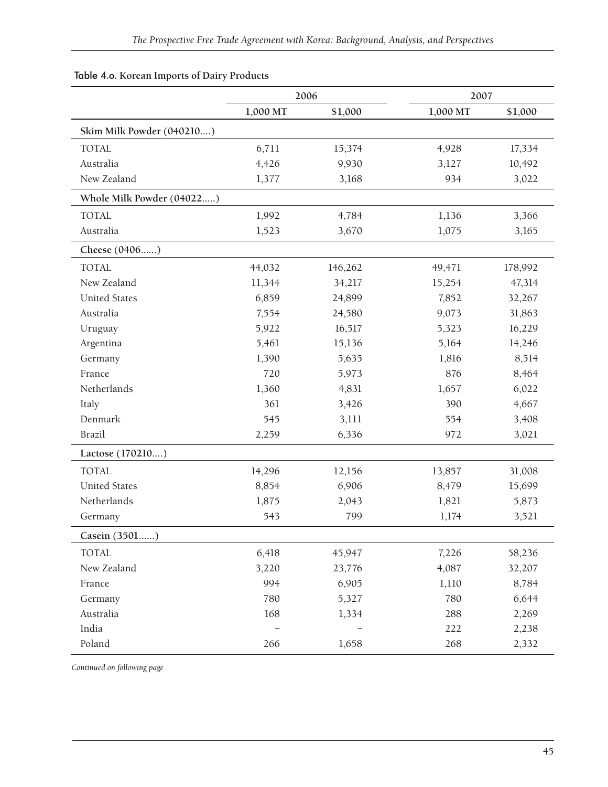|                           |          | 2006    |          | 2007    |
|---------------------------|----------|---------|----------|---------|
|                           | 1,000 MT | \$1,000 | 1,000 MT | \$1,000 |
| Skim Milk Powder (040210) |          |         |          |         |
| <b>TOTAL</b>              | 6,711    | 15,374  | 4,928    | 17,334  |
| Australia                 | 4,426    | 9,930   | 3,127    | 10,492  |
| New Zealand               | 1,377    | 3,168   | 934      | 3,022   |
| Whole Milk Powder (04022) |          |         |          |         |
| <b>TOTAL</b>              | 1,992    | 4,784   | 1,136    | 3,366   |
| Australia                 | 1,523    | 3,670   | 1,075    | 3,165   |
| Cheese (0406)             |          |         |          |         |
| <b>TOTAL</b>              | 44,032   | 146,262 | 49,471   | 178,992 |
| New Zealand               | 11,344   | 34,217  | 15,254   | 47,314  |
| <b>United States</b>      | 6,859    | 24,899  | 7,852    | 32,267  |
| Australia                 | 7,554    | 24,580  | 9,073    | 31,863  |
| Uruguay                   | 5,922    | 16,517  | 5,323    | 16,229  |
| Argentina                 | 5,461    | 15,136  | 5,164    | 14,246  |
| Germany                   | 1,390    | 5,635   | 1,816    | 8,514   |
| France                    | 720      | 5,973   | 876      | 8,464   |
| Netherlands               | 1,360    | 4,831   | 1,657    | 6,022   |
| Italy                     | 361      | 3,426   | 390      | 4,667   |
| Denmark                   | 545      | 3,111   | 554      | 3,408   |
| Brazil                    | 2,259    | 6,336   | 972      | 3,021   |
| Lactose (170210)          |          |         |          |         |
| <b>TOTAL</b>              | 14,296   | 12,156  | 13,857   | 31,008  |
| <b>United States</b>      | 8,854    | 6,906   | 8,479    | 15,699  |
| Netherlands               | 1,875    | 2,043   | 1,821    | 5,873   |
| Germany                   | 543      | 799     | 1,174    | 3,521   |
| Casein (3501)             |          |         |          |         |
| <b>TOTAL</b>              | 6,418    | 45,947  | 7,226    | 58,236  |
| New Zealand               | 3,220    | 23,776  | 4,087    | 32,207  |
| France                    | 994      | 6,905   | 1,110    | 8,784   |
| Germany                   | 780      | 5,327   | 780      | 6,644   |
| Australia                 | 168      | 1,334   | 288      | 2,269   |
| India                     |          |         | 222      | 2,238   |
| Poland                    | 266      | 1,658   | 268      | 2,332   |

### Table 4.o. **Korean Imports of Dairy Products**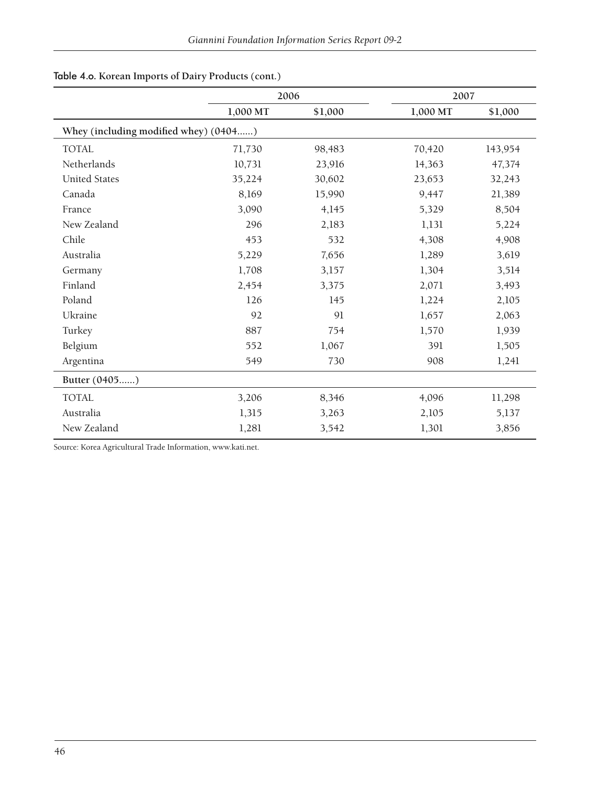|                                       | 2006     |         | 2007     |         |
|---------------------------------------|----------|---------|----------|---------|
|                                       | 1,000 MT | \$1,000 | 1,000 MT | \$1,000 |
| Whey (including modified whey) (0404) |          |         |          |         |
| <b>TOTAL</b>                          | 71,730   | 98,483  | 70,420   | 143,954 |
| Netherlands                           | 10,731   | 23,916  | 14,363   | 47,374  |
| <b>United States</b>                  | 35,224   | 30,602  | 23,653   | 32,243  |
| Canada                                | 8,169    | 15,990  | 9,447    | 21,389  |
| France                                | 3,090    | 4,145   | 5,329    | 8,504   |
| New Zealand                           | 296      | 2,183   | 1,131    | 5,224   |
| Chile                                 | 453      | 532     | 4,308    | 4,908   |
| Australia                             | 5,229    | 7,656   | 1,289    | 3,619   |
| Germany                               | 1,708    | 3,157   | 1,304    | 3,514   |
| Finland                               | 2,454    | 3,375   | 2,071    | 3,493   |
| Poland                                | 126      | 145     | 1,224    | 2,105   |
| Ukraine                               | 92       | 91      | 1,657    | 2,063   |
| Turkey                                | 887      | 754     | 1,570    | 1,939   |
| Belgium                               | 552      | 1,067   | 391      | 1,505   |
| Argentina                             | 549      | 730     | 908      | 1,241   |
| Butter (0405)                         |          |         |          |         |
| <b>TOTAL</b>                          | 3,206    | 8,346   | 4,096    | 11,298  |
| Australia                             | 1,315    | 3,263   | 2,105    | 5,137   |
| New Zealand                           | 1,281    | 3,542   | 1,301    | 3,856   |

## Table 4.o. **Korean Imports of Dairy Products (cont.)**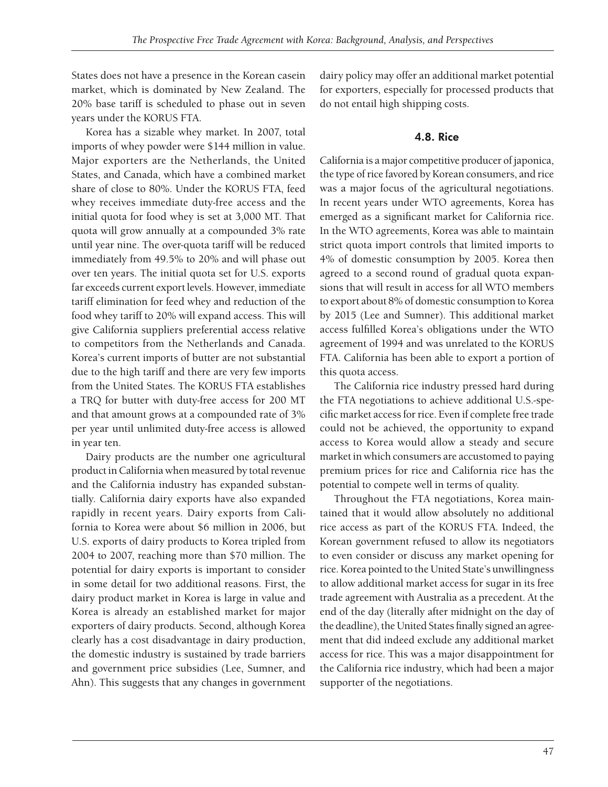States does not have a presence in the Korean casein market, which is dominated by New Zealand. The 20% base tariff is scheduled to phase out in seven years under the KORUS FTA.

Korea has a sizable whey market. In 2007, total imports of whey powder were \$144 million in value. Major exporters are the Netherlands, the United States, and Canada, which have a combined market share of close to 80%. Under the KORUS FTA, feed whey receives immediate duty-free access and the initial quota for food whey is set at 3,000 MT. That quota will grow annually at a compounded 3% rate until year nine. The over-quota tariff will be reduced immediately from 49.5% to 20% and will phase out over ten years. The initial quota set for U.S. exports far exceeds current export levels. However, immediate tariff elimination for feed whey and reduction of the food whey tariff to 20% will expand access. This will give California suppliers preferential access relative to competitors from the Netherlands and Canada. Korea's current imports of butter are not substantial due to the high tariff and there are very few imports from the United States. The KORUS FTA establishes a TRQ for butter with duty-free access for 200 MT and that amount grows at a compounded rate of 3% per year until unlimited duty-free access is allowed in year ten.

Dairy products are the number one agricultural product in California when measured by total revenue and the California industry has expanded substantially. California dairy exports have also expanded rapidly in recent years. Dairy exports from California to Korea were about \$6 million in 2006, but U.S. exports of dairy products to Korea tripled from 2004 to 2007, reaching more than \$70 million. The potential for dairy exports is important to consider in some detail for two additional reasons. First, the dairy product market in Korea is large in value and Korea is already an established market for major exporters of dairy products. Second, although Korea clearly has a cost disadvantage in dairy production, the domestic industry is sustained by trade barriers and government price subsidies (Lee, Sumner, and Ahn). This suggests that any changes in government dairy policy may offer an additional market potential for exporters, especially for processed products that do not entail high shipping costs.

### 4.8. Rice

California is a major competitive producer of japonica, the type of rice favored by Korean consumers, and rice was a major focus of the agricultural negotiations. In recent years under WTO agreements, Korea has emerged as a significant market for California rice. In the WTO agreements, Korea was able to maintain strict quota import controls that limited imports to 4% of domestic consumption by 2005. Korea then agreed to a second round of gradual quota expansions that will result in access for all WTO members to export about 8% of domestic consumption to Korea by 2015 (Lee and Sumner). This additional market access fulfilled Korea's obligations under the WTO agreement of 1994 and was unrelated to the KORUS FTA. California has been able to export a portion of this quota access.

The California rice industry pressed hard during the FTA negotiations to achieve additional U.S.-specific market access for rice. Even if complete free trade could not be achieved, the opportunity to expand access to Korea would allow a steady and secure market in which consumers are accustomed to paying premium prices for rice and California rice has the potential to compete well in terms of quality.

Throughout the FTA negotiations, Korea maintained that it would allow absolutely no additional rice access as part of the KORUS FTA. Indeed, the Korean government refused to allow its negotiators to even consider or discuss any market opening for rice. Korea pointed to the United State's unwillingness to allow additional market access for sugar in its free trade agreement with Australia as a precedent. At the end of the day (literally after midnight on the day of the deadline), the United States finally signed an agreement that did indeed exclude any additional market access for rice. This was a major disappointment for the California rice industry, which had been a major supporter of the negotiations.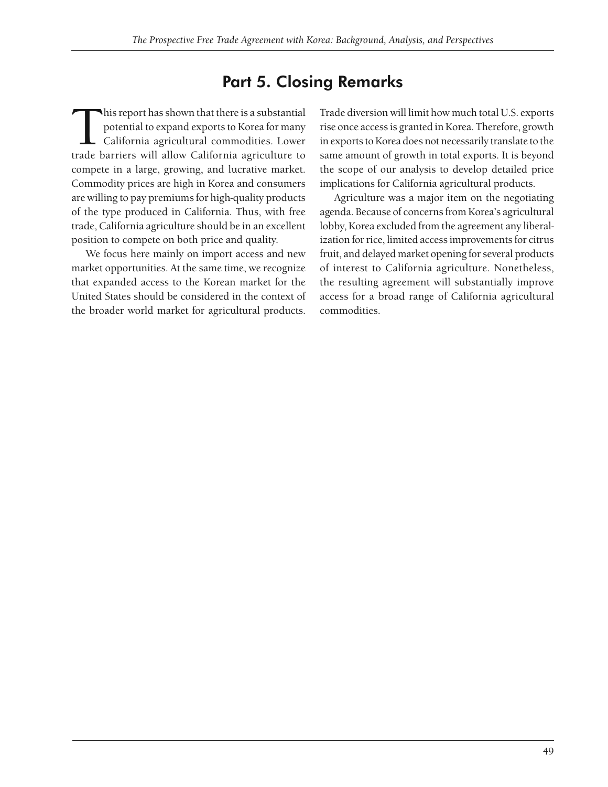## Part 5. Closing Remarks

This report has shown that there is a substantial<br>potential to expand exports to Korea for many<br>California agricultural commodities. Lower<br>trade barriers will allow California agriculture to potential to expand exports to Korea for many California agricultural commodities. Lower trade barriers will allow California agriculture to compete in a large, growing, and lucrative market. Commodity prices are high in Korea and consumers are willing to pay premiums for high-quality products of the type produced in California. Thus, with free trade, California agriculture should be in an excellent position to compete on both price and quality.

We focus here mainly on import access and new market opportunities. At the same time, we recognize that expanded access to the Korean market for the United States should be considered in the context of the broader world market for agricultural products.

Trade diversion will limit how much total U.S. exports rise once access is granted in Korea. Therefore, growth in exports to Korea does not necessarily translate to the same amount of growth in total exports. It is beyond the scope of our analysis to develop detailed price implications for California agricultural products.

Agriculture was a major item on the negotiating agenda. Because of concerns from Korea's agricultural lobby, Korea excluded from the agreement any liberalization for rice, limited access improvements for citrus fruit, and delayed market opening for several products of interest to California agriculture. Nonetheless, the resulting agreement will substantially improve access for a broad range of California agricultural commodities.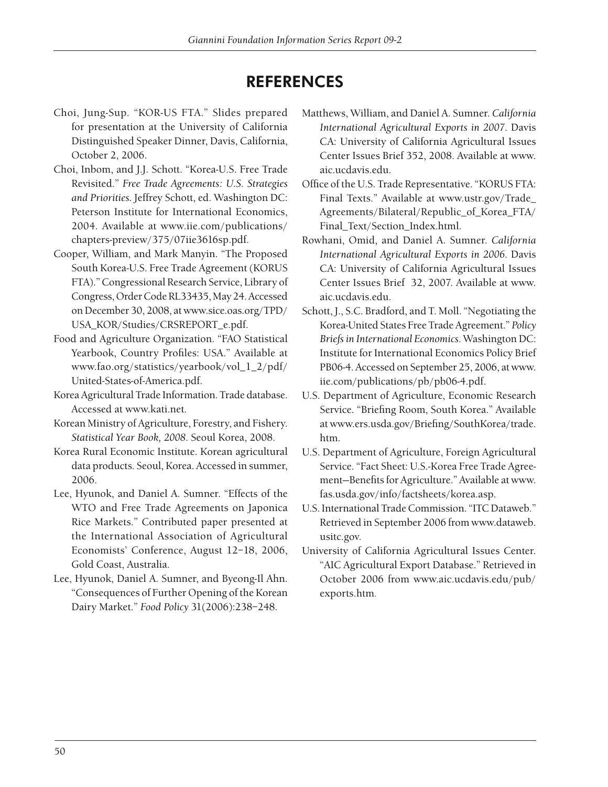## **REFERENCES**

- Choi, Jung-Sup. "KOR-US FTA." Slides prepared for presentation at the University of California Distinguished Speaker Dinner, Davis, California, October 2, 2006.
- Choi, Inbom, and J.J. Schott. "Korea-U.S. Free Trade Revisited." *Free Trade Agreements: U.S. Strategies and Priorities*. Jeffrey Schott, ed. Washington DC: Peterson Institute for International Economics, 2004. Available at www.iie.com/publications/ chapters-preview/375/07iie3616sp.pdf.
- Cooper, William, and Mark Manyin. "The Proposed South Korea-U.S. Free Trade Agreement (KORUS FTA)." Congressional Research Service, Library of Congress, Order Code RL33435, May 24. Accessed on December 30, 2008, at www.sice.oas.org/TPD/ USA\_KOR/Studies/CRSREPORT\_e.pdf.
- Food and Agriculture Organization. "FAO Statistical Yearbook, Country Profiles: USA." Available at www.fao.org/statistics/yearbook/vol\_1\_2/pdf/ United-States-of-America.pdf.
- Korea Agricultural Trade Information. Trade database. Accessed at www.kati.net.
- Korean Ministry of Agriculture, Forestry, and Fishery. *Statistical Year Book, 2008*. Seoul Korea, 2008.
- Korea Rural Economic Institute. Korean agricultural data products. Seoul, Korea. Accessed in summer, 2006.
- Lee, Hyunok, and Daniel A. Sumner. "Effects of the WTO and Free Trade Agreements on Japonica Rice Markets." Contributed paper presented at the International Association of Agricultural Economists' Conference, August 12–18, 2006, Gold Coast, Australia.
- Lee, Hyunok, Daniel A. Sumner, and Byeong-Il Ahn. "Consequences of Further Opening of the Korean Dairy Market." *Food Policy* 31(2006):238–248.
- Matthews, William, and Daniel A. Sumner. *California International Agricultural Exports in 2007*. Davis CA: University of California Agricultural Issues Center Issues Brief 352, 2008. Available at www. aic.ucdavis.edu.
- Office of the U.S. Trade Representative. "KORUS FTA: Final Texts." Available at www.ustr.gov/Trade\_ Agreements/Bilateral/Republic\_of\_Korea\_FTA/ Final\_Text/Section\_Index.html.
- Rowhani, Omid, and Daniel A. Sumner. *California International Agricultural Exports in 2006*. Davis CA: University of California Agricultural Issues Center Issues Brief 32, 2007. Available at www. aic.ucdavis.edu.
- Schott, J., S.C. Bradford, and T. Moll. "Negotiating the Korea-United States Free Trade Agreement." *Policy Briefs in International Economics*. Washington DC: Institute for International Economics Policy Brief PB06-4. Accessed on September 25, 2006, at www. iie.com/publications/pb/pb06-4.pdf.
- U.S. Department of Agriculture, Economic Research Service. "Briefing Room, South Korea." Available at www.ers.usda.gov/Briefing/SouthKorea/trade. htm.
- U.S. Department of Agriculture, Foreign Agricultural Service. "Fact Sheet: U.S.-Korea Free Trade Agreement-Benefits for Agriculture." Available at www. fas.usda.gov/info/factsheets/korea.asp.
- U.S. International Trade Commission. "ITC Dataweb." Retrieved in September 2006 from www.dataweb. usitc.gov.
- University of California Agricultural Issues Center. "AIC Agricultural Export Database." Retrieved in October 2006 from www.aic.ucdavis.edu/pub/ exports.htm.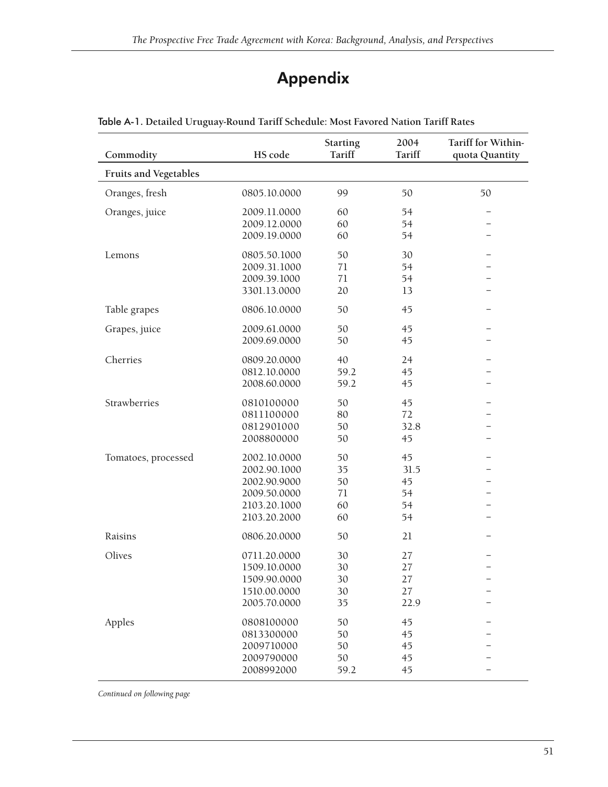## Appendix

| Commodity                    | HS code      | <b>Starting</b><br>Tariff | 2004<br>Tariff | Tariff for Within-<br>quota Quantity |
|------------------------------|--------------|---------------------------|----------------|--------------------------------------|
| <b>Fruits and Vegetables</b> |              |                           |                |                                      |
| Oranges, fresh               | 0805.10.0000 | 99                        | 50             | 50                                   |
| Oranges, juice               | 2009.11.0000 | 60                        | 54             | -                                    |
|                              | 2009.12.0000 | 60                        | 54             |                                      |
|                              | 2009.19.0000 | 60                        | 54             |                                      |
| Lemons                       | 0805.50.1000 | 50                        | 30             |                                      |
|                              | 2009.31.1000 | 71                        | 54             |                                      |
|                              | 2009.39.1000 | 71                        | 54             |                                      |
|                              | 3301.13.0000 | 20                        | 13             |                                      |
| Table grapes                 | 0806.10.0000 | 50                        | 45             |                                      |
| Grapes, juice                | 2009.61.0000 | 50                        | 45             | $\overline{\phantom{0}}$             |
|                              | 2009.69.0000 | 50                        | 45             |                                      |
| Cherries                     | 0809.20.0000 | 40                        | 24             |                                      |
|                              | 0812.10.0000 | 59.2                      | 45             |                                      |
|                              | 2008.60.0000 | 59.2                      | 45             |                                      |
| Strawberries                 | 0810100000   | 50                        | 45             |                                      |
|                              | 0811100000   | 80                        | 72             |                                      |
|                              | 0812901000   | 50                        | 32.8           |                                      |
|                              | 2008800000   | 50                        | 45             | $\overline{\phantom{0}}$             |
| Tomatoes, processed          | 2002.10.0000 | 50                        | 45             |                                      |
|                              | 2002.90.1000 | 35                        | 31.5           |                                      |
|                              | 2002.90.9000 | 50                        | 45             |                                      |
|                              | 2009.50.0000 | 71                        | 54             |                                      |
|                              | 2103.20.1000 | 60                        | 54             |                                      |
|                              | 2103.20.2000 | 60                        | 54             |                                      |
| Raisins                      | 0806.20.0000 | 50                        | 21             |                                      |
| Olives                       | 0711.20.0000 | 30                        | 27             |                                      |
|                              | 1509.10.0000 | 30                        | 27             |                                      |
|                              | 1509.90.0000 | 30                        | 27             | $\overline{\phantom{0}}$             |
|                              | 1510.00.0000 | 30                        | 27             |                                      |
|                              | 2005.70.0000 | 35                        | 22.9           |                                      |
| Apples                       | 0808100000   | 50                        | 45             |                                      |
|                              | 0813300000   | 50                        | 45             |                                      |
|                              | 2009710000   | 50                        | 45             |                                      |
|                              | 2009790000   | 50                        | 45             |                                      |
|                              | 2008992000   | 59.2                      | 45             |                                      |

### Table A-1. **Detailed Uruguay-Round Tariff Schedule: Most Favored Nation Tariff Rates**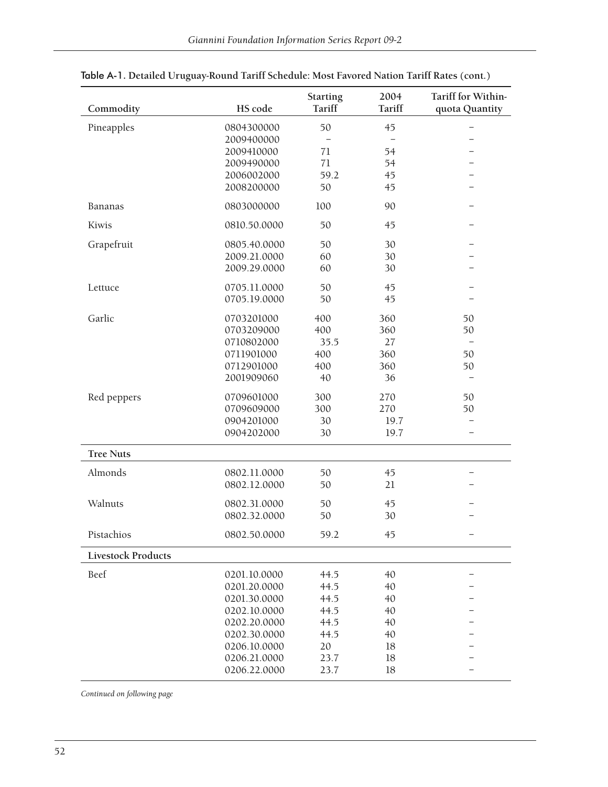| Commodity                 | HS code      | <b>Starting</b><br>Tariff | 2004<br>Tariff                    | Tariff for Within-<br>quota Quantity |
|---------------------------|--------------|---------------------------|-----------------------------------|--------------------------------------|
| Pineapples                | 0804300000   | 50                        | 45                                | $\overline{\phantom{0}}$             |
|                           | 2009400000   |                           | $\overbrace{\phantom{122221111}}$ | $\overline{\phantom{0}}$             |
|                           | 2009410000   | 71                        | 54                                |                                      |
|                           | 2009490000   | 71                        | 54                                | $\overline{\phantom{0}}$             |
|                           | 2006002000   | 59.2                      | 45                                | $\overline{\phantom{0}}$             |
|                           | 2008200000   | 50                        | 45                                | $\overline{\phantom{0}}$             |
| Bananas                   | 0803000000   | 100                       | 90                                |                                      |
| Kiwis                     | 0810.50.0000 | 50                        | 45                                | $\overline{\phantom{0}}$             |
| Grapefruit                | 0805.40.0000 | 50                        | 30                                |                                      |
|                           | 2009.21.0000 | 60                        | 30                                |                                      |
|                           | 2009.29.0000 | 60                        | 30                                |                                      |
| Lettuce                   | 0705.11.0000 | 50                        | 45                                |                                      |
|                           | 0705.19.0000 | 50                        | 45                                |                                      |
| Garlic                    | 0703201000   | 400                       | 360                               | 50                                   |
|                           | 0703209000   | 400                       | 360                               | 50                                   |
|                           | 0710802000   | 35.5                      | 27                                | $\qquad \qquad -$                    |
|                           | 0711901000   | 400                       | 360                               | 50                                   |
|                           | 0712901000   | 400                       | 360                               | 50                                   |
|                           | 2001909060   | 40                        | 36                                | $\qquad \qquad -$                    |
| Red peppers               | 0709601000   | 300                       | 270                               | 50                                   |
|                           | 0709609000   | 300                       | 270                               | 50                                   |
|                           | 0904201000   | 30                        | 19.7                              |                                      |
|                           | 0904202000   | 30                        | 19.7                              | $\overline{\phantom{0}}$             |
| <b>Tree Nuts</b>          |              |                           |                                   |                                      |
| Almonds                   | 0802.11.0000 | 50                        | 45                                | —                                    |
|                           | 0802.12.0000 | 50                        | 21                                |                                      |
| Walnuts                   | 0802.31.0000 | 50                        | 45                                |                                      |
|                           | 0802.32.0000 | 50                        | 30                                |                                      |
| Pistachios                | 0802.50.0000 | 59.2                      | 45                                |                                      |
| <b>Livestock Products</b> |              |                           |                                   |                                      |
| Beef                      | 0201.10.0000 | 44.5                      | 40                                |                                      |
|                           | 0201.20.0000 | 44.5                      | 40                                |                                      |
|                           | 0201.30.0000 | 44.5                      | 40                                |                                      |
|                           | 0202.10.0000 | 44.5                      | 40                                |                                      |
|                           | 0202.20.0000 | 44.5                      | 40                                |                                      |
|                           | 0202.30.0000 | 44.5                      | 40                                |                                      |
|                           | 0206.10.0000 | 20                        | 18                                |                                      |
|                           | 0206.21.0000 | 23.7                      | 18                                |                                      |
|                           | 0206.22.0000 | 23.7                      | 18                                |                                      |

Table A-1. **Detailed Uruguay-Round Tariff Schedule: Most Favored Nation Tariff Rates (cont.)**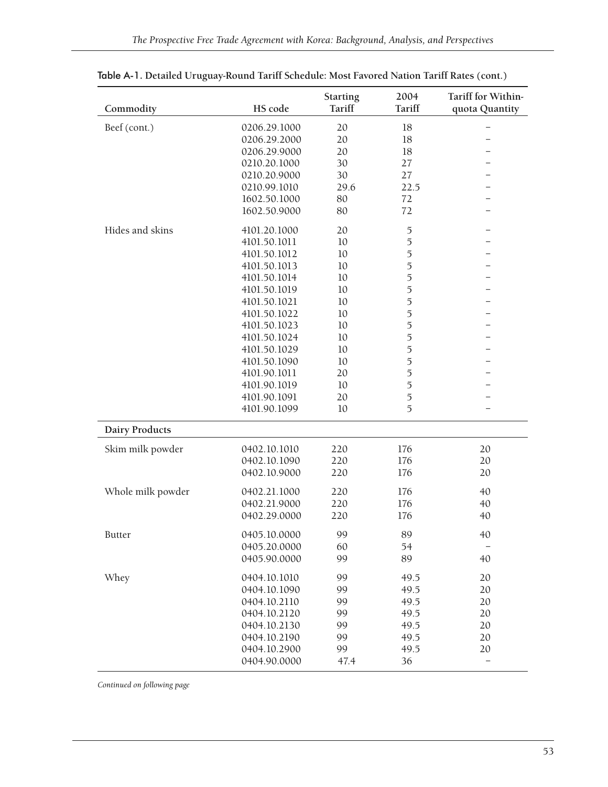| Commodity             | HS code      | <b>Starting</b><br>Tariff | 2004<br>Tariff | Tariff for Within-<br>quota Quantity |
|-----------------------|--------------|---------------------------|----------------|--------------------------------------|
| Beef (cont.)          | 0206.29.1000 | 20                        | 18             | $\overline{\phantom{0}}$             |
|                       | 0206.29.2000 | 20                        | 18             |                                      |
|                       | 0206.29.9000 | 20                        | 18             |                                      |
|                       | 0210.20.1000 | 30                        | 27             | -                                    |
|                       | 0210.20.9000 | 30                        | 27             | ÷                                    |
|                       | 0210.99.1010 | 29.6                      | 22.5           | -                                    |
|                       | 1602.50.1000 | 80                        | 72             |                                      |
|                       | 1602.50.9000 | 80                        | 72             |                                      |
| Hides and skins       | 4101.20.1000 | 20                        | 5              |                                      |
|                       | 4101.50.1011 | 10                        | 5              |                                      |
|                       | 4101.50.1012 | 10                        | 5              |                                      |
|                       | 4101.50.1013 | 10                        | 5              |                                      |
|                       | 4101.50.1014 | 10                        | 5              |                                      |
|                       | 4101.50.1019 | 10                        | 5              |                                      |
|                       | 4101.50.1021 | 10                        | 5              |                                      |
|                       | 4101.50.1022 | 10                        | 5              |                                      |
|                       | 4101.50.1023 | 10                        | 5              |                                      |
|                       | 4101.50.1024 | 10                        | 5              |                                      |
|                       | 4101.50.1029 | 10                        | 5              |                                      |
|                       | 4101.50.1090 | 10                        | 5              |                                      |
|                       | 4101.90.1011 | 20                        | 5              |                                      |
|                       | 4101.90.1019 | 10                        | 5              |                                      |
|                       | 4101.90.1091 | 20                        | 5              |                                      |
|                       | 4101.90.1099 | 10                        | 5              |                                      |
| <b>Dairy Products</b> |              |                           |                |                                      |
| Skim milk powder      | 0402.10.1010 | 220                       | 176            | 20                                   |
|                       | 0402.10.1090 | 220                       | 176            | 20                                   |
|                       | 0402.10.9000 | 220                       | 176            | 20                                   |
| Whole milk powder     | 0402.21.1000 | 220                       | 176            | 40                                   |
|                       | 0402.21.9000 | 220                       | 176            | 40                                   |
|                       | 0402.29.0000 | 220                       | 176            | 40                                   |
| <b>Butter</b>         | 0405.10.0000 | 99                        | 89             | 40                                   |
|                       | 0405.20.0000 | 60                        | 54             |                                      |
|                       | 0405.90.0000 | 99                        | 89             | 40                                   |
| Whey                  | 0404.10.1010 | 99                        | 49.5           | 20                                   |
|                       | 0404.10.1090 | 99                        | 49.5           | 20                                   |
|                       | 0404.10.2110 | 99                        | 49.5           | 20                                   |
|                       | 0404.10.2120 | 99                        | 49.5           | 20                                   |
|                       | 0404.10.2130 | 99                        | 49.5           | 20                                   |
|                       | 0404.10.2190 | 99                        | 49.5           | 20                                   |
|                       | 0404.10.2900 | 99                        | 49.5           | 20                                   |
|                       | 0404.90.0000 | 47.4                      | 36             | $\equiv$                             |

Table A-1. **Detailed Uruguay-Round Tariff Schedule: Most Favored Nation Tariff Rates (cont.)**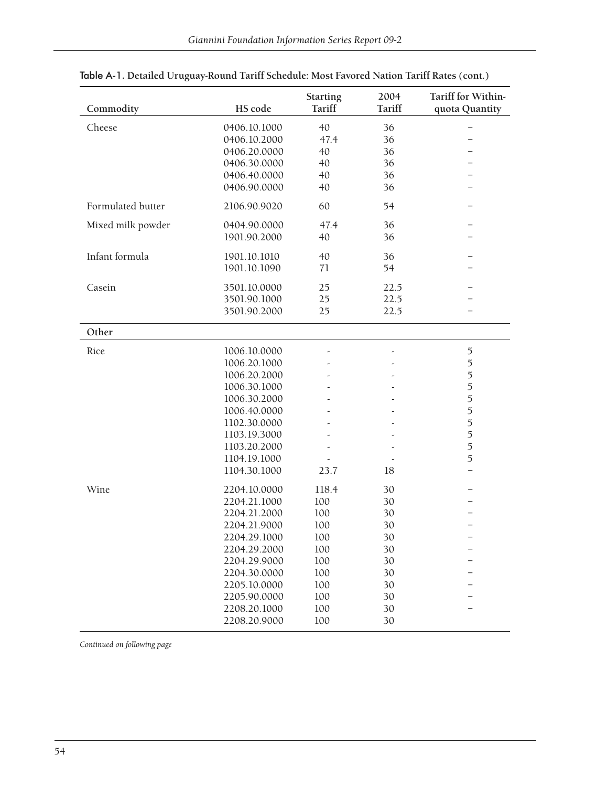| Commodity         | HS code      | <b>Starting</b><br><b>Tariff</b> | 2004<br>Tariff | Tariff for Within-<br>quota Quantity |  |  |  |  |  |
|-------------------|--------------|----------------------------------|----------------|--------------------------------------|--|--|--|--|--|
|                   |              |                                  |                |                                      |  |  |  |  |  |
| Cheese            | 0406.10.1000 | 40                               | 36             | $\overline{\phantom{0}}$             |  |  |  |  |  |
|                   | 0406.10.2000 | 47.4                             | 36             | -                                    |  |  |  |  |  |
|                   | 0406.20.0000 | 40                               | 36             |                                      |  |  |  |  |  |
|                   | 0406.30.0000 | 40                               | 36             | -                                    |  |  |  |  |  |
|                   | 0406.40.0000 | 40                               | 36             | ÷                                    |  |  |  |  |  |
|                   | 0406.90.0000 | 40                               | 36             | -                                    |  |  |  |  |  |
| Formulated butter | 2106.90.9020 | 60                               | 54             |                                      |  |  |  |  |  |
| Mixed milk powder | 0404.90.0000 | 47.4                             | 36             | $\overline{\phantom{0}}$             |  |  |  |  |  |
|                   | 1901.90.2000 | 40                               | 36             |                                      |  |  |  |  |  |
| Infant formula    | 1901.10.1010 | 40                               | 36             |                                      |  |  |  |  |  |
|                   | 1901.10.1090 | 71                               | 54             |                                      |  |  |  |  |  |
| Casein            | 3501.10.0000 | 25                               | 22.5           |                                      |  |  |  |  |  |
|                   | 3501.90.1000 | 25                               | 22.5           |                                      |  |  |  |  |  |
|                   | 3501.90.2000 | 25                               | 22.5           |                                      |  |  |  |  |  |
|                   |              |                                  |                |                                      |  |  |  |  |  |
| Other             |              |                                  |                |                                      |  |  |  |  |  |
| Rice              | 1006.10.0000 |                                  |                | $\mathfrak I$                        |  |  |  |  |  |
|                   | 1006.20.1000 |                                  |                | $\overline{5}$                       |  |  |  |  |  |
|                   | 1006.20.2000 |                                  |                | $\overline{5}$                       |  |  |  |  |  |
|                   | 1006.30.1000 |                                  |                | $\overline{5}$                       |  |  |  |  |  |
|                   | 1006.30.2000 |                                  |                | $\overline{5}$                       |  |  |  |  |  |
|                   | 1006.40.0000 |                                  |                | $\overline{5}$                       |  |  |  |  |  |
|                   | 1102.30.0000 |                                  |                | $\overline{5}$                       |  |  |  |  |  |
|                   | 1103.19.3000 |                                  |                | $\overline{5}$                       |  |  |  |  |  |
|                   | 1103.20.2000 |                                  |                | $\overline{5}$                       |  |  |  |  |  |
|                   | 1104.19.1000 |                                  |                | $\overline{5}$                       |  |  |  |  |  |
|                   | 1104.30.1000 | 23.7                             | 18             | $\overline{\phantom{0}}$             |  |  |  |  |  |
| Wine              | 2204.10.0000 | 118.4                            | 30             |                                      |  |  |  |  |  |
|                   | 2204.21.1000 | 100                              | 30             |                                      |  |  |  |  |  |
|                   | 2204.21.2000 | 100                              | 30             |                                      |  |  |  |  |  |
|                   | 2204.21.9000 | 100                              | 30             |                                      |  |  |  |  |  |
|                   | 2204.29.1000 | 100                              | 30             | -                                    |  |  |  |  |  |
|                   | 2204.29.2000 | 100                              | 30             |                                      |  |  |  |  |  |
|                   | 2204.29.9000 | 100                              | 30             |                                      |  |  |  |  |  |
|                   | 2204.30.0000 | 100                              | 30             |                                      |  |  |  |  |  |
|                   | 2205.10.0000 | 100                              | 30             |                                      |  |  |  |  |  |
|                   | 2205.90.0000 | 100                              | 30             |                                      |  |  |  |  |  |
|                   | 2208.20.1000 | 100                              | 30             |                                      |  |  |  |  |  |
|                   | 2208.20.9000 | 100                              | 30             |                                      |  |  |  |  |  |

## Table A-1. **Detailed Uruguay-Round Tariff Schedule: Most Favored Nation Tariff Rates (cont.)**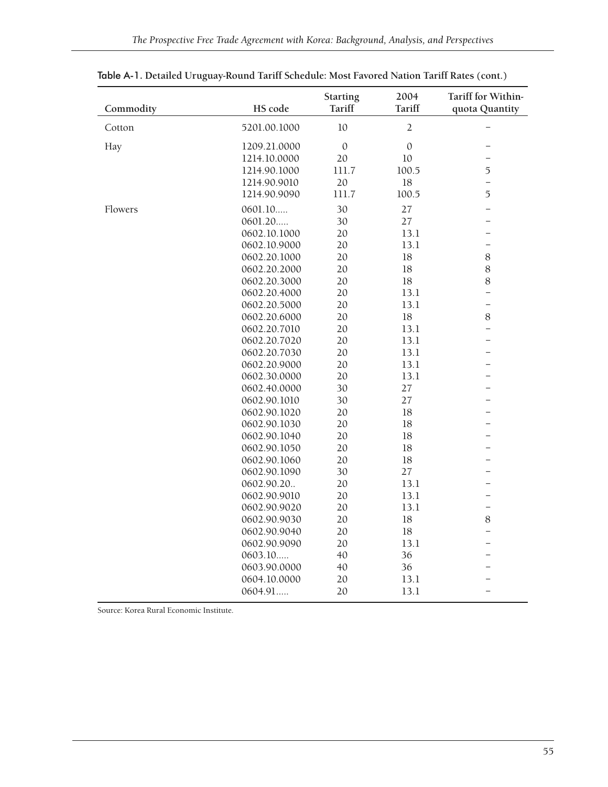| Commodity | HS code      | <b>Starting</b><br><b>Tariff</b> | 2004<br>Tariff | Tariff for Within-<br>quota Quantity |
|-----------|--------------|----------------------------------|----------------|--------------------------------------|
| Cotton    | 5201.00.1000 | 10                               | $\overline{2}$ |                                      |
| Hay       | 1209.21.0000 | $\boldsymbol{0}$                 | $\mathbf{0}$   | $\overline{\phantom{0}}$             |
|           | 1214.10.0000 | 20                               | 10             | $\overline{\phantom{0}}$             |
|           | 1214.90.1000 | 111.7                            | 100.5          | 5                                    |
|           | 1214.90.9010 | 20                               | 18             | $\overline{\phantom{0}}$             |
|           | 1214.90.9090 | 111.7                            | 100.5          | 5                                    |
| Flowers   | 0601.10      | 30                               | 27             | $\overline{\phantom{0}}$             |
|           | 0601.20      | 30                               | 27             | $\overline{\phantom{0}}$             |
|           | 0602.10.1000 | 20                               | 13.1           | $\overline{\phantom{0}}$             |
|           | 0602.10.9000 | 20                               | 13.1           | $\overline{\phantom{0}}$             |
|           | 0602.20.1000 | 20                               | 18             | $8\,$                                |
|           | 0602.20.2000 | 20                               | 18             | $8\,$                                |
|           | 0602.20.3000 | 20                               | 18             | $8\,$                                |
|           | 0602.20.4000 | 20                               | 13.1           | $\overline{\phantom{0}}$             |
|           | 0602.20.5000 | 20                               | 13.1           | $\overline{\phantom{0}}$             |
|           | 0602.20.6000 | 20                               | 18             | $8\,$                                |
|           | 0602.20.7010 | 20                               | 13.1           | $\overline{\phantom{0}}$             |
|           | 0602.20.7020 | 20                               | 13.1           | $\overline{\phantom{0}}$             |
|           | 0602.20.7030 | 20                               | 13.1           | $\overline{\phantom{0}}$             |
|           | 0602.20.9000 | 20                               | 13.1           | $\overline{\phantom{0}}$             |
|           | 0602.30.0000 | 20                               | 13.1           | $\overline{\phantom{0}}$             |
|           | 0602.40.0000 | 30                               | 27             | $\overline{\phantom{0}}$             |
|           | 0602.90.1010 | 30                               | 27             |                                      |
|           | 0602.90.1020 | 20                               | 18             | $\overline{a}$                       |
|           | 0602.90.1030 | 20                               | 18             |                                      |
|           | 0602.90.1040 | 20                               | 18             | $\overline{\phantom{0}}$             |
|           | 0602.90.1050 | 20                               | 18             |                                      |
|           | 0602.90.1060 | 20                               | 18             | -                                    |
|           | 0602.90.1090 | 30                               | 27             |                                      |
|           | 0602.90.20   | 20                               | 13.1           |                                      |
|           | 0602.90.9010 | 20                               | 13.1           | $\overline{\phantom{0}}$             |
|           | 0602.90.9020 | 20                               | 13.1           | $\qquad \qquad -$                    |
|           | 0602.90.9030 | 20                               | 18             | $8\,$                                |
|           | 0602.90.9040 | 20                               | 18             | $\overline{\phantom{0}}$             |
|           | 0602.90.9090 | 20                               | 13.1           | $\overline{a}$                       |
|           | 0603.10      | 40                               | 36             | -                                    |
|           | 0603.90.0000 | 40                               | 36             | $\overline{\phantom{0}}$             |
|           | 0604.10.0000 | 20                               | 13.1           |                                      |
|           | 0604.91      | 20                               | 13.1           | $\overline{\phantom{0}}$             |

Table A-1. **Detailed Uruguay-Round Tariff Schedule: Most Favored Nation Tariff Rates (cont.)**

Source: Korea Rural Economic Institute.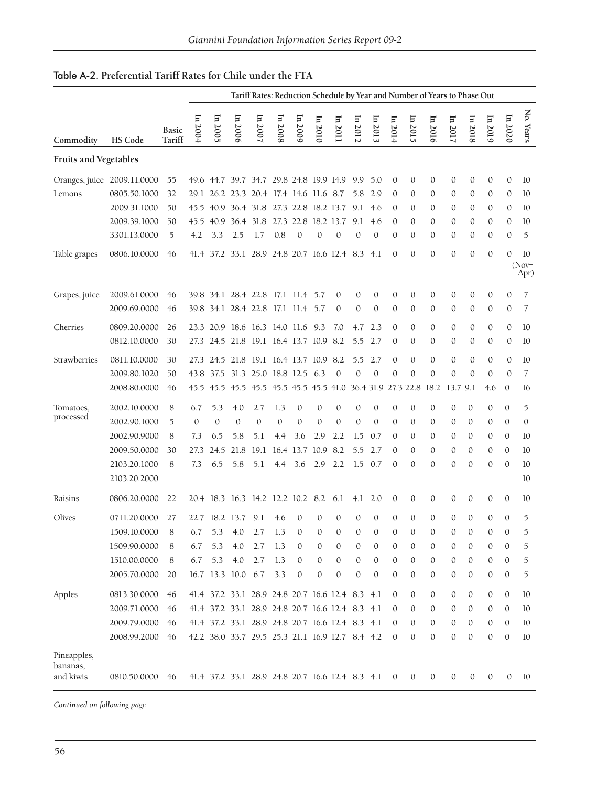| Table A-2. Preferential Tariff Rates for Chile under the FTA |  |
|--------------------------------------------------------------|--|
|--------------------------------------------------------------|--|

|                                      |                |                 | Tariff Rates: Reduction Schedule by Year and Number of Years to Phase Out |                |                    |                                                 |              |                     |              |                  |              |              |              |              |                                                                  |              |              |              |              |                       |
|--------------------------------------|----------------|-----------------|---------------------------------------------------------------------------|----------------|--------------------|-------------------------------------------------|--------------|---------------------|--------------|------------------|--------------|--------------|--------------|--------------|------------------------------------------------------------------|--------------|--------------|--------------|--------------|-----------------------|
| Commodity                            | <b>HS Code</b> | Basic<br>Tariff | $\mathbf{H}$<br>2004                                                      | In 2005        | In 2006            | In $2007$                                       | $\ln 2008$   | In 2009             | $\ln 2010$   | $\ln 2011$       | $\ln 2012$   | In 2013      | In $2014$    | In 2015      | In 2016                                                          | $\ln 2017$   | $\ln 2018$   | In 2019      | In 2020      | No. Years             |
| Fruits and Vegetables                |                |                 |                                                                           |                |                    |                                                 |              |                     |              |                  |              |              |              |              |                                                                  |              |              |              |              |                       |
| Oranges, juice 2009.11.0000          |                | 55              |                                                                           |                |                    | 49.6 44.7 39.7 34.7 29.8 24.8 19.9 14.9         |              |                     |              |                  | 9.9          | 5.0          | $\mathbf{0}$ | $\mathbf{0}$ | $\mathbf{0}$                                                     | 0            | $\mathbf{0}$ | $\mathbf{0}$ | $\mathbf{0}$ | 10                    |
| Lemons                               | 0805.50.1000   | 32              |                                                                           |                |                    | 29.1 26.2 23.3 20.4 17.4 14.6 11.6 8.7          |              |                     |              |                  | 5.8          | 2.9          | $\Omega$     | $\theta$     | $\mathbf{0}$                                                     | 0            | 0            | 0            | 0            | 10                    |
|                                      | 2009.31.1000   | 50              | 45.5                                                                      |                |                    | 40.9 36.4 31.8 27.3 22.8 18.2 13.7              |              |                     |              |                  | 9.1          | 4.6          | $\Omega$     | 0            | $\mathbf{0}$                                                     | 0            | 0            | 0            | 0            | 10                    |
|                                      | 2009.39.1000   | 50              | 45.5                                                                      |                |                    | 40.9 36.4 31.8 27.3 22.8 18.2 13.7              |              |                     |              |                  | 9.1          | 4.6          | $\Omega$     | $\mathbf{0}$ | $\mathbf{0}$                                                     | 0            | $\mathbf{0}$ | $\mathbf{0}$ | 0            | 10                    |
|                                      | 3301.13.0000   | 5               | 4.2                                                                       | 3.3            | 2.5                | 1.7                                             | 0.8          | $\mathbf{0}$        | $\mathbf{0}$ | $\mathbf{0}$     | 0            | $\mathbf{0}$ | $\Omega$     | $\mathbf{0}$ | $\mathbf{0}$                                                     | 0            | $\mathbf{0}$ | $\mathbf{0}$ | $\mathbf{0}$ | 5                     |
| Table grapes                         | 0806.10.0000   | 46              | 41.4                                                                      |                |                    | 37.2 33.1 28.9 24.8 20.7 16.6 12.4              |              |                     |              |                  | 8.3          | 4.1          | $\Omega$     | $\Omega$     | $\mathbf{0}$                                                     | $\mathbf{0}$ | $\mathbf{0}$ | $\mathbf{0}$ | $\mathbf{0}$ | 10<br>$(Nov-$<br>Apr) |
| Grapes, juice                        | 2009.61.0000   | 46              |                                                                           |                |                    | 39.8 34.1 28.4 22.8 17.1 11.4 5.7               |              |                     |              | $\theta$         | $\mathbf{0}$ | $\mathbf{0}$ | $\mathbf{0}$ | $\mathbf{0}$ | 0                                                                | 0            | $\mathbf{0}$ | $\mathbf{0}$ | $\mathbf{0}$ | 7                     |
|                                      | 2009.69.0000   | 46              |                                                                           |                |                    | 39.8 34.1 28.4 22.8 17.1 11.4 5.7               |              |                     |              | $\theta$         | $\mathbf{0}$ | $\mathbf{0}$ | $\Omega$     | $\mathbf{0}$ | $\mathbf{0}$                                                     | 0            | $\mathbf{0}$ | $\mathbf{0}$ | 0            | 7                     |
| Cherries                             | 0809.20.0000   | 26              |                                                                           |                |                    | 23.3 20.9 18.6 16.3 14.0 11.6 9.3               |              |                     |              | 7.0              | 4.7          | 2.3          | $\Omega$     | $\mathbf{0}$ | $\mathbf{0}$                                                     | 0            | 0            | $\mathbf{0}$ | $\mathbf{0}$ | 10                    |
|                                      | 0812.10.0000   | 30              |                                                                           |                |                    | 27.3 24.5 21.8 19.1 16.4 13.7 10.9 8.2          |              |                     |              |                  | 5.5          | 2.7          | $\mathbf{0}$ | $\mathbf{0}$ | $\mathbf{0}$                                                     | 0            | $\mathbf{0}$ | $\mathbf{0}$ | $\mathbf{0}$ | 10                    |
| Strawberries                         | 0811.10.0000   | 30              | 27.3                                                                      |                |                    | 24.5 21.8 19.1 16.4 13.7 10.9 8.2               |              |                     |              |                  | 5.5          | 2.7          | $\Omega$     | $\Omega$     | $\Omega$                                                         | $\mathbf{0}$ | $\Omega$     | $\mathbf{0}$ | $\mathbf{0}$ | 10                    |
|                                      | 2009.80.1020   | 50              | 43.8                                                                      |                |                    | 37.5 31.3 25.0 18.8 12.5 6.3                    |              |                     |              | $\theta$         | 0            | $\mathbf{0}$ | $\mathbf{0}$ | $\mathbf{0}$ | $\mathbf{0}$                                                     | $\mathbf{0}$ | $\mathbf{0}$ | $\mathbf{0}$ | $\mathbf{0}$ | $\overline{7}$        |
|                                      | 2008.80.0000   | 46              |                                                                           |                |                    |                                                 |              |                     |              |                  |              |              |              |              | 45.5 45.5 45.5 45.5 45.5 45.5 45.5 41.0 36.4 31.9 27.3 22.8 18.2 | 13.7 9.1     |              | 4.6          | $\mathbf{0}$ | 16                    |
| Tomatoes,                            | 2002.10.0000   | 8               | 6.7                                                                       | 5.3            | 4.0                | 2.7                                             | 1.3          | $\mathbf{0}$        | $\mathbf{0}$ | $\mathbf{0}$     | 0            | $\mathbf{0}$ | $\mathbf{0}$ | $\mathbf{0}$ | 0                                                                | 0            | $\mathbf{0}$ | $\mathbf{0}$ | $\mathbf{0}$ | 5                     |
| processed                            | 2002.90.1000   | 5               | $\mathbf{0}$                                                              | $\mathbf{0}$   | $\mathbf{0}$       | $\mathbf{0}$                                    | $\mathbf{0}$ | $\mathbf{0}$        | $\mathbf{0}$ | $\theta$         | $\mathbf{0}$ | $\mathbf{0}$ | $\Omega$     | $\mathbf{0}$ | $\mathbf{0}$                                                     | 0            | 0            | 0            | $\mathbf{0}$ | $\mathbf{0}$          |
|                                      | 2002.90.9000   | 8               | 7.3                                                                       | 6.5            | 5.8                | 5.1                                             | 4.4          | 3.6                 | 2.9          | 2.2              | 1.5          | 0.7          | $\Omega$     | $\mathbf{0}$ | $\mathbf{0}$                                                     | 0            | 0            | 0            | $\mathbf{0}$ | 10                    |
|                                      | 2009.50.0000   | 30              | 27.3                                                                      | 24.5           | 21.8               |                                                 |              | 19.1 16.4 13.7 10.9 |              | 8.2              | 5.5          | 2.7          | $\Omega$     | $\mathbf{0}$ | $\Omega$                                                         | 0            | $\mathbf{0}$ | $\mathbf{0}$ | $\theta$     | 10                    |
|                                      | 2103.20.1000   | 8               | 7.3                                                                       | 6.5            | 5.8                | 5.1                                             | 4.4          | 3.6                 | 2.9          | 2.2              | 1.5          | 0.7          | $\mathbf{0}$ | $\mathbf{0}$ | $\Omega$                                                         | $\mathbf{0}$ | $\mathbf{0}$ | $\mathbf{0}$ | $\mathbf{0}$ | 10                    |
|                                      | 2103.20.2000   |                 |                                                                           |                |                    |                                                 |              |                     |              |                  |              |              |              |              |                                                                  |              |              |              |              | 10                    |
| Raisins                              | 0806.20.0000   | 22              |                                                                           |                |                    | 20.4 18.3 16.3 14.2 12.2 10.2 8.2               |              |                     |              | 6.1              | 4.1          | 2.0          | $\mathbf{0}$ | $\mathbf{0}$ | $\mathbf{0}$                                                     | 0            | $\mathbf{0}$ | $\mathbf{0}$ | $\mathbf{0}$ | 10                    |
| Olives                               | 0711.20.0000   | 27              |                                                                           | 22.7 18.2 13.7 |                    | 9.1                                             | 4.6          | $\mathbf{0}$        | $\mathbf{0}$ | $\mathbf{0}$     | $\mathbf{0}$ | $\mathbf{0}$ | $\mathbf{0}$ | $\mathbf{0}$ | $\mathbf{0}$                                                     | $\mathbf{0}$ | $\mathbf{0}$ | $\Omega$     | $\mathbf{0}$ | 5                     |
|                                      | 1509.10.0000 8 |                 |                                                                           |                |                    | $6.7$ 5.3 4.0 2.7 1.3 0                         |              |                     | $\bigcirc$   | $\Omega$         | $\bigcap$    | $\Omega$     | $\Omega$     | $\Omega$     | $\Omega$                                                         | $\Omega$     | $\Omega$     | $\Omega$     | $\Omega$     | 5                     |
|                                      | 1509.90.0000   | 8               | 6.7                                                                       | 5.3            | 4.0                | 2.7                                             | 1.3          | 0                   | 0            | 0                | 0            | 0            | $\mathbf{0}$ | 0            | 0                                                                | 0            | 0            | 0            | 0            | 5                     |
|                                      | 1510.00.0000   | 8               | 6.7                                                                       | 5.3            | 4.0                | 2.7                                             | 1.3          | $\mathbf{0}$        | $\mathbf{0}$ | $\mathbf{0}$     | $\mathbf{0}$ | 0            | $\mathbf{0}$ | $\mathbf{0}$ | 0                                                                | 0            | $\mathbf{0}$ | 0            | $\mathbf{0}$ | 5                     |
|                                      | 2005.70.0000   | 20              |                                                                           |                | 16.7 13.3 10.0 6.7 |                                                 | 3.3          | $\boldsymbol{0}$    | $\mathbf{0}$ | $\boldsymbol{0}$ | $\mathbf{0}$ | $\mathbf{0}$ | $\mathbf{0}$ | $\mathbf{0}$ | 0                                                                | 0            | $\mathbf{0}$ | $\mathbf{0}$ | $\mathbf{0}$ | 5                     |
| Apples                               | 0813.30.0000   | 46              |                                                                           |                |                    | 41.4 37.2 33.1 28.9 24.8 20.7 16.6 12.4 8.3     |              |                     |              |                  |              | 4.1          | $\mathbf{0}$ | $\mathbf{0}$ | 0                                                                | 0            | 0            | $\mathbf{0}$ | $\mathbf{0}$ | 10                    |
|                                      | 2009.71.0000   | 46              |                                                                           |                |                    | 41.4 37.2 33.1 28.9 24.8 20.7 16.6 12.4 8.3 4.1 |              |                     |              |                  |              |              | $\Omega$     | $\mathbf{0}$ | $\Omega$                                                         | 0            | 0            | $\mathbf{0}$ | $\mathbf{0}$ | 10                    |
|                                      | 2009.79.0000   | 46              |                                                                           |                |                    | 41.4 37.2 33.1 28.9 24.8 20.7 16.6 12.4 8.3 4.1 |              |                     |              |                  |              |              | $\Omega$     | 0            | 0                                                                | 0            | $\mathbf{0}$ | $\mathbf{0}$ | $\mathbf{0}$ | 10                    |
|                                      | 2008.99.2000   | 46              |                                                                           |                |                    | 42.2 38.0 33.7 29.5 25.3 21.1 16.9 12.7 8.4 4.2 |              |                     |              |                  |              |              | $\Omega$     | $\mathbf{0}$ | $\mathbf{0}$                                                     | 0            | $\mathbf{0}$ | $\mathbf{0}$ | $\mathbf{0}$ | 10                    |
| Pineapples,<br>bananas,<br>and kiwis | 0810.50.0000   | -46             |                                                                           |                |                    | 41.4 37.2 33.1 28.9 24.8 20.7 16.6 12.4 8.3 4.1 |              |                     |              |                  |              |              | $\mathbf{0}$ | $\mathbf{0}$ | $\mathbf{0}$                                                     | 0            | $\mathbf{0}$ | $\mathbf{0}$ | 0            | 10                    |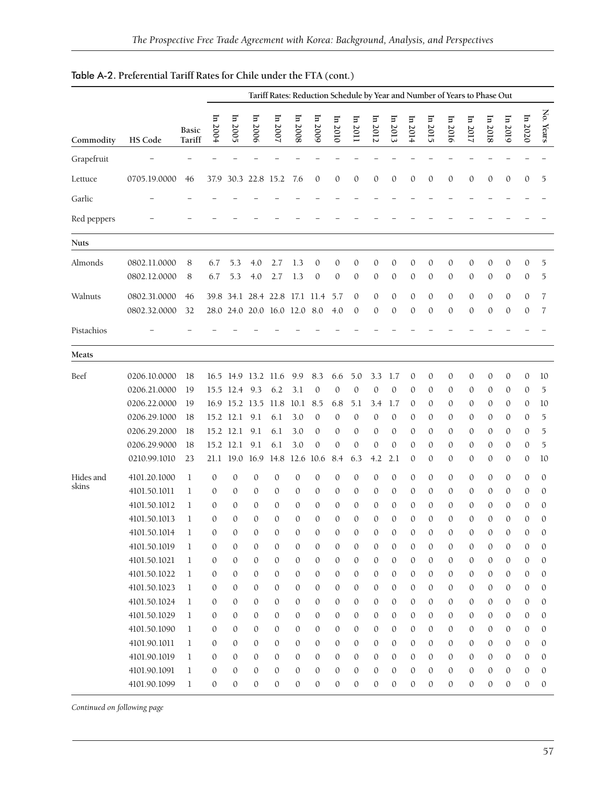|                    |                                                                                                                                                                                                                                                                              |                                                                                                                                                                                                                       | Tariff Rates: Reduction Schedule by Year and Number of Years to Phase Out                                                                                                                                                                      |                                                                                                                                                                                                                                                                      |                                                                                                                                                                                                                                         |                                                                                                                                                                                                                                                    |                                                                                                                                                                                                                                     |                                                                                                                                                                                  |                                                                                                                                                                                                                                                                         |                                                                                                                                                                                 |                                                                                                                                                                                                                                                                     |                                                                                                                                                                                                                         |                                                                                                                                                                                                                                                                              |                                                                                                                                                                                                                                                                               |                                                                                                                                                                                                                                         |                                                                                                                                                     |                                                                                                                                                     |                                                                                                                                                                                                                                                     |                                                                                                                                                                                                                                             |                                                                                                                                                                                                                                                                    |
|--------------------|------------------------------------------------------------------------------------------------------------------------------------------------------------------------------------------------------------------------------------------------------------------------------|-----------------------------------------------------------------------------------------------------------------------------------------------------------------------------------------------------------------------|------------------------------------------------------------------------------------------------------------------------------------------------------------------------------------------------------------------------------------------------|----------------------------------------------------------------------------------------------------------------------------------------------------------------------------------------------------------------------------------------------------------------------|-----------------------------------------------------------------------------------------------------------------------------------------------------------------------------------------------------------------------------------------|----------------------------------------------------------------------------------------------------------------------------------------------------------------------------------------------------------------------------------------------------|-------------------------------------------------------------------------------------------------------------------------------------------------------------------------------------------------------------------------------------|----------------------------------------------------------------------------------------------------------------------------------------------------------------------------------|-------------------------------------------------------------------------------------------------------------------------------------------------------------------------------------------------------------------------------------------------------------------------|---------------------------------------------------------------------------------------------------------------------------------------------------------------------------------|---------------------------------------------------------------------------------------------------------------------------------------------------------------------------------------------------------------------------------------------------------------------|-------------------------------------------------------------------------------------------------------------------------------------------------------------------------------------------------------------------------|------------------------------------------------------------------------------------------------------------------------------------------------------------------------------------------------------------------------------------------------------------------------------|-------------------------------------------------------------------------------------------------------------------------------------------------------------------------------------------------------------------------------------------------------------------------------|-----------------------------------------------------------------------------------------------------------------------------------------------------------------------------------------------------------------------------------------|-----------------------------------------------------------------------------------------------------------------------------------------------------|-----------------------------------------------------------------------------------------------------------------------------------------------------|-----------------------------------------------------------------------------------------------------------------------------------------------------------------------------------------------------------------------------------------------------|---------------------------------------------------------------------------------------------------------------------------------------------------------------------------------------------------------------------------------------------|--------------------------------------------------------------------------------------------------------------------------------------------------------------------------------------------------------------------------------------------------------------------|
| Commodity          | HS Code                                                                                                                                                                                                                                                                      | <b>Basic</b><br>Tariff                                                                                                                                                                                                | $\ln 2004$                                                                                                                                                                                                                                     | In 2005                                                                                                                                                                                                                                                              | In 2006                                                                                                                                                                                                                                 | In 2007                                                                                                                                                                                                                                            | In 2008                                                                                                                                                                                                                             | In 2009                                                                                                                                                                          | In 2010                                                                                                                                                                                                                                                                 | $\ln 2011$                                                                                                                                                                      | In 2012                                                                                                                                                                                                                                                             | $\ln 2013$                                                                                                                                                                                                              | In 2014                                                                                                                                                                                                                                                                      | $\ln 2015$                                                                                                                                                                                                                                                                    | In 2016                                                                                                                                                                                                                                 | $\ln 2017$                                                                                                                                          | $\ln 2018$                                                                                                                                          | In 2019                                                                                                                                                                                                                                             | In 2020                                                                                                                                                                                                                                     | No. Years                                                                                                                                                                                                                                                          |
| Grapefruit         |                                                                                                                                                                                                                                                                              |                                                                                                                                                                                                                       |                                                                                                                                                                                                                                                |                                                                                                                                                                                                                                                                      |                                                                                                                                                                                                                                         |                                                                                                                                                                                                                                                    |                                                                                                                                                                                                                                     |                                                                                                                                                                                  |                                                                                                                                                                                                                                                                         |                                                                                                                                                                                 |                                                                                                                                                                                                                                                                     |                                                                                                                                                                                                                         |                                                                                                                                                                                                                                                                              |                                                                                                                                                                                                                                                                               |                                                                                                                                                                                                                                         |                                                                                                                                                     |                                                                                                                                                     |                                                                                                                                                                                                                                                     |                                                                                                                                                                                                                                             |                                                                                                                                                                                                                                                                    |
| Lettuce            | 0705.19.0000                                                                                                                                                                                                                                                                 | 46                                                                                                                                                                                                                    | 37.9                                                                                                                                                                                                                                           |                                                                                                                                                                                                                                                                      | 30.3 22.8 15.2                                                                                                                                                                                                                          |                                                                                                                                                                                                                                                    | 7.6                                                                                                                                                                                                                                 | 0                                                                                                                                                                                | $\mathbf{0}$                                                                                                                                                                                                                                                            | $\mathbf{0}$                                                                                                                                                                    | $\mathbf{0}$                                                                                                                                                                                                                                                        | $\boldsymbol{0}$                                                                                                                                                                                                        | $\mathbf{0}$                                                                                                                                                                                                                                                                 | $\mathbf{0}$                                                                                                                                                                                                                                                                  | $\mathbf{0}$                                                                                                                                                                                                                            | 0                                                                                                                                                   | 0                                                                                                                                                   | $\boldsymbol{0}$                                                                                                                                                                                                                                    | $\mathbf{0}$                                                                                                                                                                                                                                | 5                                                                                                                                                                                                                                                                  |
| Garlic             |                                                                                                                                                                                                                                                                              |                                                                                                                                                                                                                       |                                                                                                                                                                                                                                                |                                                                                                                                                                                                                                                                      |                                                                                                                                                                                                                                         |                                                                                                                                                                                                                                                    |                                                                                                                                                                                                                                     |                                                                                                                                                                                  |                                                                                                                                                                                                                                                                         |                                                                                                                                                                                 |                                                                                                                                                                                                                                                                     |                                                                                                                                                                                                                         |                                                                                                                                                                                                                                                                              |                                                                                                                                                                                                                                                                               |                                                                                                                                                                                                                                         |                                                                                                                                                     |                                                                                                                                                     |                                                                                                                                                                                                                                                     |                                                                                                                                                                                                                                             |                                                                                                                                                                                                                                                                    |
| Red peppers        |                                                                                                                                                                                                                                                                              |                                                                                                                                                                                                                       |                                                                                                                                                                                                                                                |                                                                                                                                                                                                                                                                      |                                                                                                                                                                                                                                         |                                                                                                                                                                                                                                                    |                                                                                                                                                                                                                                     |                                                                                                                                                                                  |                                                                                                                                                                                                                                                                         |                                                                                                                                                                                 |                                                                                                                                                                                                                                                                     |                                                                                                                                                                                                                         |                                                                                                                                                                                                                                                                              |                                                                                                                                                                                                                                                                               |                                                                                                                                                                                                                                         |                                                                                                                                                     |                                                                                                                                                     |                                                                                                                                                                                                                                                     |                                                                                                                                                                                                                                             |                                                                                                                                                                                                                                                                    |
| <b>Nuts</b>        |                                                                                                                                                                                                                                                                              |                                                                                                                                                                                                                       |                                                                                                                                                                                                                                                |                                                                                                                                                                                                                                                                      |                                                                                                                                                                                                                                         |                                                                                                                                                                                                                                                    |                                                                                                                                                                                                                                     |                                                                                                                                                                                  |                                                                                                                                                                                                                                                                         |                                                                                                                                                                                 |                                                                                                                                                                                                                                                                     |                                                                                                                                                                                                                         |                                                                                                                                                                                                                                                                              |                                                                                                                                                                                                                                                                               |                                                                                                                                                                                                                                         |                                                                                                                                                     |                                                                                                                                                     |                                                                                                                                                                                                                                                     |                                                                                                                                                                                                                                             |                                                                                                                                                                                                                                                                    |
| Almonds            | 0802.11.0000<br>0802.12.0000                                                                                                                                                                                                                                                 | 8<br>8                                                                                                                                                                                                                | 6.7<br>6.7                                                                                                                                                                                                                                     | 5.3<br>5.3                                                                                                                                                                                                                                                           | 4.0<br>4.0                                                                                                                                                                                                                              | 2.7<br>2.7                                                                                                                                                                                                                                         | 1.3<br>1.3                                                                                                                                                                                                                          | 0<br>$\mathbf{0}$                                                                                                                                                                | $\mathbf{0}$<br>$\mathbf{0}$                                                                                                                                                                                                                                            | 0<br>$\mathbf{0}$                                                                                                                                                               | $\mathbf{0}$<br>$\mathbf{0}$                                                                                                                                                                                                                                        | $\mathbf{0}$<br>$\mathbf{0}$                                                                                                                                                                                            | $\mathbf{0}$<br>$\mathbf{0}$                                                                                                                                                                                                                                                 | $\mathbf{0}$<br>$\mathbf{0}$                                                                                                                                                                                                                                                  | $\mathbf{0}$<br>$\mathbf{0}$                                                                                                                                                                                                            | 0<br>0                                                                                                                                              | 0<br>0                                                                                                                                              | $\mathbf{0}$<br>$\boldsymbol{0}$                                                                                                                                                                                                                    | $\boldsymbol{0}$<br>$\boldsymbol{0}$                                                                                                                                                                                                        | 5<br>5                                                                                                                                                                                                                                                             |
| Walnuts            | 0802.31.0000<br>0802.32.0000                                                                                                                                                                                                                                                 | 46<br>32                                                                                                                                                                                                              | 39.8                                                                                                                                                                                                                                           | 34.1<br>28.0 24.0 20.0 16.0 12.0                                                                                                                                                                                                                                     |                                                                                                                                                                                                                                         | 28.4 22.8                                                                                                                                                                                                                                          | 17.1                                                                                                                                                                                                                                | 11.4<br>8.0                                                                                                                                                                      | 5.7<br>4.0                                                                                                                                                                                                                                                              | 0<br>$\boldsymbol{0}$                                                                                                                                                           | $\mathbf{0}$<br>$\mathbf{0}$                                                                                                                                                                                                                                        | 0<br>$\mathbf{0}$                                                                                                                                                                                                       | $\mathbf{0}$<br>$\mathbf{0}$                                                                                                                                                                                                                                                 | $\boldsymbol{0}$<br>$\mathbf{0}$                                                                                                                                                                                                                                              | $\mathbf{0}$<br>$\mathbf{0}$                                                                                                                                                                                                            | 0<br>0                                                                                                                                              | 0<br>0                                                                                                                                              | $\boldsymbol{0}$<br>$\mathbf{0}$                                                                                                                                                                                                                    | $\mathbf{0}$<br>$\mathbf{0}$                                                                                                                                                                                                                | 7<br>7                                                                                                                                                                                                                                                             |
| Pistachios         |                                                                                                                                                                                                                                                                              |                                                                                                                                                                                                                       |                                                                                                                                                                                                                                                |                                                                                                                                                                                                                                                                      |                                                                                                                                                                                                                                         |                                                                                                                                                                                                                                                    |                                                                                                                                                                                                                                     |                                                                                                                                                                                  |                                                                                                                                                                                                                                                                         |                                                                                                                                                                                 |                                                                                                                                                                                                                                                                     |                                                                                                                                                                                                                         |                                                                                                                                                                                                                                                                              |                                                                                                                                                                                                                                                                               |                                                                                                                                                                                                                                         |                                                                                                                                                     |                                                                                                                                                     |                                                                                                                                                                                                                                                     |                                                                                                                                                                                                                                             |                                                                                                                                                                                                                                                                    |
| Meats              |                                                                                                                                                                                                                                                                              |                                                                                                                                                                                                                       |                                                                                                                                                                                                                                                |                                                                                                                                                                                                                                                                      |                                                                                                                                                                                                                                         |                                                                                                                                                                                                                                                    |                                                                                                                                                                                                                                     |                                                                                                                                                                                  |                                                                                                                                                                                                                                                                         |                                                                                                                                                                                 |                                                                                                                                                                                                                                                                     |                                                                                                                                                                                                                         |                                                                                                                                                                                                                                                                              |                                                                                                                                                                                                                                                                               |                                                                                                                                                                                                                                         |                                                                                                                                                     |                                                                                                                                                     |                                                                                                                                                                                                                                                     |                                                                                                                                                                                                                                             |                                                                                                                                                                                                                                                                    |
| Beef               | 0206.10.0000<br>0206.21.0000<br>0206.22.0000<br>0206.29.1000<br>0206.29.2000<br>0206.29.9000                                                                                                                                                                                 | 18<br>19<br>19<br>18<br>18<br>18                                                                                                                                                                                      | 15.5<br>16.9<br>15.2                                                                                                                                                                                                                           | 16.5 14.9 13.2 11.6<br>12.4<br>15.2 12.1<br>15.2 12.1<br>12.1                                                                                                                                                                                                        | 9.3<br>15.2 13.5<br>9.1<br>9.1<br>9.1                                                                                                                                                                                                   | 6.2<br>11.8<br>6.1<br>6.1<br>6.1                                                                                                                                                                                                                   | 9.9<br>3.1<br>10.1<br>3.0<br>3.0<br>3.0                                                                                                                                                                                             | 8.3<br>$\mathbf{0}$<br>8.5<br>$\boldsymbol{0}$<br>0<br>$\mathbf{0}$                                                                                                              | 6.6<br>$\mathbf{0}$<br>6.8<br>$\mathbf{0}$<br>$\mathbf{0}$<br>$\mathbf{0}$                                                                                                                                                                                              | 5.0<br>$\mathbf{0}$<br>5.1<br>0<br>0<br>0                                                                                                                                       | 3.3<br>$\mathbf{0}$<br>3.4<br>$\mathbf{0}$<br>$\mathbf{0}$<br>$\mathbf{0}$                                                                                                                                                                                          | 1.7<br>$\mathbf{0}$<br>1.7<br>$\mathbf{0}$<br>$\mathbf{0}$<br>$\mathbf{0}$                                                                                                                                              | $\Omega$<br>$\mathbf{0}$<br>$\mathbf{0}$<br>$\Omega$<br>$\theta$<br>$\mathbf{0}$                                                                                                                                                                                             | $\mathbf{0}$<br>$\mathbf{0}$<br>0<br>0<br>$\boldsymbol{0}$<br>0                                                                                                                                                                                                               | $\mathbf{0}$<br>0<br>$\mathbf{0}$<br>$\mathbf{0}$<br>$\theta$<br>0                                                                                                                                                                      | 0<br>0<br>0<br>0<br>0<br>0                                                                                                                          | 0<br>0<br>0<br>0<br>0<br>0                                                                                                                          | $\boldsymbol{0}$<br>$\theta$<br>0<br>0<br>$\boldsymbol{0}$<br>0                                                                                                                                                                                     | $\boldsymbol{0}$<br>$\boldsymbol{0}$<br>0<br>$\mathbf{0}$<br>$\mathbf{0}$<br>0                                                                                                                                                              | 10<br>5<br>10<br>5<br>5<br>5                                                                                                                                                                                                                                       |
| Hides and<br>skins | 0210.99.1010<br>4101.20.1000<br>4101.50.1011<br>4101.50.1012<br>4101.50.1013<br>4101.50.1014<br>4101.50.1019<br>4101.50.1021<br>4101.50.1022<br>4101.50.1023<br>4101.50.1024<br>4101.50.1029<br>4101.50.1090<br>4101.90.1011<br>4101.90.1019<br>4101.90.1091<br>4101.90.1099 | 23<br>1<br>1<br>1<br>1<br>$\mathbf{1}$<br>$\mathbf{1}$<br>$\mathbf{1}$<br>$\mathbf{1}$<br>$\mathbf{1}$<br>$\mathbf{1}$<br>$\mathbf{1}$<br>$\mathbf{1}$<br>$\mathbf{1}$<br>$\mathbf{1}$<br>$\mathbf{1}$<br>$\mathbf 1$ | 21.1<br>$\mathbf{0}$<br>0<br>0<br>$\mathbf{0}$<br>$\mathbf{0}$<br>$\mathbf{0}$<br>$\mathbf{0}$<br>$\mathbf{0}$<br>$\mathbf{0}$<br>$\mathbf{0}$<br>$\mathbf{0}$<br>$\mathbf{0}$<br>$\mathbf{0}$<br>$\mathbf{0}$<br>$\mathbf{0}$<br>$\mathbf{0}$ | 19.0<br>$\mathbf{0}$<br>$\mathbf{0}$<br>$\mathbf{0}$<br>$\mathbf{0}$<br>$\mathbf{0}$<br>$\mathbf{0}$<br>$\mathbf{0}$<br>$\mathbf{0}$<br>$\mathbf{0}$<br>$\mathbf{0}$<br>$\mathbf{0}$<br>$\mathbf{0}$<br>$\mathbf{0}$<br>$\mathbf{0}$<br>$\mathbf{0}$<br>$\mathbf{0}$ | 16.9<br>$\mathbf{0}$<br>$\boldsymbol{0}$<br>0<br>0<br>$\mathbf{0}$<br>$\mathbf{0}$<br>$\mathbf{0}$<br>$\mathbf{0}$<br>$\mathbf{0}$<br>$\mathbf{0}$<br>$\mathbf{0}$<br>$\mathbf{0}$<br>$\mathbf{0}$<br>$\mathbf{0}$<br>$\mathbf{0}$<br>0 | 14.8<br>$\mathbf{0}$<br>0<br>0<br>$\mathbf{0}$<br>$\mathbf{0}$<br>$\mathbf{0}$<br>$\mathbf{0}$<br>$\mathbf{0}$<br>$\mathbf{0}$<br>$\mathbf{0}$<br>$\mathbf{0}$<br>$\mathbf{0}$<br>$\mathbf{0}$<br>$\mathbf{0}$<br>$\mathbf{0}$<br>$\boldsymbol{0}$ | 12.6<br>$\mathbf{0}$<br>0<br>0<br>$\mathbf{0}$<br>$\mathbf{0}$<br>$\mathbf{0}$<br>$\mathbf{0}$<br>$\mathbf{0}$<br>$\mathbf{0}$<br>$\mathbf{0}$<br>$\mathbf{0}$<br>$\mathbf{0}$<br>$\mathbf{0}$<br>$\mathbf{0}$<br>$\mathbf{0}$<br>0 | 10.6<br>0<br>0<br>0<br>$\mathbf{0}$<br>$\boldsymbol{0}$<br>$\mathbf{0}$<br>$\mathbf{0}$<br>0<br>$\mathbf{0}$<br>0<br>0<br>$\mathbf{0}$<br>$\mathbf{0}$<br>0<br>$\mathbf{0}$<br>0 | 8.4<br>$\mathbf{0}$<br>$\mathbf{0}$<br>$\mathbf{0}$<br>$\mathbf{0}$<br>$\mathbf{0}$<br>$\mathbf{0}$<br>$\mathbf{0}$<br>$\mathbf{0}$<br>$\mathbf{0}$<br>$\mathbf{0}$<br>$\mathbf{0}$<br>$\mathbf{0}$<br>$\mathbf{0}$<br>$\mathbf{0}$<br>$\mathbf{0}$<br>$\boldsymbol{0}$ | 6.3<br>0<br>0<br>0<br>$\mathbf{0}$<br>$\boldsymbol{0}$<br>$\mathbf{0}$<br>$\mathbf{0}$<br>0<br>$\mathbf{0}$<br>0<br>0<br>$\mathbf{0}$<br>$\mathbf{0}$<br>0<br>$\mathbf{0}$<br>0 | 4.2<br>$\mathbf{0}$<br>$\mathbf{0}$<br>$\Omega$<br>$\mathbf{0}$<br>$\mathbf{0}$<br>$\mathbf{0}$<br>$\mathbf{0}$<br>$\mathbf{0}$<br>$\mathbf{0}$<br>$\mathbf{0}$<br>$\mathbf{0}$<br>$\mathbf{0}$<br>$\mathbf{0}$<br>$\mathbf{0}$<br>$\mathbf{0}$<br>$\boldsymbol{0}$ | 2.1<br>$\mathbf{0}$<br>$\mathbf{0}$<br>$\mathbf{0}$<br>0<br>$\mathbf{0}$<br>$\mathbf{0}$<br>$\mathbf{0}$<br>$\mathbf{0}$<br>$\mathbf{0}$<br>$\mathbf{0}$<br>$\mathbf{0}$<br>$\mathbf{0}$<br>0<br>0<br>$\mathbf{0}$<br>0 | $\mathbf{0}$<br>$\mathbf{0}$<br>$\theta$<br>$\mathbf{0}$<br>$\mathbf{0}$<br>$\mathbf{0}$<br>$\mathbf{0}$<br>$\mathbf{0}$<br>$\mathbf{0}$<br>$\mathbf{0}$<br>$\mathbf{0}$<br>$\mathbf{0}$<br>$\mathbf{0}$<br>$\mathbf{0}$<br>$\mathbf{0}$<br>$\mathbf{0}$<br>$\boldsymbol{0}$ | 0<br>$\boldsymbol{0}$<br>$\boldsymbol{0}$<br>$\mathbf{0}$<br>$\mathbf{0}$<br>$\mathbf{0}$<br>$\mathbf{0}$<br>$\mathbf{0}$<br>$\mathbf{0}$<br>$\mathbf{0}$<br>$\mathbf{0}$<br>$\mathbf{0}$<br>$\mathbf{0}$<br>$\mathbf{0}$<br>$\mathbf{0}$<br>$\mathbf{0}$<br>$\boldsymbol{0}$ | $\theta$<br>0<br>$\mathbf{0}$<br>$\mathbf{0}$<br>0<br>$\mathbf{0}$<br>$\mathbf{0}$<br>$\mathbf{0}$<br>$\mathbf{0}$<br>$\mathbf{0}$<br>$\mathbf{0}$<br>$\mathbf{0}$<br>$\mathbf{0}$<br>$\mathbf{0}$<br>$\mathbf{0}$<br>$\mathbf{0}$<br>0 | 0<br>0<br>0<br>0<br>0<br>$\mathbf{0}$<br>$\mathbf{0}$<br>$\mathbf{0}$<br>$\mathbf{0}$<br>0<br>0<br>$\mathbf{0}$<br>$\mathbf{0}$<br>0<br>0<br>0<br>0 | 0<br>0<br>0<br>0<br>$\mathbf{0}$<br>$\mathbf{0}$<br>$\mathbf{0}$<br>0<br>$\mathbf{0}$<br>0<br>0<br>0<br>0<br>$\mathbf{0}$<br>$\mathbf{0}$<br>0<br>0 | 0<br>$\boldsymbol{0}$<br>$\boldsymbol{0}$<br>$\theta$<br>$\mathbf{0}$<br>$\mathbf{0}$<br>$\mathbf{0}$<br>$\mathbf{0}$<br>0<br>$\boldsymbol{0}$<br>$\mathbf{0}$<br>$\mathbf{0}$<br>$\mathbf{0}$<br>$\mathbf{0}$<br>$\mathbf{0}$<br>$\mathbf{0}$<br>0 | 0<br>$\mathbf{0}$<br>$\mathbf{0}$<br>0<br>$\mathbf{0}$<br>$\mathbf{0}$<br>$\mathbf{0}$<br>$\mathbf{0}$<br>$\mathbf{0}$<br>$\mathbf{0}$<br>$\mathbf{0}$<br>$\mathbf{0}$<br>$\mathbf{0}$<br>$\mathbf{0}$<br>$\mathbf{0}$<br>$\mathbf{0}$<br>0 | 10<br>$\mathbf{0}$<br>$\mathbf{0}$<br>$\mathbf{0}$<br>$\mathbf{0}$<br>$\mathbf{0}$<br>$\mathbf{0}$<br>$\mathbf{0}$<br>$\mathbf{0}$<br>$\mathbf{0}$<br>$\mathbf{0}$<br>$\mathbf{0}$<br>$\mathbf{0}$<br>$\mathbf{0}$<br>$\mathbf{0}$<br>$\mathbf{0}$<br>$\mathbf{0}$ |

### Table A-2. **Preferential Tariff Rates for Chile under the FTA (cont.)**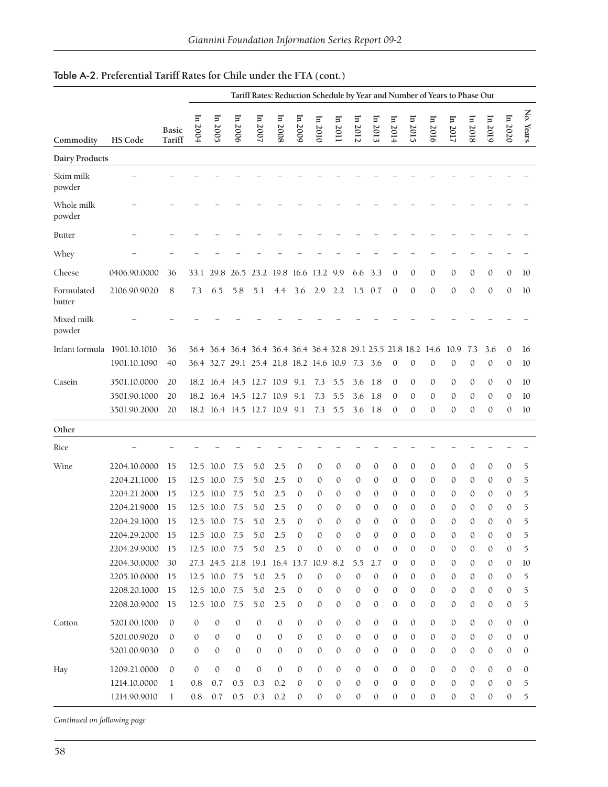|                             |              |                        | Tariff Rates: Reduction Schedule by Year and Number of Years to Phase Out |                                                                  |                  |                              |              |              |              |                  |         |                 |                  |                  |                  |                  |                  |              |                  |              |
|-----------------------------|--------------|------------------------|---------------------------------------------------------------------------|------------------------------------------------------------------|------------------|------------------------------|--------------|--------------|--------------|------------------|---------|-----------------|------------------|------------------|------------------|------------------|------------------|--------------|------------------|--------------|
| Commodity                   | HS Code      | <b>Basic</b><br>Tariff | Ξ<br>2004                                                                 | In 2005                                                          | In 2006          | In 2007                      | In 2008      | In 2009      | ln 2010      | In 2011          | In 2012 | $\ln 2013$      | In 2014          | In 2015          | In 2016          | $\ln 2017$       | In 2018          | ln 2019      | In 2020          | Ķ.<br>Years  |
| Dairy Products              |              |                        |                                                                           |                                                                  |                  |                              |              |              |              |                  |         |                 |                  |                  |                  |                  |                  |              |                  |              |
| Skim milk<br>powder         |              |                        |                                                                           |                                                                  |                  |                              |              |              |              |                  |         |                 |                  |                  |                  |                  |                  |              |                  |              |
| Whole milk<br>powder        |              |                        |                                                                           |                                                                  |                  |                              |              |              |              |                  |         |                 |                  |                  |                  |                  |                  |              |                  |              |
| <b>Butter</b>               |              |                        |                                                                           |                                                                  |                  |                              |              |              |              |                  |         |                 |                  |                  |                  |                  |                  |              |                  |              |
| Whey                        |              |                        |                                                                           |                                                                  |                  |                              |              |              |              |                  |         |                 |                  |                  |                  |                  |                  |              |                  |              |
| Cheese                      | 0406.90.0000 | 36                     | 33.1                                                                      | 29.8                                                             |                  | 26.5 23.2 19.8 16.6 13.2 9.9 |              |              |              |                  | 6.6     | 3.3             | $\mathbf{0}$     | $\mathbf{0}$     | $\mathbf{0}$     | 0                | $\mathbf{0}$     | $\mathbf 0$  | $\mathbf{0}$     | 10           |
| Formulated<br>butter        | 2106.90.9020 | 8                      | 7.3                                                                       | 6.5                                                              | 5.8              | 5.1                          | 4.4          | 3.6          | 2.9          | 2.2              |         | $1.5 \quad 0.7$ | $\mathbf{0}$     | $\mathbf{0}$     | $\mathbf{0}$     | $\mathbf{0}$     | $\mathbf{0}$     | $\mathbf{0}$ | $\mathbf{0}$     | 10           |
| Mixed milk<br>powder        |              |                        |                                                                           |                                                                  |                  |                              |              |              |              |                  |         |                 |                  |                  |                  |                  |                  |              |                  |              |
| Infant formula 1901.10.1010 |              | 36                     |                                                                           | 36.4 36.4 36.4 36.4 36.4 36.4 36.4 32.8 29.1 25.5 21.8 18.2 14.6 |                  |                              |              |              |              |                  |         |                 |                  |                  |                  | 10.9             | 7.3              | 3.6          | $\mathbf{0}$     | 16           |
|                             | 1901.10.1090 | 40                     |                                                                           | 36.4 32.7 29.1 25.4 21.8 18.2 14.6 10.9                          |                  |                              |              |              |              |                  | 7.3 3.6 |                 | $\mathbf{0}$     | $\mathbf{0}$     | $\mathbf{0}$     | 0                | $\mathbf{0}$     | $\mathbf{0}$ | $\mathbf{0}$     | 10           |
| Casein                      | 3501.10.0000 | 20                     |                                                                           | 18.2 16.4 14.5 12.7 10.9                                         |                  |                              |              | 9.1          | 7.3          | 5.5              | 3.6     | -1.8            | $\mathbf{0}$     | $\mathbf{0}$     | 0                | 0                | $\theta$         | $\mathbf{0}$ | $\mathbf{0}$     | 10           |
|                             | 3501.90.1000 | 20                     |                                                                           | 18.2 16.4 14.5 12.7 10.9                                         |                  |                              |              | 9.1          | 7.3          | 5.5              | 3.6     | 1.8             | $\theta$         | $\mathbf{0}$     | $\mathbf{0}$     | 0                | $\mathbf{0}$     | $\mathbf{0}$ | $\mathbf{0}$     | 10           |
|                             | 3501.90.2000 | 20                     |                                                                           | 18.2 16.4 14.5 12.7 10.9 9.1                                     |                  |                              |              |              | 7.3          | 5.5              |         | $3.6$ 1.8       | $\mathbf{0}$     | $\mathbf{0}$     | $\mathbf{0}$     | 0                | $\mathbf{0}$     | $\mathbf{0}$ | $\mathbf{0}$     | 10           |
| Other                       |              |                        |                                                                           |                                                                  |                  |                              |              |              |              |                  |         |                 |                  |                  |                  |                  |                  |              |                  |              |
| Rice                        |              |                        |                                                                           |                                                                  |                  |                              |              |              |              |                  |         |                 |                  |                  |                  |                  |                  |              |                  |              |
| Wine                        | 2204.10.0000 | 15                     | 12.5                                                                      | 10.0                                                             | 7.5              | 5.0                          | 2.5          | 0            | 0            | 0                | 0       | 0               | $\mathbf{0}$     | $\mathbf{0}$     | $\boldsymbol{0}$ | 0                | $\mathbf{0}$     | $\mathbf{0}$ | $\boldsymbol{0}$ | 5            |
|                             | 2204.21.1000 | 15                     | 12.5                                                                      | 10.0                                                             | 7.5              | 5.0                          | 2.5          | 0            | 0            | $\mathbf{0}$     | 0       | $\mathbf{0}$    | $\mathbf{0}$     | 0                | $\theta$         | $\theta$         | 0                | $\theta$     | 0                | 5            |
|                             | 2204.21.2000 | 15                     |                                                                           | 12.5 10.0                                                        | 7.5              | 5.0                          | 2.5          | 0            | $\theta$     | $\mathbf{0}$     | 0       | $\mathbf{0}$    | $\mathbf{0}$     | 0                | $\mathbf{0}$     | $\mathbf{0}$     | $\theta$         | $\mathbf{0}$ | 0                | 5            |
|                             | 2204.21.9000 | 15                     |                                                                           | 12.5 10.0                                                        | 7.5              | 5.0                          | 2.5          | 0            | $\theta$     | $\mathbf{0}$     | 0       | $\mathbf{0}$    | $\mathbf{0}$     | $\mathbf{0}$     | $\mathbf{0}$     | $\mathbf{0}$     | $\theta$         | $\mathbf{0}$ | 0                | 5            |
|                             | 2204.29.1000 | 15                     |                                                                           | 12.5 10.0                                                        | 7.5              | 5.0                          | 2.5          | $\mathbf{0}$ | $\mathbf{0}$ | $\mathbf{0}$     | 0       | 0               | $\mathbf{0}$     | $\mathbf{0}$     | $\mathbf{0}$     | 0                | $\mathbf{0}$     | $\mathbf{0}$ | $\mathbf{0}$     | 5            |
|                             | 2204.29.2000 | 15                     | 12.5                                                                      | 10.0                                                             | 7.5              | 5.0                          | 2.5          | $\mathbf{0}$ | 0            | $\mathbf{0}$     | 0       | $\mathbf{0}$    | $\theta$         | $\circ$          | $\mathbf{0}$     | $\sigma$         | $\theta$         | $\mathbf{0}$ | 0                | 5            |
|                             | 2204.29.9000 | 15                     |                                                                           | 12.5 10.0 7.5                                                    |                  | $5.0$                        | 2.5          | $\mathbf{0}$ | $\mathbf{0}$ | 0                | 0       | 0               | $\mathbf{0}$     | $\mathbf{0}$     | $\mathbf{0}$     | 0                | $\mathbf{0}$     | $\mathbf{0}$ | $\mathbf{0}$     | 5            |
|                             | 2204.30.0000 | 30                     |                                                                           | 27.3 24.5 21.8 19.1 16.4 13.7 10.9 8.2                           |                  |                              |              |              |              |                  | 5.5     | 2.7             | $\mathbf{0}$     | $\mathbf{0}$     | $\mathbf{0}$     | $\mathbf{0}$     | $\mathbf{0}$     | $\mathbf{0}$ | $\mathbf{0}$     | 10           |
|                             | 2205.10.0000 | 15                     |                                                                           | 12.5 10.0 7.5                                                    |                  | 5.0                          | 2.5          | $\mathbf{0}$ | $\mathbf{0}$ | $\mathbf{0}$     | 0       | $\mathbf{0}$    | $\mathbf{0}$     | $\mathbf{0}$     | 0                | 0                | $\mathbf{0}$     | $\mathbf{0}$ | $\mathbf{0}$     | 5            |
|                             | 2208.20.1000 | 15                     |                                                                           | 12.5 10.0                                                        | 7.5              | $5.0$                        | 2.5          | 0            | $\mathbf{0}$ | 0                | 0       | 0               | $\mathbf{0}$     | $\mathbf{0}$     | 0                | 0                | $\mathbf{0}$     | $\mathbf{0}$ | $\mathbf{0}$     | 5            |
|                             | 2208.20.9000 | 15                     |                                                                           | 12.5 10.0                                                        | 7.5              | 5.0                          | 2.5          | $\mathbf{0}$ | $\mathbf{0}$ | 0                | 0       | 0               | $\boldsymbol{0}$ | $\mathbf{0}$     | 0                | $\mathbf{0}$     | $\mathbf{0}$     | $\mathbf{0}$ | $\mathbf{0}$     | 5            |
| Cotton                      | 5201.00.1000 | $\mathbf{0}$           | $\mathbf{0}$                                                              | $\mathbf{0}$                                                     | $\mathbf{0}$     | $\mathbf{0}$                 | $\mathbf{0}$ | $\mathbf{0}$ | 0            | $\mathbf{0}$     | 0       | $\mathbf{0}$    | $\mathbf{0}$     | $\mathbf{0}$     | $\mathbf{0}$     | $\boldsymbol{0}$ | $\mathbf{0}$     | $\mathbf{0}$ | $\mathbf{0}$     | $\mathbf{0}$ |
|                             | 5201.00.9020 | $\mathbf{0}$           | 0                                                                         | $\mathbf{0}$                                                     | $\mathbf{0}$     | $\mathbf{0}$                 | $\mathbf{0}$ | 0            | $\mathbf{0}$ | $\mathbf{0}$     | 0       | 0               | $\mathbf{0}$     | $\mathbf{0}$     | 0                | 0                | $\mathbf{0}$     | $\mathbf{0}$ | $\mathbf{0}$     | $\theta$     |
|                             | 5201.00.9030 | $\mathbf{0}$           | 0                                                                         | $\mathbf{0}$                                                     | $\mathbf{0}$     | $\mathbf{0}$                 | $\mathbf{0}$ | 0            | 0            | $\boldsymbol{0}$ | 0       | 0               | $\mathbf{0}$     | $\mathbf{0}$     | $\mathbf{0}$     | 0                | $\boldsymbol{0}$ | $\mathbf{0}$ | $\mathbf{0}$     | $\mathbf{0}$ |
| Hay                         | 1209.21.0000 | $\boldsymbol{0}$       | $\boldsymbol{0}$                                                          | $\mathbf{0}$                                                     | $\boldsymbol{0}$ | $\mathbf{0}$                 | $\mathbf{0}$ | $\mathbf{0}$ | 0            | $\mathbf{0}$     | 0       | 0               | $\mathbf{0}$     | $\mathbf{0}$     | $\mathbf{0}$     | 0                | $\mathbf{0}$     | $\mathbf{0}$ | $\mathbf{0}$     | $\mathbf{0}$ |
|                             | 1214.10.0000 | $\mathbf{1}$           | 0.8                                                                       | 0.7                                                              | 0.5              | 0.3                          | 0.2          | $\mathbf{0}$ | $\mathbf{0}$ | 0                | 0       | 0               | $\mathbf{0}$     | $\mathbf{0}$     | $\mathbf{0}$     | 0                | $\mathbf{0}$     | $\mathbf{0}$ | $\mathbf{0}$     | 5            |
|                             | 1214.90.9010 | $\mathbf{1}$           | $0.8\,$                                                                   | 0.7                                                              | 0.5              | 0.3                          | 0.2          | $\mathbf{0}$ | 0            | 0                | 0       | 0               | 0                | $\boldsymbol{0}$ | $\boldsymbol{0}$ | 0                | $\boldsymbol{0}$ | $\mathbf{0}$ | $\boldsymbol{0}$ | 5            |

## Table A-2. **Preferential Tariff Rates for Chile under the FTA (cont.)**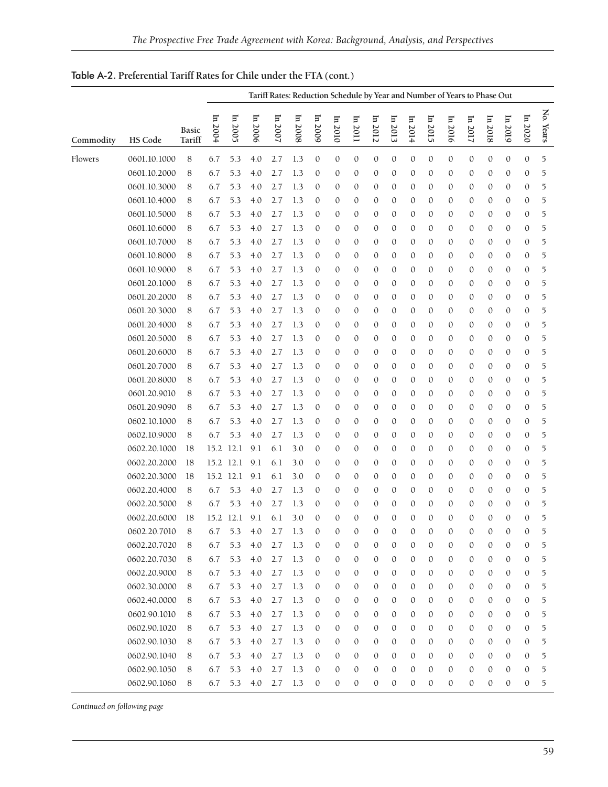|           |                | Tariff Rates: Reduction Schedule by Year and Number of Years to Phase Out |           |         |         |         |         |                  |              |                  |              |              |              |                  |          |              |              |              |              |           |
|-----------|----------------|---------------------------------------------------------------------------|-----------|---------|---------|---------|---------|------------------|--------------|------------------|--------------|--------------|--------------|------------------|----------|--------------|--------------|--------------|--------------|-----------|
| Commodity | <b>HS Code</b> | <b>Basic</b><br>Tariff                                                    | In 2004   | In 2005 | In 2006 | In 2007 | ln 2008 | In 2009          | In 2010      | In 2011          | In 2012      | In 2013      | $\ln 2014$   | In 2015          | In 2016  | In 2017      | In 2018      | In 2019      | In 2020      | No. Years |
| Flowers   | 0601.10.1000   | 8                                                                         | 6.7       | 5.3     | 4.0     | 2.7     | 1.3     | $\mathbf{0}$     | $\mathbf{0}$ | $\mathbf{0}$     | $\mathbf{0}$ | $\mathbf{0}$ | $\mathbf{0}$ | $\mathbf{0}$     | 0        | $\mathbf{0}$ | $\mathbf{0}$ | $\mathbf{0}$ | $\mathbf{0}$ | 5         |
|           | 0601.10.2000   | 8                                                                         | 6.7       | 5.3     | 4.0     | 2.7     | 1.3     | $\mathbf{0}$     | $\mathbf{0}$ | $\mathbf{0}$     | $\mathbf{0}$ | $\mathbf{0}$ | $\mathbf{0}$ | $\mathbf{0}$     | 0        | 0            | $\mathbf{0}$ | $\mathbf{0}$ | $\mathbf{0}$ | 5         |
|           | 0601.10.3000   | 8                                                                         | 6.7       | 5.3     | 4.0     | 2.7     | 1.3     | $\mathbf{0}$     | $\mathbf{0}$ | $\mathbf{0}$     | 0            | 0            | $\mathbf{0}$ | $\mathbf{0}$     | 0        | 0            | $\mathbf{0}$ | $\mathbf{0}$ | $\mathbf{0}$ | 5         |
|           | 0601.10.4000   | 8                                                                         | 6.7       | 5.3     | 4.0     | 2.7     | 1.3     | $\mathbf{0}$     | 0            | $\mathbf{0}$     | 0            | 0            | $\mathbf{0}$ | $\mathbf{0}$     | 0        | 0            | 0            | 0            | $\mathbf{0}$ | 5         |
|           | 0601.10.5000   | 8                                                                         | 6.7       | 5.3     | 4.0     | 2.7     | 1.3     | $\mathbf{0}$     | $\mathbf{0}$ | $\mathbf{0}$     | $\mathbf{0}$ | 0            | 0            | $\mathbf{0}$     | 0        | 0            | 0            | $\mathbf{0}$ | $\mathbf{0}$ | 5         |
|           | 0601.10.6000   | 8                                                                         | 6.7       | 5.3     | 4.0     | 2.7     | 1.3     | $\mathbf{0}$     | $\mathbf{0}$ | $\mathbf{0}$     | $\mathbf{0}$ | 0            | $\mathbf{0}$ | $\mathbf{0}$     | 0        | 0            | 0            | $\mathbf{0}$ | $\mathbf{0}$ | 5         |
|           | 0601.10.7000   | 8                                                                         | 6.7       | 5.3     | 4.0     | 2.7     | 1.3     | $\mathbf{0}$     | $\mathbf{0}$ | $\mathbf{0}$     | $\mathbf{0}$ | 0            | 0            | $\mathbf{0}$     | 0        | 0            | 0            | $\mathbf{0}$ | $\mathbf{0}$ | 5         |
|           | 0601.10.8000   | 8                                                                         | 6.7       | 5.3     | 4.0     | 2.7     | 1.3     | 0                | $\mathbf{0}$ | 0                | $\mathbf{0}$ | 0            | $\mathbf{0}$ | $\mathbf{0}$     | 0        | 0            | $\mathbf{0}$ | $\mathbf{0}$ | $\mathbf{0}$ | 5         |
|           | 0601.10.9000   | 8                                                                         | 6.7       | 5.3     | 4.0     | 2.7     | 1.3     | $\mathbf{0}$     | $\mathbf{0}$ | $\mathbf{0}$     | $\mathbf{0}$ | 0            | $\mathbf{0}$ | $\mathbf{0}$     | 0        | 0            | $\mathbf{0}$ | $\mathbf{0}$ | $\mathbf{0}$ | 5         |
|           | 0601.20.1000   | 8                                                                         | 6.7       | 5.3     | 4.0     | 2.7     | 1.3     | $\mathbf{0}$     | $\mathbf{0}$ | $\mathbf{0}$     | 0            | 0            | 0            | $\mathbf{0}$     | 0        | 0            | 0            | 0            | $\mathbf{0}$ | 5         |
|           | 0601.20.2000   | 8                                                                         | 6.7       | 5.3     | 4.0     | 2.7     | 1.3     | $\mathbf{0}$     | $\mathbf{0}$ | $\mathbf 0$      | 0            | 0            | $\mathbf{0}$ | $\mathbf{0}$     | 0        | 0            | $\mathbf{0}$ | $\mathbf{0}$ | $\mathbf{0}$ | 5         |
|           | 0601.20.3000   | 8                                                                         | 6.7       | 5.3     | 4.0     | 2.7     | 1.3     | $\mathbf{0}$     | $\mathbf{0}$ | $\mathbf{0}$     | $\mathbf{0}$ | 0            | $\mathbf{0}$ | $\mathbf{0}$     | 0        | 0            | $\mathbf{0}$ | $\mathbf{0}$ | $\mathbf{0}$ | 5         |
|           | 0601.20.4000   | 8                                                                         | 6.7       | 5.3     | 4.0     | 2.7     | 1.3     | $\mathbf 0$      | $\mathbf{0}$ | $\mathbf{0}$     | $\mathbf{0}$ | 0            | 0            | $\mathbf{0}$     | 0        | 0            | $\mathbf{0}$ | $\mathbf{0}$ | $\mathbf{0}$ | 5         |
|           | 0601.20.5000   | 8                                                                         | 6.7       | 5.3     | 4.0     | 2.7     | 1.3     | $\mathbf{0}$     | $\mathbf{0}$ | $\mathbf{0}$     | $\mathbf{0}$ | 0            | 0            | $\mathbf{0}$     | 0        | 0            | 0            | $\mathbf{0}$ | $\mathbf{0}$ | 5         |
|           | 0601.20.6000   | 8                                                                         | 6.7       | 5.3     | 4.0     | 2.7     | 1.3     | $\mathbf{0}$     | $\mathbf{0}$ | $\mathbf{0}$     | $\mathbf{0}$ | 0            | $\mathbf{0}$ | $\mathbf{0}$     | 0        | 0            | $\mathbf{0}$ | $\mathbf{0}$ | $\mathbf{0}$ | 5         |
|           | 0601.20.7000   | 8                                                                         | 6.7       | 5.3     | 4.0     | 2.7     | 1.3     | $\mathbf{0}$     | $\mathbf{0}$ | $\mathbf{0}$     | $\mathbf{0}$ | 0            | $\mathbf{0}$ | $\mathbf{0}$     | 0        | 0            | $\mathbf{0}$ | $\mathbf{0}$ | 0            | 5         |
|           | 0601.20.8000   | 8                                                                         | 6.7       | 5.3     | 4.0     | 2.7     | 1.3     | $\mathbf{0}$     | $\mathbf{0}$ | $\mathbf{0}$     | $\mathbf{0}$ | 0            | 0            | $\mathbf{0}$     | 0        | 0            | 0            | 0            | $\mathbf{0}$ | 5         |
|           | 0601.20.9010   | 8                                                                         | 6.7       | 5.3     | 4.0     | 2.7     | 1.3     | $\mathbf{0}$     | $\mathbf{0}$ | $\mathbf{0}$     | $\mathbf{0}$ | 0            | 0            | $\mathbf{0}$     | 0        | 0            | 0            | $\mathbf{0}$ | $\mathbf{0}$ | 5         |
|           | 0601.20.9090   | 8                                                                         | 6.7       | 5.3     | 4.0     | 2.7     | 1.3     | $\mathbf{0}$     | $\mathbf{0}$ | $\mathbf{0}$     | 0            | 0            | 0            | $\mathbf{0}$     | 0        | 0            | 0            | $\mathbf{0}$ | $\mathbf{0}$ | 5         |
|           | 0602.10.1000   | 8                                                                         | 6.7       | 5.3     | 4.0     | 2.7     | 1.3     | $\mathbf{0}$     | $\mathbf{0}$ | $\mathbf{0}$     | 0            | 0            | $\mathbf{0}$ | $\mathbf{0}$     | 0        | 0            | 0            | $\mathbf{0}$ | $\mathbf{0}$ | 5         |
|           | 0602.10.9000   | 8                                                                         | 6.7       | 5.3     | 4.0     | 2.7     | 1.3     | $\mathbf 0$      | $\mathbf{0}$ | $\mathbf 0$      | $\mathbf{0}$ | 0            | $\mathbf{0}$ | $\mathbf{0}$     | 0        | 0            | $\mathbf{0}$ | $\mathbf{0}$ | $\mathbf{0}$ | 5         |
|           | 0602.20.1000   | 18                                                                        | 15.2      | 12.1    | 9.1     | 6.1     | 3.0     | $\mathbf{0}$     | $\mathbf{0}$ | $\mathbf{0}$     | $\mathbf{0}$ | 0            | $\mathbf{0}$ | $\mathbf{0}$     | 0        | 0            | $\mathbf{0}$ | $\mathbf{0}$ | $\mathbf{0}$ | 5         |
|           | 0602.20.2000   | 18                                                                        | 15.2      | 12.1    | 9.1     | 6.1     | 3.0     | $\mathbf{0}$     | $\mathbf{0}$ | $\mathbf{0}$     | 0            | 0            | 0            | $\mathbf{0}$     | 0        | 0            | 0            | 0            | $\mathbf{0}$ | 5         |
|           | 0602.20.3000   | 18                                                                        | 15.2      | 12.1    | 9.1     | 6.1     | 3.0     | $\mathbf{0}$     | $\mathbf{0}$ | $\mathbf{0}$     | $\mathbf{0}$ | 0            | $\mathbf{0}$ | $\mathbf{0}$     | 0        | 0            | $\mathbf{0}$ | $\mathbf{0}$ | $\mathbf{0}$ | 5         |
|           | 0602.20.4000   | 8                                                                         | 6.7       | 5.3     | 4.0     | 2.7     | 1.3     | $\mathbf{0}$     | $\mathbf{0}$ | $\mathbf{0}$     | $\mathbf{0}$ | 0            | $\mathbf{0}$ | $\mathbf{0}$     | 0        | 0            | $\mathbf{0}$ | $\mathbf{0}$ | $\mathbf{0}$ | 5         |
|           | 0602.20.5000   | 8                                                                         | 6.7       | 5.3     | 4.0     | 2.7     | 1.3     | $\mathbf{0}$     | $\mathbf{0}$ | $\mathbf{0}$     | $\mathbf{0}$ | 0            | $\mathbf{0}$ | $\mathbf{0}$     | 0        | 0            | 0            | $\mathbf{0}$ | $\mathbf{0}$ | 5         |
|           | 0602.20.6000   | 18                                                                        | 15.2 12.1 |         | 9.1     | 6.1     | 3.0     | $\mathbf{0}$     | $\mathbf{0}$ | $\mathbf{0}$     | $\mathbf{0}$ | 0            | $\mathbf{0}$ | $\mathbf{0}$     | 0        | 0            | $\mathbf{0}$ | 0            | $\mathbf{0}$ | 5         |
|           | 0602.20.7010   | 8                                                                         | 6.7       |         | 5.3 4.0 | 2.7     | 1.3     | $\mathbf{0}$     | $\Omega$     | $\mathbf{0}$     | $\Omega$     | $\Omega$     | $\mathbf{0}$ | $\Omega$         | $\theta$ | $\Omega$     | $\mathbf{0}$ | $\Omega$     | $\mathbf{0}$ |           |
|           | 0602.20.7020   | 8                                                                         | 6.7       | 5.3     | 4.0     | 2.7     | 1.3     | 0                | $\mathbf{0}$ | $\mathbf{0}$     | $\mathbf{0}$ | 0            | $\mathbf{0}$ | $\mathbf{0}$     | 0        | 0            | $\mathbf{0}$ | 0            | $\mathbf{0}$ | 5         |
|           | 0602.20.7030   | 8                                                                         | 6.7       | 5.3     | 4.0     | 2.7     | 1.3     | $\boldsymbol{0}$ | $\mathbf{0}$ | $\boldsymbol{0}$ | $\mathbf{0}$ | $\mathbf{0}$ | $\mathbf{0}$ | $\mathbf{0}$     | 0        | $\mathbf{0}$ | $\mathbf{0}$ | $\mathbf{0}$ | $\mathbf{0}$ | 5         |
|           | 0602.20.9000   | 8                                                                         | 6.7       | 5.3     | 4.0     | 2.7     | 1.3     | $\boldsymbol{0}$ | $\mathbf{0}$ | $\mathbf{0}$     | $\mathbf{0}$ | $\mathbf{0}$ | $\mathbf{0}$ | $\mathbf{0}$     | 0        | 0            | $\mathbf{0}$ | $\mathbf{0}$ | $\mathbf{0}$ | 5         |
|           | 0602.30.0000   | 8                                                                         | 6.7       | 5.3     | 4.0     | 2.7     | 1.3     | $\boldsymbol{0}$ | $\mathbf{0}$ | $\mathbf{0}$     | $\mathbf{0}$ | 0            | $\mathbf{0}$ | $\mathbf{0}$     | 0        | 0            | $\mathbf{0}$ | $\mathbf{0}$ | $\mathbf{0}$ | 5         |
|           | 0602.40.0000   | 8                                                                         | 6.7       | 5.3     | 4.0     | 2.7     | 1.3     | $\boldsymbol{0}$ | $\mathbf{0}$ | $\mathbf{0}$     | $\mathbf{0}$ | 0            | $\mathbf{0}$ | $\mathbf{0}$     | 0        | 0            | $\mathbf{0}$ | 0            | $\mathbf{0}$ | 5         |
|           | 0602.90.1010   | 8                                                                         | 6.7       | 5.3     | 4.0     | 2.7     | 1.3     | $\mathbf{0}$     | $\mathbf{0}$ | $\mathbf{0}$     | $\mathbf{0}$ | $\mathbf{0}$ | 0            | $\mathbf{0}$     | 0        | 0            | 0            | 0            | $\mathbf{0}$ | 5         |
|           | 0602.90.1020   | 8                                                                         | 6.7       | 5.3     | 4.0     | 2.7     | 1.3     | 0                | $\mathbf{0}$ | $\mathbf{0}$     | $\mathbf{0}$ | 0            | $\mathbf{0}$ | $\boldsymbol{0}$ | 0        | 0            | $\mathbf{0}$ | $\mathbf{0}$ | 0            | 5         |
|           | 0602.90.1030   | 8                                                                         | 6.7       | 5.3     | 4.0     | 2.7     | 1.3     | $\boldsymbol{0}$ | $\mathbf{0}$ | $\mathbf{0}$     | $\mathbf{0}$ | 0            | $\mathbf{0}$ | $\mathbf{0}$     | 0        | 0            | $\mathbf{0}$ | 0            | $\mathbf{0}$ | 5         |
|           | 0602.90.1040   | 8                                                                         | 6.7       | 5.3     | 4.0     | 2.7     | 1.3     | $\boldsymbol{0}$ | $\mathbf{0}$ | $\mathbf{0}$     | $\mathbf{0}$ | 0            | $\mathbf{0}$ | $\mathbf{0}$     | 0        | 0            | $\mathbf{0}$ | $\mathbf{0}$ | $\mathbf{0}$ | 5         |
|           | 0602.90.1050   | 8                                                                         | 6.7       | 5.3     | 4.0     | 2.7     | 1.3     | $\mathbf{0}$     | $\mathbf{0}$ | $\mathbf{0}$     | $\mathbf{0}$ | 0            | $\mathbf{0}$ | $\mathbf{0}$     | 0        | 0            | $\mathbf{0}$ | $\mathbf{0}$ | $\mathbf{0}$ | 5         |
|           | 0602.90.1060   | 8                                                                         | 6.7       | 5.3     | 4.0     | 2.7     | 1.3     | $\mathbf{0}$     | 0            | $\mathbf{0}$     | 0            | $\mathbf{0}$ | 0            | $\mathbf{0}$     | 0        | 0            | 0            | 0            | 0            | 5         |

Table A-2. **Preferential Tariff Rates for Chile under the FTA (cont.)**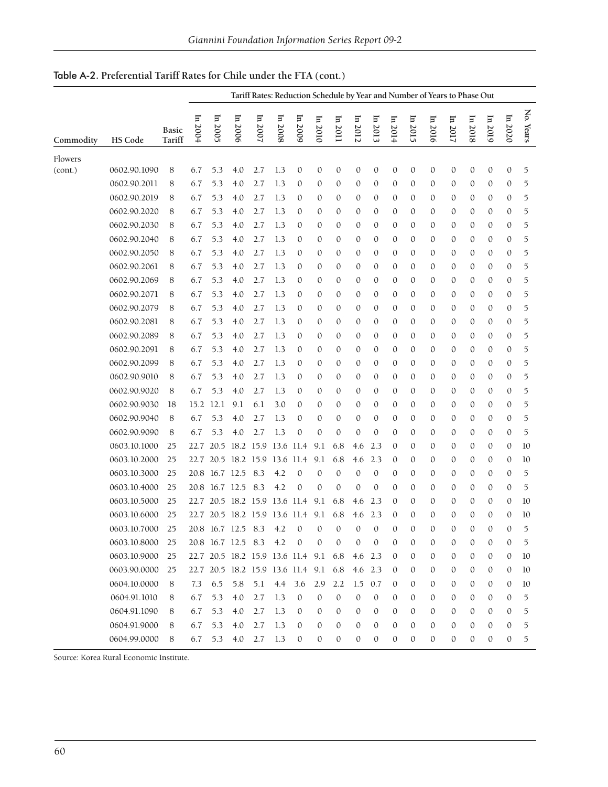| In 2020<br>In 2006<br>In 2007<br>$\ln 2004$<br>In 2008<br>In 2009<br>In 2005<br>In 2013<br>In 2015<br>ln 2010<br>$\ln 2012$<br>$\ln 2014$<br>In 2016<br>In 2017<br>In 2019<br>In 2011<br>In 2018<br><b>Basic</b><br>Commodity<br><b>HS Code</b><br>Tariff<br>Flowers<br>0602.90.1090<br>2.7<br>$\mathbf{0}$<br>$\mathbf{0}$<br>$\mathbf{0}$<br>$\mathbf{0}$<br>$\mathbf{0}$<br>$\boldsymbol{0}$<br>0<br>$\mathbf{0}$<br>$\mathbf{0}$<br>8<br>6.7<br>5.3<br>4.0<br>1.3<br>0<br>0<br>$\boldsymbol{0}$<br>(cont.)<br>0602.90.2011<br>6.7<br>5.3<br>2.7<br>1.3<br>8<br>4.0<br>0<br>0<br>$\mathbf{0}$<br>0<br>$\mathbf{0}$<br>$\mathbf{0}$<br>$\mathbf{0}$<br>$\mathbf{0}$<br>0<br>$\mathbf{0}$<br>0<br>0<br>0602.90.2019<br>8<br>6.7<br>5.3<br>$4.0$<br>2.7<br>1.3<br>0<br>0<br>$\mathbf{0}$<br>0<br>$\mathbf{0}$<br>$\mathbf{0}$<br>$\mathbf{0}$<br>$\boldsymbol{0}$<br>0<br>$\mathbf{0}$<br>$\boldsymbol{0}$<br>0<br>0602.90.2020<br>6.7<br>5.3<br>4.0<br>2.7<br>1.3<br>0<br>$\mathbf{0}$<br>0<br>$\mathbf{0}$<br>0<br>$\mathbf{0}$<br>0<br>$\mathbf{0}$<br>$\mathbf{0}$<br>8<br>$\mathbf{0}$<br>0<br>0<br>0602.90.2030<br>6.7<br>5.3<br>2.7<br>8<br>4.0<br>1.3<br>0<br>$\mathbf{0}$<br>0<br>$\mathbf{0}$<br>$\theta$<br>$\mathbf{0}$<br>$\mathbf{0}$<br>0<br>$\mathbf{0}$<br>0<br>$\mathbf{0}$<br>0<br>0602.90.2040<br>6.7<br>5.3<br>2.7<br>8<br>4.0<br>1.3<br>0<br>0<br>$\mathbf{0}$<br>0<br>$\mathbf{0}$<br>0<br>$\mathbf{0}$<br>0<br>$\mathbf{0}$<br>0<br>0<br>$\mathbf{0}$ |           |
|-------------------------------------------------------------------------------------------------------------------------------------------------------------------------------------------------------------------------------------------------------------------------------------------------------------------------------------------------------------------------------------------------------------------------------------------------------------------------------------------------------------------------------------------------------------------------------------------------------------------------------------------------------------------------------------------------------------------------------------------------------------------------------------------------------------------------------------------------------------------------------------------------------------------------------------------------------------------------------------------------------------------------------------------------------------------------------------------------------------------------------------------------------------------------------------------------------------------------------------------------------------------------------------------------------------------------------------------------------------------------------------------------------------------------------------------------------------------------------|-----------|
|                                                                                                                                                                                                                                                                                                                                                                                                                                                                                                                                                                                                                                                                                                                                                                                                                                                                                                                                                                                                                                                                                                                                                                                                                                                                                                                                                                                                                                                                               | No. Years |
|                                                                                                                                                                                                                                                                                                                                                                                                                                                                                                                                                                                                                                                                                                                                                                                                                                                                                                                                                                                                                                                                                                                                                                                                                                                                                                                                                                                                                                                                               |           |
|                                                                                                                                                                                                                                                                                                                                                                                                                                                                                                                                                                                                                                                                                                                                                                                                                                                                                                                                                                                                                                                                                                                                                                                                                                                                                                                                                                                                                                                                               | 5         |
|                                                                                                                                                                                                                                                                                                                                                                                                                                                                                                                                                                                                                                                                                                                                                                                                                                                                                                                                                                                                                                                                                                                                                                                                                                                                                                                                                                                                                                                                               | 5         |
|                                                                                                                                                                                                                                                                                                                                                                                                                                                                                                                                                                                                                                                                                                                                                                                                                                                                                                                                                                                                                                                                                                                                                                                                                                                                                                                                                                                                                                                                               | 5         |
|                                                                                                                                                                                                                                                                                                                                                                                                                                                                                                                                                                                                                                                                                                                                                                                                                                                                                                                                                                                                                                                                                                                                                                                                                                                                                                                                                                                                                                                                               | 5         |
|                                                                                                                                                                                                                                                                                                                                                                                                                                                                                                                                                                                                                                                                                                                                                                                                                                                                                                                                                                                                                                                                                                                                                                                                                                                                                                                                                                                                                                                                               | 5         |
|                                                                                                                                                                                                                                                                                                                                                                                                                                                                                                                                                                                                                                                                                                                                                                                                                                                                                                                                                                                                                                                                                                                                                                                                                                                                                                                                                                                                                                                                               | 5         |
| 0602.90.2050<br>6.7<br>5.3<br>2.7<br>4.0<br>1.3<br>0<br>0<br>$\mathbf{0}$<br>$\mathbf{0}$<br>0<br>$\boldsymbol{0}$<br>0<br>$\mathbf{0}$<br>0<br>8<br>0<br>0<br>0                                                                                                                                                                                                                                                                                                                                                                                                                                                                                                                                                                                                                                                                                                                                                                                                                                                                                                                                                                                                                                                                                                                                                                                                                                                                                                              | 5         |
| 0602.90.2061<br>6.7<br>5.3<br>2.7<br>8<br>4.0<br>1.3<br>0<br>$\mathbf{0}$<br>$\mathbf{0}$<br>0<br>$\mathbf{0}$<br>0<br>0<br>0<br>0<br>$\theta$<br>0<br>$\theta$                                                                                                                                                                                                                                                                                                                                                                                                                                                                                                                                                                                                                                                                                                                                                                                                                                                                                                                                                                                                                                                                                                                                                                                                                                                                                                               | 5         |
| 0602.90.2069<br>6.7<br>5.3<br>2.7<br>8<br>4.0<br>1.3<br>0<br>0<br>$\mathbf{0}$<br>0<br>0<br>$\mathbf{0}$<br>$\mathbf{0}$<br>0<br>$\mathbf{0}$<br>0<br>$\mathbf{0}$<br>0                                                                                                                                                                                                                                                                                                                                                                                                                                                                                                                                                                                                                                                                                                                                                                                                                                                                                                                                                                                                                                                                                                                                                                                                                                                                                                       | 5         |
| 0602.90.2071<br>5.3<br>2.7<br>8<br>6.7<br>4.0<br>1.3<br>0<br>0<br>$\mathbf{0}$<br>0<br>0<br>$\mathbf{0}$<br>$\mathbf{0}$<br>$\mathbf{0}$<br>$\mathbf{0}$<br>0<br>$\mathbf{0}$<br>0                                                                                                                                                                                                                                                                                                                                                                                                                                                                                                                                                                                                                                                                                                                                                                                                                                                                                                                                                                                                                                                                                                                                                                                                                                                                                            | 5         |
| 0602.90.2079<br>6.7<br>5.3<br>2.7<br>8<br>4.0<br>1.3<br>0<br>$\mathbf{0}$<br>0<br>$\mathbf{0}$<br>$\mathbf{0}$<br>$\mathbf{0}$<br>0<br>$\mathbf{0}$<br>0<br>0<br>0<br>$\theta$                                                                                                                                                                                                                                                                                                                                                                                                                                                                                                                                                                                                                                                                                                                                                                                                                                                                                                                                                                                                                                                                                                                                                                                                                                                                                                | 5         |
| 0602.90.2081<br>6.7<br>5.3<br>2.7<br>4.0<br>1.3<br>0<br>0<br>0<br>0<br>0<br>$\mathbf{0}$<br>0<br>$\mathbf{0}$<br>0<br>8<br>0<br>0<br>$\theta$                                                                                                                                                                                                                                                                                                                                                                                                                                                                                                                                                                                                                                                                                                                                                                                                                                                                                                                                                                                                                                                                                                                                                                                                                                                                                                                                 | 5         |
| 0602.90.2089<br>6.7<br>5.3<br>2.7<br>8<br>4.0<br>1.3<br>0<br>0<br>0<br>0<br>$\mathbf{0}$<br>$\mathbf{0}$<br>$\mathbf{0}$<br>$\boldsymbol{0}$<br>0<br>$\mathbf{0}$<br>0<br>0                                                                                                                                                                                                                                                                                                                                                                                                                                                                                                                                                                                                                                                                                                                                                                                                                                                                                                                                                                                                                                                                                                                                                                                                                                                                                                   | 5         |
| 0602.90.2091<br>6.7<br>5.3<br>2.7<br>8<br>4.0<br>1.3<br>0<br>0<br>0<br>$\mathbf{0}$<br>$\mathbf{0}$<br>$\mathbf{0}$<br>0<br>0<br>0<br>$\theta$<br>0<br>0                                                                                                                                                                                                                                                                                                                                                                                                                                                                                                                                                                                                                                                                                                                                                                                                                                                                                                                                                                                                                                                                                                                                                                                                                                                                                                                      | 5         |
| 0602.90.2099<br>6.7<br>5.3<br>2.7<br>8<br>4.0<br>1.3<br>0<br>0<br>$\mathbf{0}$<br>0<br>$\mathbf{0}$<br>$\mathbf{0}$<br>0<br>$\mathbf{0}$<br>0<br>$\mathbf{0}$<br>0<br>0                                                                                                                                                                                                                                                                                                                                                                                                                                                                                                                                                                                                                                                                                                                                                                                                                                                                                                                                                                                                                                                                                                                                                                                                                                                                                                       | 5         |
| 0602.90.9010<br>6.7<br>5.3<br>2.7<br>$\mathbf{0}$<br>8<br>4.0<br>1.3<br>0<br>0<br>$\mathbf{0}$<br>0<br>$\mathbf{0}$<br>$\mathbf{0}$<br>0<br>$\boldsymbol{0}$<br>0<br>$\mathbf{0}$<br>0                                                                                                                                                                                                                                                                                                                                                                                                                                                                                                                                                                                                                                                                                                                                                                                                                                                                                                                                                                                                                                                                                                                                                                                                                                                                                        | 5         |
| 0602.90.9020<br>6.7<br>5.3<br>2.7<br>8<br>4.0<br>1.3<br>0<br>0<br>0<br>$\mathbf{0}$<br>$\mathbf{0}$<br>$\boldsymbol{0}$<br>0<br>$\mathbf{0}$<br>0<br>$\mathbf{0}$<br>0<br>0                                                                                                                                                                                                                                                                                                                                                                                                                                                                                                                                                                                                                                                                                                                                                                                                                                                                                                                                                                                                                                                                                                                                                                                                                                                                                                   | 5         |
| 0602.90.9030<br>15.2<br>12.1<br>9.1<br>6.1<br>3.0<br>18<br>0<br>0<br>0<br>0<br>$\mathbf{0}$<br>$\mathbf{0}$<br>0<br>$\mathbf{0}$<br>0<br>0<br>0<br>$\theta$                                                                                                                                                                                                                                                                                                                                                                                                                                                                                                                                                                                                                                                                                                                                                                                                                                                                                                                                                                                                                                                                                                                                                                                                                                                                                                                   | 5         |
| 0602.90.9040<br>8<br>5.3<br>2.7<br>6.7<br>4.0<br>1.3<br>0<br>0<br>$\mathbf{0}$<br>0<br>0<br>$\mathbf{0}$<br>$\mathbf{0}$<br>$\boldsymbol{0}$<br>0<br>$\mathbf{0}$<br>0<br>$\theta$                                                                                                                                                                                                                                                                                                                                                                                                                                                                                                                                                                                                                                                                                                                                                                                                                                                                                                                                                                                                                                                                                                                                                                                                                                                                                            | 5         |
| 0602.90.9090<br>5.3<br>2.7<br>$\mathbf{0}$<br>6.7<br>4.0<br>1.3<br>0<br>0<br>0<br>0<br>$\mathbf{0}$<br>0<br>0<br>$\boldsymbol{0}$<br>0<br>$\mathbf{0}$<br>0<br>8                                                                                                                                                                                                                                                                                                                                                                                                                                                                                                                                                                                                                                                                                                                                                                                                                                                                                                                                                                                                                                                                                                                                                                                                                                                                                                              | 5         |
| 0603.10.1000<br>18.2 15.9 13.6 11.4<br>25<br>22.7<br>20.5<br>9.1<br>6.8<br>2.3<br>$\mathbf{0}$<br>$\mathbf{0}$<br>0<br>$\mathbf{0}$<br>$\boldsymbol{0}$<br>4.6<br>$\theta$<br>$\theta$                                                                                                                                                                                                                                                                                                                                                                                                                                                                                                                                                                                                                                                                                                                                                                                                                                                                                                                                                                                                                                                                                                                                                                                                                                                                                        | 10        |
| 0603.10.2000<br>20.5 18.2 15.9<br>13.6 11.4<br>9.1<br>25<br>22.7<br>6.8<br>4.6<br>2.3<br>$\mathbf{0}$<br>$\mathbf{0}$<br>0<br>$\boldsymbol{0}$<br>0<br>$\mathbf{0}$<br>$\boldsymbol{0}$                                                                                                                                                                                                                                                                                                                                                                                                                                                                                                                                                                                                                                                                                                                                                                                                                                                                                                                                                                                                                                                                                                                                                                                                                                                                                       | 10        |
| 0603.10.3000<br>16.7 12.5<br>8.3<br>4.2<br>$\mathbf{0}$<br>25<br>20.8<br>$\mathbf{0}$<br>$\mathbf{0}$<br>0<br>0<br>$\mathbf{0}$<br>$\mathbf{0}$<br>0<br>$\mathbf{0}$<br>0<br>$\mathbf{0}$<br>$\boldsymbol{0}$                                                                                                                                                                                                                                                                                                                                                                                                                                                                                                                                                                                                                                                                                                                                                                                                                                                                                                                                                                                                                                                                                                                                                                                                                                                                 | 5         |
| 0603.10.4000<br>16.7 12.5<br>8.3<br>4.2<br>$\mathbf{0}$<br>25<br>20.8<br>$\mathbf{0}$<br>$\mathbf{0}$<br>0<br>0<br>$\mathbf{0}$<br>0<br>$\mathbf{0}$<br>0<br>$\mathbf{0}$<br>0<br>$\mathbf{0}$                                                                                                                                                                                                                                                                                                                                                                                                                                                                                                                                                                                                                                                                                                                                                                                                                                                                                                                                                                                                                                                                                                                                                                                                                                                                                | 5         |
| 0603.10.5000<br>25<br>20.5 18.2 15.9<br>13.6 11.4<br>9.1<br>6.8<br>2.3<br>$\mathbf{0}$<br>0<br>0<br>$\mathbf{0}$<br>$\mathbf{0}$<br>$\boldsymbol{0}$<br>22.7<br>4.6<br>0                                                                                                                                                                                                                                                                                                                                                                                                                                                                                                                                                                                                                                                                                                                                                                                                                                                                                                                                                                                                                                                                                                                                                                                                                                                                                                      | 10        |
| 0603.10.6000<br>20.5 18.2 15.9<br>25<br>13.6 11.4<br>9.1<br>6.8<br>4.6<br>2.3<br>$\mathbf{0}$<br>$\mathbf{0}$<br>$\mathbf{0}$<br>$\mathbf{0}$<br>0<br>$\mathbf{0}$<br>0<br>22.7                                                                                                                                                                                                                                                                                                                                                                                                                                                                                                                                                                                                                                                                                                                                                                                                                                                                                                                                                                                                                                                                                                                                                                                                                                                                                               | 10        |
| 0603.10.7000<br>16.7 12.5<br>8.3<br>4.2<br>25<br>20.8<br>$\mathbf{0}$<br>$\mathbf{0}$<br>$\mathbf{0}$<br>0<br>$\mathbf{0}$<br>$\mathbf{0}$<br>$\mathbf{0}$<br>0<br>0<br>$\mathbf{0}$<br>$\mathbf{0}$<br>0                                                                                                                                                                                                                                                                                                                                                                                                                                                                                                                                                                                                                                                                                                                                                                                                                                                                                                                                                                                                                                                                                                                                                                                                                                                                     | 5         |
| 0603.10.8000<br>20.8 16.7 12.5 8.3<br>4.2<br>0<br>0<br>$\mathbf{0}$<br>0<br>0<br>0<br>0<br>0<br>$\mathbf{0}$<br>0<br>$\mathbf{0}$<br>0<br>25                                                                                                                                                                                                                                                                                                                                                                                                                                                                                                                                                                                                                                                                                                                                                                                                                                                                                                                                                                                                                                                                                                                                                                                                                                                                                                                                  | 5         |
| 0603.10.9000<br>22.7 20.5 18.2 15.9 13.6 11.4<br>25<br>9.1<br>6.8<br>4.6<br>2.3<br>$\mathbf{0}$<br>$\mathbf{0}$<br>$\boldsymbol{0}$<br>$\mathbf{0}$<br>0<br>$\mathbf{0}$<br>$\mathbf{0}$                                                                                                                                                                                                                                                                                                                                                                                                                                                                                                                                                                                                                                                                                                                                                                                                                                                                                                                                                                                                                                                                                                                                                                                                                                                                                      | 10        |
| 0603.90.0000<br>22.7 20.5 18.2 15.9 13.6 11.4 9.1<br>25<br>6.8<br>4.6<br>2.3<br>$\mathbf{0}$<br>0<br>$\mathbf{0}$<br>$\mathbf{0}$<br>$\mathbf{0}$<br>0<br>0                                                                                                                                                                                                                                                                                                                                                                                                                                                                                                                                                                                                                                                                                                                                                                                                                                                                                                                                                                                                                                                                                                                                                                                                                                                                                                                   | 10        |
| 0604.10.0000<br>6.5<br>5.8<br>$5.1\,$<br>3.6<br>2.2<br>8<br>7.3<br>4.4<br>2.9<br>1.5<br>0.7<br>$\mathbf{0}$<br>0<br>$\mathbf{0}$<br>0<br>$\mathbf{0}$<br>$\mathbf{0}$<br>$\mathbf{0}$                                                                                                                                                                                                                                                                                                                                                                                                                                                                                                                                                                                                                                                                                                                                                                                                                                                                                                                                                                                                                                                                                                                                                                                                                                                                                         | 10        |
| 0604.91.1010<br>$4.0$<br>2.7<br>$\mathbf{0}$<br>$\mathbf{0}$<br>$\mathbf{0}$<br>$\mathbf{0}$<br>8<br>6.7<br>5.3<br>1.3<br>$\mathbf{0}$<br>$\mathbf{0}$<br>$\mathbf{0}$<br>$\mathbf{0}$<br>$\mathbf{0}$<br>0<br>$\mathbf{0}$<br>$\mathbf{0}$                                                                                                                                                                                                                                                                                                                                                                                                                                                                                                                                                                                                                                                                                                                                                                                                                                                                                                                                                                                                                                                                                                                                                                                                                                   | 5         |
| 0604.91.1090<br>2.7<br>8<br>6.7<br>5.3<br>4.0<br>1.3<br>$\mathbf{0}$<br>$\mathbf{0}$<br>$\mathbf{0}$<br>0<br>0<br>$\mathbf{0}$<br>$\mathbf{0}$<br>$\mathbf{0}$<br>0<br>$\mathbf{0}$<br>$\mathbf{0}$<br>$\mathbf{0}$                                                                                                                                                                                                                                                                                                                                                                                                                                                                                                                                                                                                                                                                                                                                                                                                                                                                                                                                                                                                                                                                                                                                                                                                                                                           | 5         |
| 0604.91.9000<br>6.7<br>5.3<br>2.7<br>8<br>4.0<br>1.3<br>0<br>0<br>$\mathbf{0}$<br>0<br>0<br>0<br>0<br>0<br>$\theta$<br>$\mathbf{0}$<br>0<br>$\mathbf{0}$                                                                                                                                                                                                                                                                                                                                                                                                                                                                                                                                                                                                                                                                                                                                                                                                                                                                                                                                                                                                                                                                                                                                                                                                                                                                                                                      | 5         |
| 0604.99.0000<br>8<br>6.7<br>5.3<br>4.0<br>2.7<br>1.3<br>$\boldsymbol{0}$<br>0<br>$\theta$<br>0<br>$\mathbf{0}$<br>0<br>$\mathbf{0}$<br>$\mathbf{0}$<br>0<br>0<br>0<br>0                                                                                                                                                                                                                                                                                                                                                                                                                                                                                                                                                                                                                                                                                                                                                                                                                                                                                                                                                                                                                                                                                                                                                                                                                                                                                                       | 5         |

## Table A-2. **Preferential Tariff Rates for Chile under the FTA (cont.)**

Source: Korea Rural Economic Institute.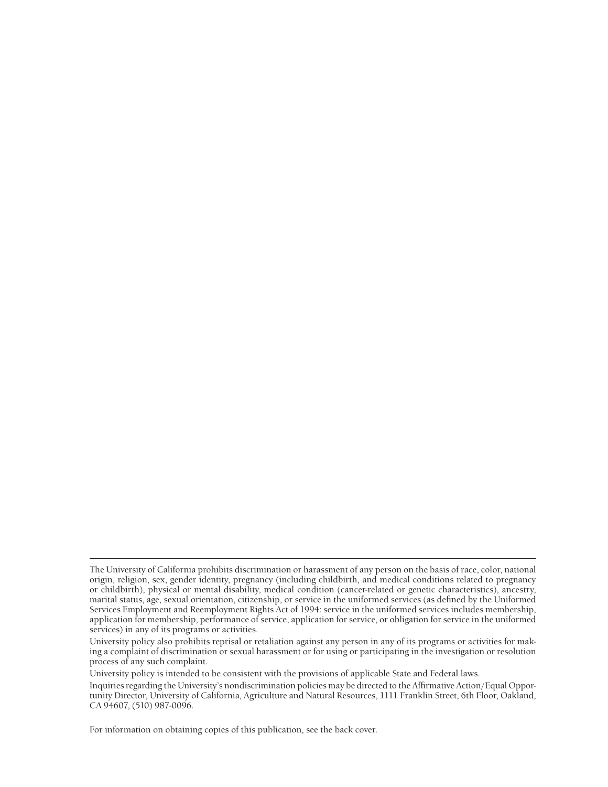University policy is intended to be consistent with the provisions of applicable State and Federal laws.

For information on obtaining copies of this publication, see the back cover.

The University of California prohibits discrimination or harassment of any person on the basis of race, color, national origin, religion, sex, gender identity, pregnancy (including childbirth, and medical conditions related to pregnancy or childbirth), physical or mental disability, medical condition (cancer-related or genetic characteristics), ancestry, marital status, age, sexual orientation, citizenship, or service in the uniformed services (as defined by the Uniformed Services Employment and Reemployment Rights Act of 1994: service in the uniformed services includes membership, application for membership, performance of service, application for service, or obligation for service in the uniformed services) in any of its programs or activities.

University policy also prohibits reprisal or retaliation against any person in any of its programs or activities for making a complaint of discrimination or sexual harassment or for using or participating in the investigation or resolution process of any such complaint.

Inquiries regarding the University's nondiscrimination policies may be directed to the Affirmative Action/Equal Opportunity Director, University of California, Agriculture and Natural Resources, 1111 Franklin Street, 6th Floor, Oakland, CA 94607, (510) 987-0096.